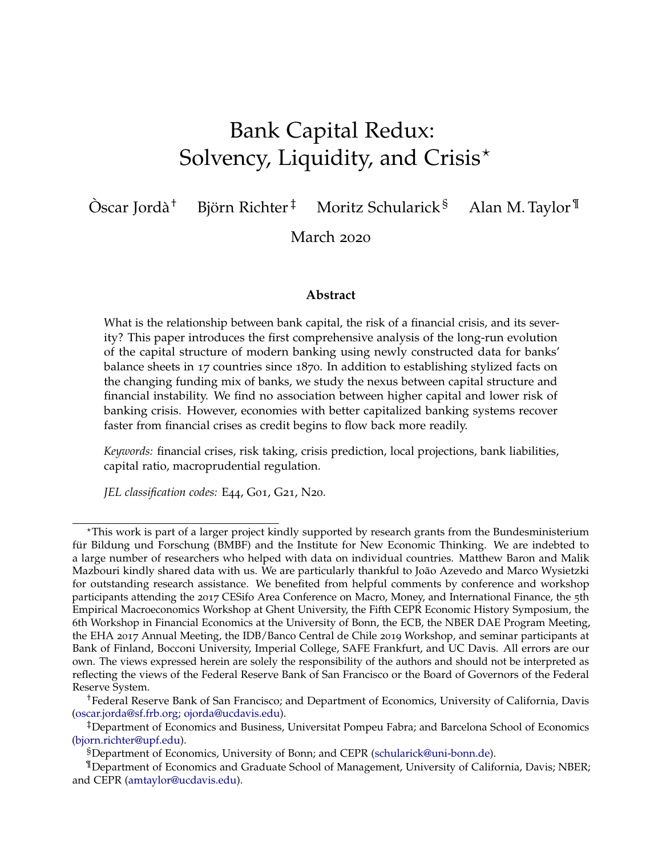# Bank Capital Redux: Solvency, Liquidity, and Crisis $*$

 $\mathrm{O}$ scar Jordà<sup>†</sup> Björn Richter<sup>‡</sup> Moritz Schularick<sup>§</sup> Alan M. Taylor<sup>¶</sup>

March 2020

#### **Abstract**

What is the relationship between bank capital, the risk of a financial crisis, and its severity? This paper introduces the first comprehensive analysis of the long-run evolution of the capital structure of modern banking using newly constructed data for banks' balance sheets in 17 countries since 1870. In addition to establishing stylized facts on the changing funding mix of banks, we study the nexus between capital structure and financial instability. We find no association between higher capital and lower risk of banking crisis. However, economies with better capitalized banking systems recover faster from financial crises as credit begins to flow back more readily.

*Keywords:* financial crises, risk taking, crisis prediction, local projections, bank liabilities, capital ratio, macroprudential regulation.

*JEL classification codes:* E44, G01, G21, N20.

<sup>?</sup>This work is part of a larger project kindly supported by research grants from the Bundesministerium für Bildung und Forschung (BMBF) and the Institute for New Economic Thinking. We are indebted to a large number of researchers who helped with data on individual countries. Matthew Baron and Malik Mazbouri kindly shared data with us. We are particularly thankful to João Azevedo and Marco Wysietzki for outstanding research assistance. We benefited from helpful comments by conference and workshop participants attending the 2017 CESifo Area Conference on Macro, Money, and International Finance, the 5th Empirical Macroeconomics Workshop at Ghent University, the Fifth CEPR Economic History Symposium, the 6th Workshop in Financial Economics at the University of Bonn, the ECB, the NBER DAE Program Meeting, the EHA 2017 Annual Meeting, the IDB/Banco Central de Chile 2019 Workshop, and seminar participants at Bank of Finland, Bocconi University, Imperial College, SAFE Frankfurt, and UC Davis. All errors are our own. The views expressed herein are solely the responsibility of the authors and should not be interpreted as reflecting the views of the Federal Reserve Bank of San Francisco or the Board of Governors of the Federal Reserve System.

<sup>†</sup>Federal Reserve Bank of San Francisco; and Department of Economics, University of California, Davis [\(oscar.jorda@sf.frb.org;](mailto:oscar.jorda@sf.frb.org) [ojorda@ucdavis.edu\)](mailto:ojorda@ucdavis.edu).

<sup>‡</sup>Department of Economics and Business, Universitat Pompeu Fabra; and Barcelona School of Economics [\(bjorn.richter@upf.edu\)](mailto:bjorn.richter@upf.edu).

<sup>§</sup>Department of Economics, University of Bonn; and CEPR [\(schularick@uni-bonn.de\)](mailto:schularick@uni-bonn.de).

<sup>¶</sup>Department of Economics and Graduate School of Management, University of California, Davis; NBER; and CEPR [\(amtaylor@ucdavis.edu\)](mailto:amtaylor@ucdavis.edu).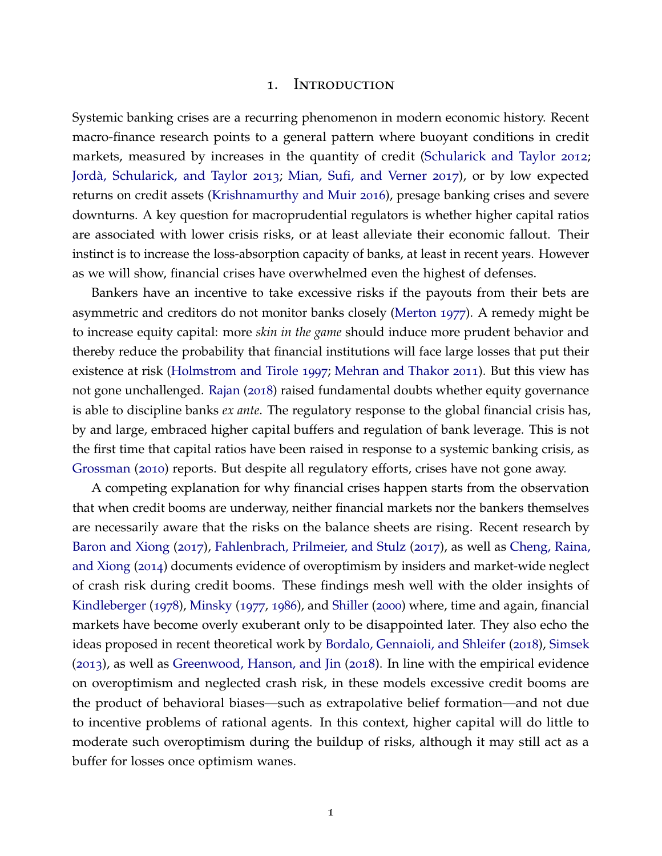#### 1. Introduction

Systemic banking crises are a recurring phenomenon in modern economic history. Recent macro-finance research points to a general pattern where buoyant conditions in credit markets, measured by increases in the quantity of credit [\(Schularick and Taylor](#page-41-0) [2012](#page-41-0); Jordà, Schularick, and Taylor [2013](#page-40-0); [Mian, Sufi, and Verner](#page-41-1) [2017](#page-41-1)), or by low expected returns on credit assets [\(Krishnamurthy and Muir](#page-40-1) [2016](#page-40-1)), presage banking crises and severe downturns. A key question for macroprudential regulators is whether higher capital ratios are associated with lower crisis risks, or at least alleviate their economic fallout. Their instinct is to increase the loss-absorption capacity of banks, at least in recent years. However as we will show, financial crises have overwhelmed even the highest of defenses.

Bankers have an incentive to take excessive risks if the payouts from their bets are asymmetric and creditors do not monitor banks closely [\(Merton](#page-40-2) [1977](#page-40-2)). A remedy might be to increase equity capital: more *skin in the game* should induce more prudent behavior and thereby reduce the probability that financial institutions will face large losses that put their existence at risk [\(Holmstrom and Tirole](#page-40-3) [1997](#page-40-3); [Mehran and Thakor](#page-40-4) [2011](#page-40-4)). But this view has not gone unchallenged. [Rajan](#page-41-2) ([2018](#page-41-2)) raised fundamental doubts whether equity governance is able to discipline banks *ex ante*. The regulatory response to the global financial crisis has, by and large, embraced higher capital buffers and regulation of bank leverage. This is not the first time that capital ratios have been raised in response to a systemic banking crisis, as [Grossman](#page-39-0) ([2010](#page-39-0)) reports. But despite all regulatory efforts, crises have not gone away.

A competing explanation for why financial crises happen starts from the observation that when credit booms are underway, neither financial markets nor the bankers themselves are necessarily aware that the risks on the balance sheets are rising. Recent research by [Baron and Xiong](#page-38-0) ([2017](#page-38-0)), [Fahlenbrach, Prilmeier, and Stulz](#page-39-1) ([2017](#page-39-1)), as well as [Cheng, Raina,](#page-39-2) [and Xiong](#page-39-2) ([2014](#page-39-2)) documents evidence of overoptimism by insiders and market-wide neglect of crash risk during credit booms. These findings mesh well with the older insights of [Kindleberger](#page-40-5) ([1978](#page-40-5)), [Minsky](#page-41-3) ([1977](#page-41-3), [1986](#page-41-4)), and [Shiller](#page-41-5) ([2000](#page-41-5)) where, time and again, financial markets have become overly exuberant only to be disappointed later. They also echo the ideas proposed in recent theoretical work by [Bordalo, Gennaioli, and Shleifer](#page-38-1) ([2018](#page-38-1)), [Simsek](#page-41-6) ([2013](#page-41-6)), as well as [Greenwood, Hanson, and Jin](#page-39-3) ([2018](#page-39-3)). In line with the empirical evidence on overoptimism and neglected crash risk, in these models excessive credit booms are the product of behavioral biases—such as extrapolative belief formation—and not due to incentive problems of rational agents. In this context, higher capital will do little to moderate such overoptimism during the buildup of risks, although it may still act as a buffer for losses once optimism wanes.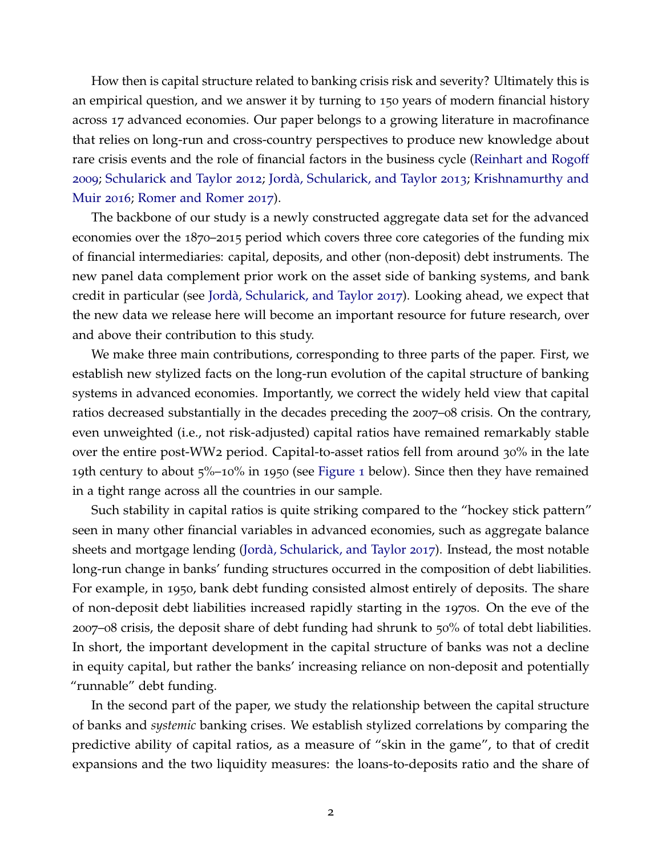How then is capital structure related to banking crisis risk and severity? Ultimately this is an empirical question, and we answer it by turning to 150 years of modern financial history across 17 advanced economies. Our paper belongs to a growing literature in macrofinance that relies on long-run and cross-country perspectives to produce new knowledge about rare crisis events and the role of financial factors in the business cycle [\(Reinhart and Rogoff](#page-41-7) [2009](#page-41-7); [Schularick and Taylor](#page-41-0) [2012](#page-41-0); [Jorda, Schularick, and Taylor](#page-40-0) ` [2013](#page-40-0); [Krishnamurthy and](#page-40-1) [Muir](#page-40-1) [2016](#page-40-1); [Romer and Romer](#page-41-8) [2017](#page-41-8)).

The backbone of our study is a newly constructed aggregate data set for the advanced economies over the 1870–2015 period which covers three core categories of the funding mix of financial intermediaries: capital, deposits, and other (non-deposit) debt instruments. The new panel data complement prior work on the asset side of banking systems, and bank credit in particular (see [Jorda, Schularick, and Taylor](#page-40-6) ` [2017](#page-40-6)). Looking ahead, we expect that the new data we release here will become an important resource for future research, over and above their contribution to this study.

We make three main contributions, corresponding to three parts of the paper. First, we establish new stylized facts on the long-run evolution of the capital structure of banking systems in advanced economies. Importantly, we correct the widely held view that capital ratios decreased substantially in the decades preceding the 2007–08 crisis. On the contrary, even unweighted (i.e., not risk-adjusted) capital ratios have remained remarkably stable over the entire post-WW2 period. Capital-to-asset ratios fell from around 30% in the late 19th century to about  $5\%$ –10% in 1950 (see [Figure](#page-10-0) 1 below). Since then they have remained in a tight range across all the countries in our sample.

Such stability in capital ratios is quite striking compared to the "hockey stick pattern" seen in many other financial variables in advanced economies, such as aggregate balance sheets and mortgage lending (Jordà, Schularick, and Taylor [2017](#page-40-6)). Instead, the most notable long-run change in banks' funding structures occurred in the composition of debt liabilities. For example, in 1950, bank debt funding consisted almost entirely of deposits. The share of non-deposit debt liabilities increased rapidly starting in the 1970s. On the eve of the 2007–08 crisis, the deposit share of debt funding had shrunk to 50% of total debt liabilities. In short, the important development in the capital structure of banks was not a decline in equity capital, but rather the banks' increasing reliance on non-deposit and potentially "runnable" debt funding.

In the second part of the paper, we study the relationship between the capital structure of banks and *systemic* banking crises. We establish stylized correlations by comparing the predictive ability of capital ratios, as a measure of "skin in the game", to that of credit expansions and the two liquidity measures: the loans-to-deposits ratio and the share of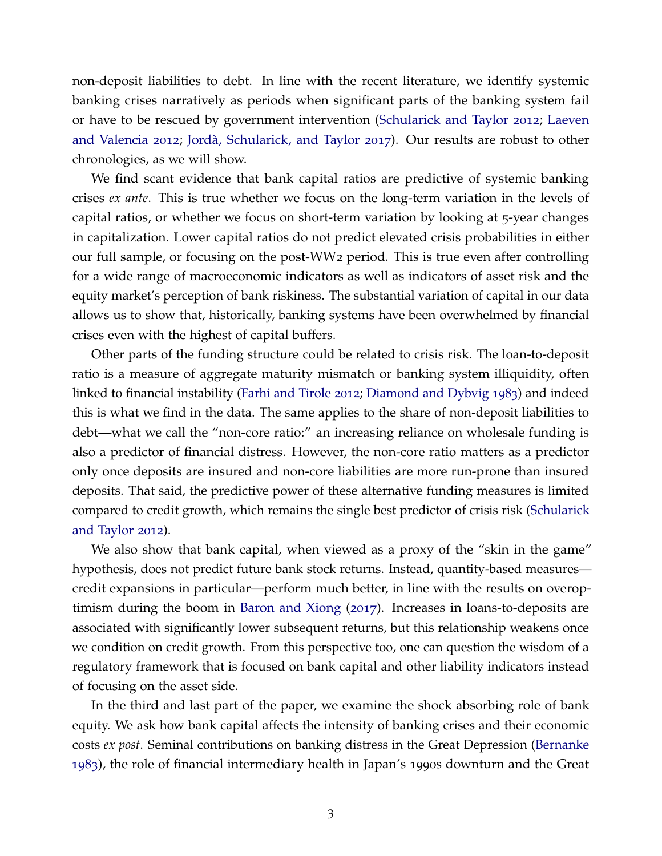non-deposit liabilities to debt. In line with the recent literature, we identify systemic banking crises narratively as periods when significant parts of the banking system fail or have to be rescued by government intervention [\(Schularick and Taylor](#page-41-0) [2012](#page-41-0); [Laeven](#page-40-7) [and Valencia](#page-40-7) [2012](#page-40-7); [Jorda, Schularick, and Taylor](#page-40-6) ` [2017](#page-40-6)). Our results are robust to other chronologies, as we will show.

We find scant evidence that bank capital ratios are predictive of systemic banking crises *ex ante*. This is true whether we focus on the long-term variation in the levels of capital ratios, or whether we focus on short-term variation by looking at 5-year changes in capitalization. Lower capital ratios do not predict elevated crisis probabilities in either our full sample, or focusing on the post-WW2 period. This is true even after controlling for a wide range of macroeconomic indicators as well as indicators of asset risk and the equity market's perception of bank riskiness. The substantial variation of capital in our data allows us to show that, historically, banking systems have been overwhelmed by financial crises even with the highest of capital buffers.

Other parts of the funding structure could be related to crisis risk. The loan-to-deposit ratio is a measure of aggregate maturity mismatch or banking system illiquidity, often linked to financial instability [\(Farhi and Tirole](#page-39-4) [2012](#page-39-4); [Diamond and Dybvig](#page-39-5) [1983](#page-39-5)) and indeed this is what we find in the data. The same applies to the share of non-deposit liabilities to debt—what we call the "non-core ratio:" an increasing reliance on wholesale funding is also a predictor of financial distress. However, the non-core ratio matters as a predictor only once deposits are insured and non-core liabilities are more run-prone than insured deposits. That said, the predictive power of these alternative funding measures is limited compared to credit growth, which remains the single best predictor of crisis risk [\(Schularick](#page-41-0) [and Taylor](#page-41-0) [2012](#page-41-0)).

We also show that bank capital, when viewed as a proxy of the "skin in the game" hypothesis, does not predict future bank stock returns. Instead, quantity-based measures credit expansions in particular—perform much better, in line with the results on overoptimism during the boom in [Baron and Xiong](#page-38-0) ([2017](#page-38-0)). Increases in loans-to-deposits are associated with significantly lower subsequent returns, but this relationship weakens once we condition on credit growth. From this perspective too, one can question the wisdom of a regulatory framework that is focused on bank capital and other liability indicators instead of focusing on the asset side.

In the third and last part of the paper, we examine the shock absorbing role of bank equity. We ask how bank capital affects the intensity of banking crises and their economic costs *ex post*. Seminal contributions on banking distress in the Great Depression [\(Bernanke](#page-38-2) [1983](#page-38-2)), the role of financial intermediary health in Japan's 1990s downturn and the Great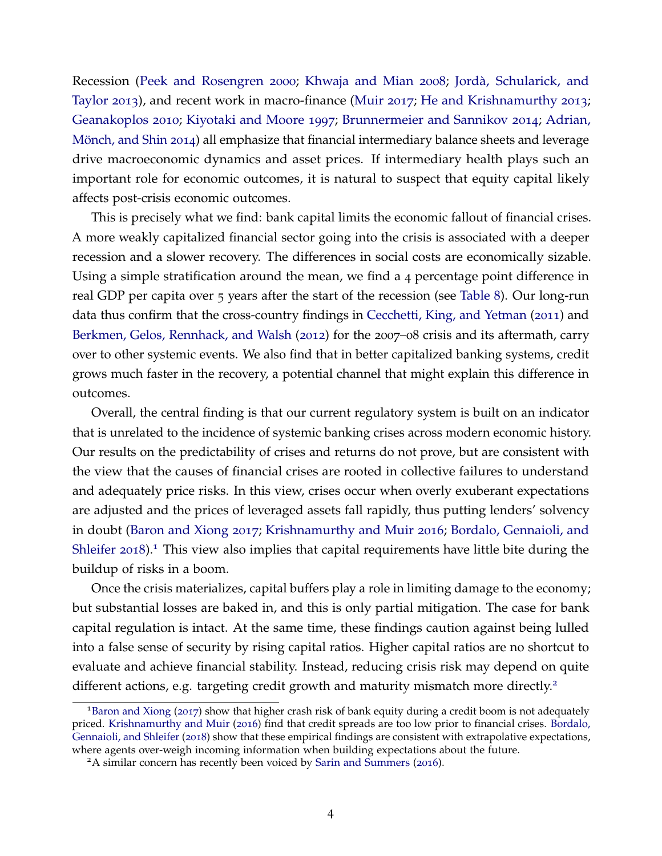Recession [\(Peek and Rosengren](#page-41-9) [2000](#page-41-9); [Khwaja and Mian](#page-40-8) [2008](#page-40-8); [Jorda, Schularick, and](#page-40-0) ` [Taylor](#page-40-0) [2013](#page-40-0)), and recent work in macro-finance [\(Muir](#page-41-10) [2017](#page-41-10); [He and Krishnamurthy](#page-40-9) [2013](#page-40-9); [Geanakoplos](#page-39-6) [2010](#page-39-6); [Kiyotaki and Moore](#page-40-10) [1997](#page-40-10); [Brunnermeier and Sannikov](#page-38-3) [2014](#page-38-3); [Adrian,](#page-38-4) Mönch, and Shin [2014](#page-38-4)) all emphasize that financial intermediary balance sheets and leverage drive macroeconomic dynamics and asset prices. If intermediary health plays such an important role for economic outcomes, it is natural to suspect that equity capital likely affects post-crisis economic outcomes.

This is precisely what we find: bank capital limits the economic fallout of financial crises. A more weakly capitalized financial sector going into the crisis is associated with a deeper recession and a slower recovery. The differences in social costs are economically sizable. Using a simple stratification around the mean, we find a 4 percentage point difference in real GDP per capita over 5 years after the start of the recession (see [Table](#page-29-0) 8). Our long-run data thus confirm that the cross-country findings in [Cecchetti, King, and Yetman](#page-39-7) ([2011](#page-39-7)) and [Berkmen, Gelos, Rennhack, and Walsh](#page-38-5) ([2012](#page-38-5)) for the 2007–08 crisis and its aftermath, carry over to other systemic events. We also find that in better capitalized banking systems, credit grows much faster in the recovery, a potential channel that might explain this difference in outcomes.

Overall, the central finding is that our current regulatory system is built on an indicator that is unrelated to the incidence of systemic banking crises across modern economic history. Our results on the predictability of crises and returns do not prove, but are consistent with the view that the causes of financial crises are rooted in collective failures to understand and adequately price risks. In this view, crises occur when overly exuberant expectations are adjusted and the prices of leveraged assets fall rapidly, thus putting lenders' solvency in doubt [\(Baron and Xiong](#page-38-0) [2017](#page-38-0); [Krishnamurthy and Muir](#page-40-1) [2016](#page-40-1); [Bordalo, Gennaioli, and](#page-38-1) [Shleifer](#page-38-1) [2018](#page-38-1)).<sup>[1](#page-5-0)</sup> This view also implies that capital requirements have little bite during the buildup of risks in a boom.

Once the crisis materializes, capital buffers play a role in limiting damage to the economy; but substantial losses are baked in, and this is only partial mitigation. The case for bank capital regulation is intact. At the same time, these findings caution against being lulled into a false sense of security by rising capital ratios. Higher capital ratios are no shortcut to evaluate and achieve financial stability. Instead, reducing crisis risk may depend on quite different actions, e.g. targeting credit growth and maturity mismatch more directly.<sup>[2](#page-5-1)</sup>

<span id="page-5-0"></span><sup>1</sup>[Baron and Xiong](#page-38-0) ([2017](#page-38-0)) show that higher crash risk of bank equity during a credit boom is not adequately priced. [Krishnamurthy and Muir](#page-40-1) ([2016](#page-40-1)) find that credit spreads are too low prior to financial crises. [Bordalo,](#page-38-1) [Gennaioli, and Shleifer](#page-38-1) ([2018](#page-38-1)) show that these empirical findings are consistent with extrapolative expectations, where agents over-weigh incoming information when building expectations about the future.

<span id="page-5-1"></span><sup>&</sup>lt;sup>2</sup>A similar concern has recently been voiced by [Sarin and Summers](#page-41-11) ([2016](#page-41-11)).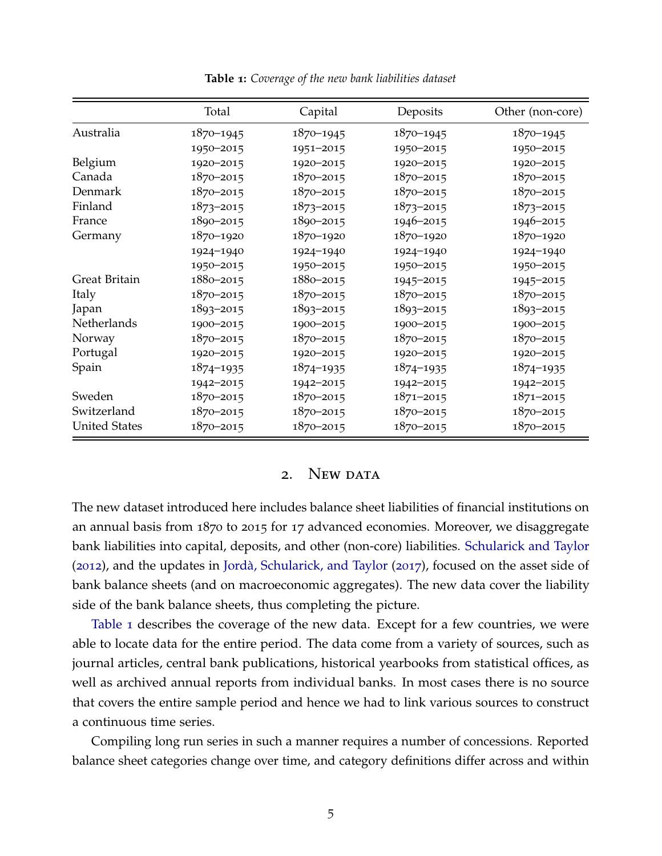<span id="page-6-0"></span>

|                      | Total         | Capital       | Deposits      | Other (non-core) |
|----------------------|---------------|---------------|---------------|------------------|
| Australia            | $1870 - 1945$ | 1870-1945     | $1870 - 1945$ | $1870 - 1945$    |
|                      | 1950-2015     | 1951-2015     | 1950-2015     | 1950-2015        |
| Belgium              | 1920-2015     | 1920-2015     | 1920-2015     | 1920-2015        |
| Canada               | $1870 - 2015$ | 1870-2015     | $1870 - 2015$ | $1870 - 2015$    |
| Denmark              | 1870-2015     | 1870-2015     | $1870 - 2015$ | $1870 - 2015$    |
| Finland              | $1873 - 2015$ | $1873 - 2015$ | $1873 - 2015$ | $1873 - 2015$    |
| France               | 1890-2015     | 1890-2015     | 1946-2015     | 1946-2015        |
| Germany              | 1870-1920     | 1870-1920     | 1870-1920     | 1870-1920        |
|                      | 1924-1940     | 1924-1940     | 1924-1940     | 1924-1940        |
|                      | 1950-2015     | 1950-2015     | 1950-2015     | 1950-2015        |
| Great Britain        | 1880-2015     | 1880-2015     | 1945-2015     | 1945-2015        |
| Italy                | $1870 - 2015$ | 1870-2015     | 1870-2015     | $1870 - 2015$    |
| Japan                | 1893-2015     | 1893-2015     | $1893 - 2015$ | $1893 - 2015$    |
| Netherlands          | 1900-2015     | 1900-2015     | 1900-2015     | 1900-2015        |
| Norway               | $1870 - 2015$ | 1870-2015     | 1870-2015     | $1870 - 2015$    |
| Portugal             | 1920-2015     | 1920-2015     | 1920-2015     | 1920-2015        |
| Spain                | $1874 - 1935$ | 1874-1935     | $1874 - 1935$ | $1874 - 1935$    |
|                      | 1942-2015     | 1942-2015     | 1942-2015     | 1942-2015        |
| Sweden               | $1870 - 2015$ | 1870-2015     | $1871 - 2015$ | $1871 - 2015$    |
| Switzerland          | $1870 - 2015$ | 1870-2015     | $1870 - 2015$ | 1870-2015        |
| <b>United States</b> | $1870 - 2015$ | 1870-2015     | $1870 - 2015$ | $1870 - 2015$    |

**Table 1:** *Coverage of the new bank liabilities dataset*

### 2. NEW DATA

The new dataset introduced here includes balance sheet liabilities of financial institutions on an annual basis from 1870 to 2015 for 17 advanced economies. Moreover, we disaggregate bank liabilities into capital, deposits, and other (non-core) liabilities. [Schularick and Taylor](#page-41-0)  $(2012)$  $(2012)$  $(2012)$ , and the updates in Jordà, Schularick, and Taylor  $(2017)$  $(2017)$  $(2017)$ , focused on the asset side of bank balance sheets (and on macroeconomic aggregates). The new data cover the liability side of the bank balance sheets, thus completing the picture.

[Table](#page-6-0) 1 describes the coverage of the new data. Except for a few countries, we were able to locate data for the entire period. The data come from a variety of sources, such as journal articles, central bank publications, historical yearbooks from statistical offices, as well as archived annual reports from individual banks. In most cases there is no source that covers the entire sample period and hence we had to link various sources to construct a continuous time series.

Compiling long run series in such a manner requires a number of concessions. Reported balance sheet categories change over time, and category definitions differ across and within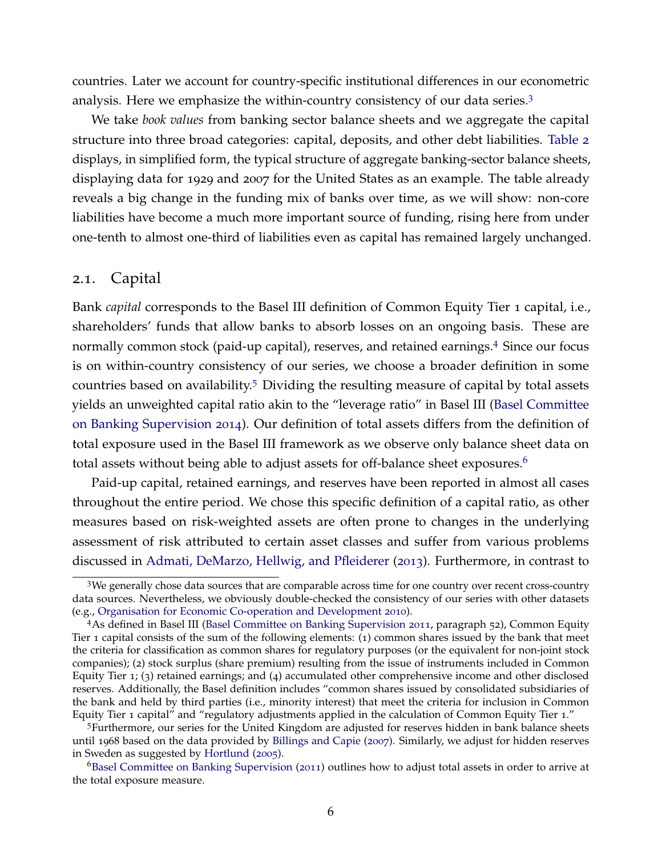countries. Later we account for country-specific institutional differences in our econometric analysis. Here we emphasize the within-country consistency of our data series.[3](#page-7-0)

We take *book values* from banking sector balance sheets and we aggregate the capital structure into three broad categories: capital, deposits, and other debt liabilities. [Table](#page-8-0) 2 displays, in simplified form, the typical structure of aggregate banking-sector balance sheets, displaying data for 1929 and 2007 for the United States as an example. The table already reveals a big change in the funding mix of banks over time, as we will show: non-core liabilities have become a much more important source of funding, rising here from under one-tenth to almost one-third of liabilities even as capital has remained largely unchanged.

### 2.1. Capital

Bank *capital* corresponds to the Basel III definition of Common Equity Tier 1 capital, i.e., shareholders' funds that allow banks to absorb losses on an ongoing basis. These are normally common stock (paid-up capital), reserves, and retained earnings.[4](#page-7-1) Since our focus is on within-country consistency of our series, we choose a broader definition in some countries based on availability.<sup>[5](#page-7-2)</sup> Dividing the resulting measure of capital by total assets yields an unweighted capital ratio akin to the "leverage ratio" in Basel III [\(Basel Committee](#page-38-6) [on Banking Supervision](#page-38-6) [2014](#page-38-6)). Our definition of total assets differs from the definition of total exposure used in the Basel III framework as we observe only balance sheet data on total assets without being able to adjust assets for off-balance sheet exposures.<sup>[6](#page-7-3)</sup>

Paid-up capital, retained earnings, and reserves have been reported in almost all cases throughout the entire period. We chose this specific definition of a capital ratio, as other measures based on risk-weighted assets are often prone to changes in the underlying assessment of risk attributed to certain asset classes and suffer from various problems discussed in [Admati, DeMarzo, Hellwig, and Pfleiderer](#page-38-7) ([2013](#page-38-7)). Furthermore, in contrast to

<span id="page-7-0"></span><sup>3</sup>We generally chose data sources that are comparable across time for one country over recent cross-country data sources. Nevertheless, we obviously double-checked the consistency of our series with other datasets (e.g., [Organisation for Economic Co-operation and Development](#page-41-12) [2010](#page-41-12)).

<span id="page-7-1"></span><sup>4</sup>As defined in Basel III [\(Basel Committee on Banking Supervision](#page-38-8) [2011](#page-38-8), paragraph 52), Common Equity Tier 1 capital consists of the sum of the following elements: (1) common shares issued by the bank that meet the criteria for classification as common shares for regulatory purposes (or the equivalent for non-joint stock companies); (2) stock surplus (share premium) resulting from the issue of instruments included in Common Equity Tier 1; (3) retained earnings; and (4) accumulated other comprehensive income and other disclosed reserves. Additionally, the Basel definition includes "common shares issued by consolidated subsidiaries of the bank and held by third parties (i.e., minority interest) that meet the criteria for inclusion in Common Equity Tier 1 capital" and "regulatory adjustments applied in the calculation of Common Equity Tier 1."

<span id="page-7-2"></span><sup>5</sup>Furthermore, our series for the United Kingdom are adjusted for reserves hidden in bank balance sheets until 1968 based on the data provided by [Billings and Capie](#page-38-9) ([2007](#page-38-9)). Similarly, we adjust for hidden reserves in Sweden as suggested by [Hortlund](#page-40-11) ([2005](#page-40-11)).

<span id="page-7-3"></span><sup>6</sup>[Basel Committee on Banking Supervision](#page-38-8) ([2011](#page-38-8)) outlines how to adjust total assets in order to arrive at the total exposure measure.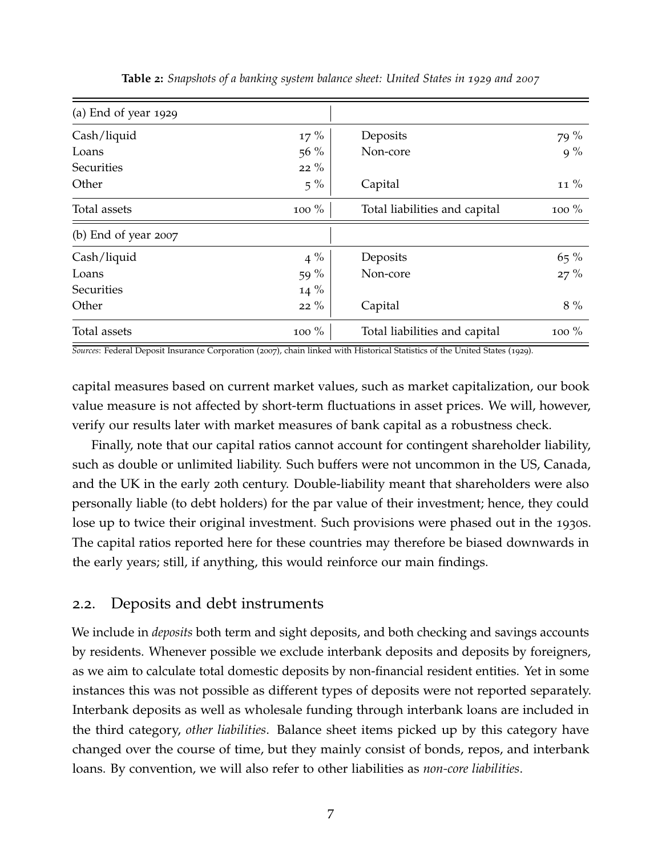<span id="page-8-0"></span>

| $(a)$ End of year 1929 |        |                               |          |
|------------------------|--------|-------------------------------|----------|
| Cash/liquid            | $17\%$ | Deposits                      | 79 %     |
| Loans                  | $56\%$ | Non-core                      | $9\%$    |
| <b>Securities</b>      | $22\%$ |                               |          |
| Other                  | $5\%$  | Capital                       | 11 %     |
| Total assets           | 100 %  | Total liabilities and capital | 100 $\%$ |
| (b) End of year $2007$ |        |                               |          |
| Cash/liquid            | $4\%$  | Deposits                      | $65\%$   |
| Loans                  | 59 $%$ | Non-core                      | $27\%$   |
| Securities             | $14\%$ |                               |          |
| Other                  | $22\%$ | Capital                       | $8\%$    |
| Total assets           | 100 %  | Total liabilities and capital | 100 %    |

**Table 2:** *Snapshots of a banking system balance sheet: United States in 1929 and 2007*

*Sources*: Federal Deposit Insurance Corporation (2007), chain linked with Historical Statistics of the United States (1929).

capital measures based on current market values, such as market capitalization, our book value measure is not affected by short-term fluctuations in asset prices. We will, however, verify our results later with market measures of bank capital as a robustness check.

Finally, note that our capital ratios cannot account for contingent shareholder liability, such as double or unlimited liability. Such buffers were not uncommon in the US, Canada, and the UK in the early 20th century. Double-liability meant that shareholders were also personally liable (to debt holders) for the par value of their investment; hence, they could lose up to twice their original investment. Such provisions were phased out in the 1930s. The capital ratios reported here for these countries may therefore be biased downwards in the early years; still, if anything, this would reinforce our main findings.

### 2.2. Deposits and debt instruments

We include in *deposits* both term and sight deposits, and both checking and savings accounts by residents. Whenever possible we exclude interbank deposits and deposits by foreigners, as we aim to calculate total domestic deposits by non-financial resident entities. Yet in some instances this was not possible as different types of deposits were not reported separately. Interbank deposits as well as wholesale funding through interbank loans are included in the third category, *other liabilities*. Balance sheet items picked up by this category have changed over the course of time, but they mainly consist of bonds, repos, and interbank loans. By convention, we will also refer to other liabilities as *non-core liabilities*.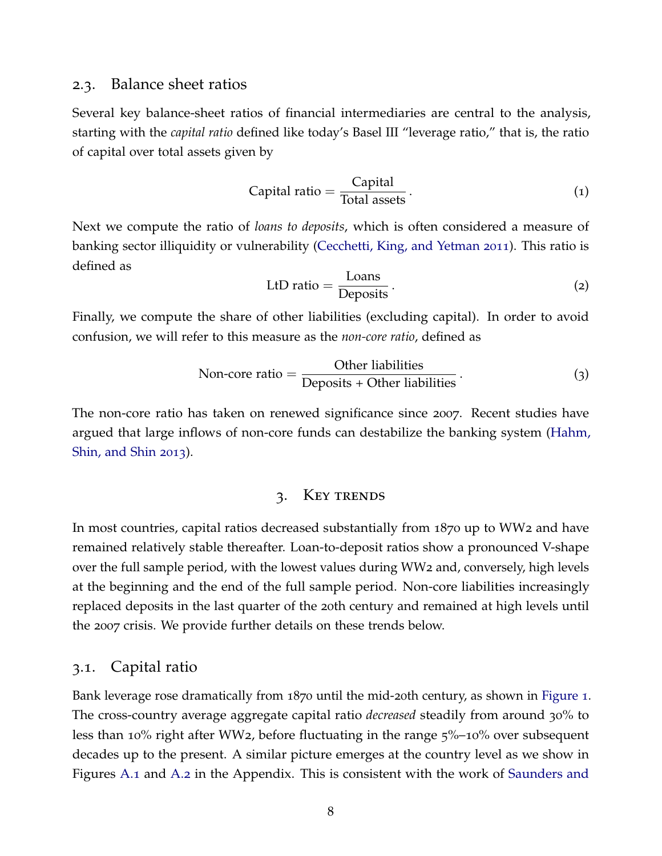### 2.3. Balance sheet ratios

Several key balance-sheet ratios of financial intermediaries are central to the analysis, starting with the *capital ratio* defined like today's Basel III "leverage ratio," that is, the ratio of capital over total assets given by

Capital ratio = 
$$
\frac{\text{Capital}}{\text{Total assets}}
$$
.

\n(1)

Next we compute the ratio of *loans to deposits*, which is often considered a measure of banking sector illiquidity or vulnerability [\(Cecchetti, King, and Yetman](#page-39-7) [2011](#page-39-7)). This ratio is defined as

$$
LtD ratio = \frac{Loans}{Deposits}.
$$
 (2)

Finally, we compute the share of other liabilities (excluding capital). In order to avoid confusion, we will refer to this measure as the *non-core ratio*, defined as

Non-core ratio = 
$$
\frac{\text{Other liabilities}}{\text{Deposits + Other liabilities}}.
$$
 (3)

The non-core ratio has taken on renewed significance since 2007. Recent studies have argued that large inflows of non-core funds can destabilize the banking system [\(Hahm,](#page-39-8) [Shin, and Shin](#page-39-8) [2013](#page-39-8)).

### 3. Key trends

In most countries, capital ratios decreased substantially from 1870 up to WW2 and have remained relatively stable thereafter. Loan-to-deposit ratios show a pronounced V-shape over the full sample period, with the lowest values during WW2 and, conversely, high levels at the beginning and the end of the full sample period. Non-core liabilities increasingly replaced deposits in the last quarter of the 20th century and remained at high levels until the 2007 crisis. We provide further details on these trends below.

### 3.1. Capital ratio

Bank leverage rose dramatically from 1870 until the mid-20th century, as shown in [Figure](#page-10-0) 1. The cross-country average aggregate capital ratio *decreased* steadily from around 30% to less than 10% right after WW2, before fluctuating in the range 5%–10% over subsequent decades up to the present. A similar picture emerges at the country level as we show in Figures [A.](#page-44-0)1 and [A.](#page-45-0)2 in the Appendix. This is consistent with the work of [Saunders and](#page-41-13)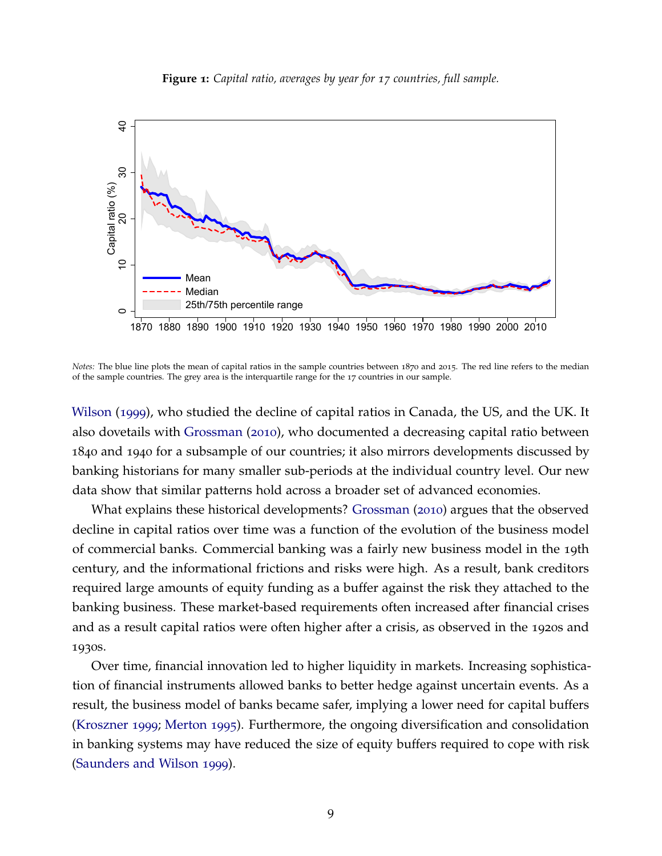**Figure 1:** *Capital ratio, averages by year for 17 countries, full sample.*

<span id="page-10-0"></span>

*Notes:* The blue line plots the mean of capital ratios in the sample countries between 1870 and 2015. The red line refers to the median of the sample countries. The grey area is the interquartile range for the 17 countries in our sample.

[Wilson](#page-41-13) ([1999](#page-41-13)), who studied the decline of capital ratios in Canada, the US, and the UK. It also dovetails with [Grossman](#page-39-0) ([2010](#page-39-0)), who documented a decreasing capital ratio between 1840 and 1940 for a subsample of our countries; it also mirrors developments discussed by banking historians for many smaller sub-periods at the individual country level. Our new data show that similar patterns hold across a broader set of advanced economies.

What explains these historical developments? [Grossman](#page-39-0) ([2010](#page-39-0)) argues that the observed decline in capital ratios over time was a function of the evolution of the business model of commercial banks. Commercial banking was a fairly new business model in the 19th century, and the informational frictions and risks were high. As a result, bank creditors required large amounts of equity funding as a buffer against the risk they attached to the banking business. These market-based requirements often increased after financial crises and as a result capital ratios were often higher after a crisis, as observed in the 1920s and 1930s.

Over time, financial innovation led to higher liquidity in markets. Increasing sophistication of financial instruments allowed banks to better hedge against uncertain events. As a result, the business model of banks became safer, implying a lower need for capital buffers [\(Kroszner](#page-40-12) [1999](#page-40-12); [Merton](#page-40-13) [1995](#page-40-13)). Furthermore, the ongoing diversification and consolidation in banking systems may have reduced the size of equity buffers required to cope with risk [\(Saunders and Wilson](#page-41-13) [1999](#page-41-13)).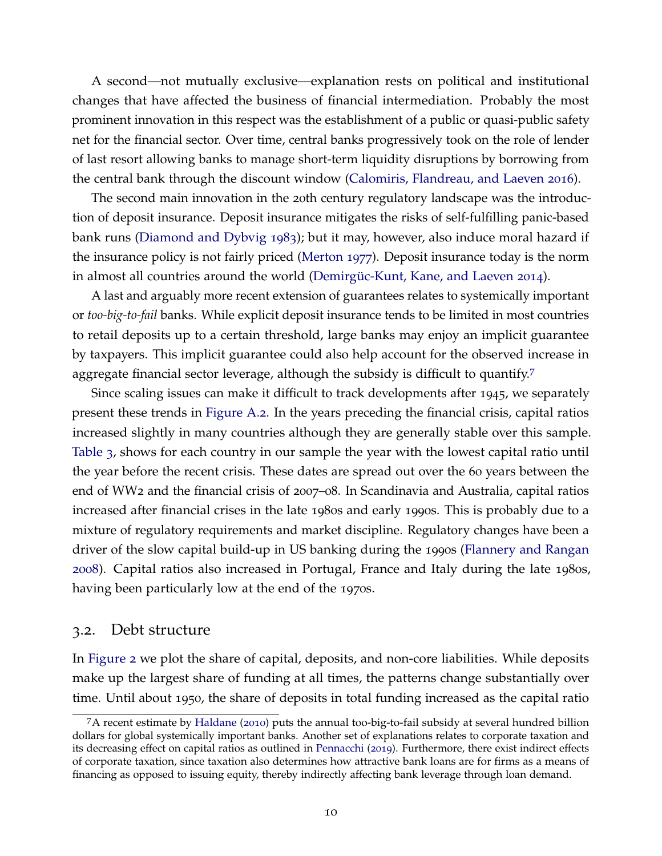A second—not mutually exclusive—explanation rests on political and institutional changes that have affected the business of financial intermediation. Probably the most prominent innovation in this respect was the establishment of a public or quasi-public safety net for the financial sector. Over time, central banks progressively took on the role of lender of last resort allowing banks to manage short-term liquidity disruptions by borrowing from the central bank through the discount window [\(Calomiris, Flandreau, and Laeven](#page-38-10) [2016](#page-38-10)).

The second main innovation in the 20th century regulatory landscape was the introduction of deposit insurance. Deposit insurance mitigates the risks of self-fulfilling panic-based bank runs [\(Diamond and Dybvig](#page-39-5) [1983](#page-39-5)); but it may, however, also induce moral hazard if the insurance policy is not fairly priced [\(Merton](#page-40-2) [1977](#page-40-2)). Deposit insurance today is the norm in almost all countries around the world (Demirgüc-Kunt, Kane, and Laeven [2014](#page-39-9)).

A last and arguably more recent extension of guarantees relates to systemically important or *too-big-to-fail* banks. While explicit deposit insurance tends to be limited in most countries to retail deposits up to a certain threshold, large banks may enjoy an implicit guarantee by taxpayers. This implicit guarantee could also help account for the observed increase in aggregate financial sector leverage, although the subsidy is difficult to quantify.<sup>[7](#page-11-0)</sup>

Since scaling issues can make it difficult to track developments after 1945, we separately present these trends in [Figure A.](#page-45-0)2. In the years preceding the financial crisis, capital ratios increased slightly in many countries although they are generally stable over this sample. [Table](#page-12-0) 3, shows for each country in our sample the year with the lowest capital ratio until the year before the recent crisis. These dates are spread out over the 60 years between the end of WW2 and the financial crisis of 2007–08. In Scandinavia and Australia, capital ratios increased after financial crises in the late 1980s and early 1990s. This is probably due to a mixture of regulatory requirements and market discipline. Regulatory changes have been a driver of the slow capital build-up in US banking during the 1990s [\(Flannery and Rangan](#page-39-10) [2008](#page-39-10)). Capital ratios also increased in Portugal, France and Italy during the late 1980s, having been particularly low at the end of the 1970s.

#### 3.2. Debt structure

In [Figure](#page-13-0) 2 we plot the share of capital, deposits, and non-core liabilities. While deposits make up the largest share of funding at all times, the patterns change substantially over time. Until about 1950, the share of deposits in total funding increased as the capital ratio

<span id="page-11-0"></span><sup>7</sup>A recent estimate by [Haldane](#page-39-11) ([2010](#page-39-11)) puts the annual too-big-to-fail subsidy at several hundred billion dollars for global systemically important banks. Another set of explanations relates to corporate taxation and its decreasing effect on capital ratios as outlined in [Pennacchi](#page-41-14) ([2019](#page-41-14)). Furthermore, there exist indirect effects of corporate taxation, since taxation also determines how attractive bank loans are for firms as a means of financing as opposed to issuing equity, thereby indirectly affecting bank leverage through loan demand.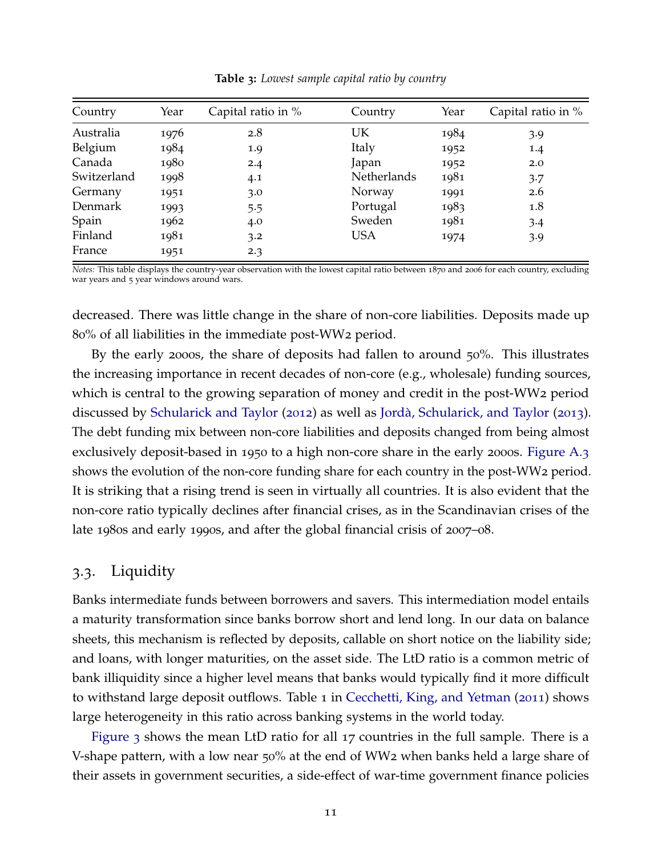<span id="page-12-0"></span>

| Country     | Year | Capital ratio in % | Country     | Year | Capital ratio in % |
|-------------|------|--------------------|-------------|------|--------------------|
| Australia   | 1976 | 2.8                | UK          | 1984 | 3.9                |
| Belgium     | 1984 | 1.9                | Italy       | 1952 | 1.4                |
| Canada      | 1980 | 2.4                | Japan       | 1952 | 2.0                |
| Switzerland | 1998 | 4.1                | Netherlands | 1981 | 3.7                |
| Germany     | 1951 | 3.0                | Norway      | 1991 | 2.6                |
| Denmark     | 1993 | 5.5                | Portugal    | 1983 | 1.8                |
| Spain       | 1962 | 4.0                | Sweden      | 1981 | $3-4$              |
| Finland     | 1981 | 3.2                | <b>USA</b>  | 1974 | 3.9                |
| France      | 1951 | 2.3                |             |      |                    |

**Table 3:** *Lowest sample capital ratio by country*

*Notes:* This table displays the country-year observation with the lowest capital ratio between 1870 and 2006 for each country, excluding war years and 5 year windows around wars.

decreased. There was little change in the share of non-core liabilities. Deposits made up 80% of all liabilities in the immediate post-WW2 period.

By the early 2000s, the share of deposits had fallen to around 50%. This illustrates the increasing importance in recent decades of non-core (e.g., wholesale) funding sources, which is central to the growing separation of money and credit in the post-WW2 period discussed by [Schularick and Taylor](#page-41-0) ([2012](#page-41-0)) as well as [Jorda, Schularick, and Taylor](#page-40-0) ` ([2013](#page-40-0)). The debt funding mix between non-core liabilities and deposits changed from being almost exclusively deposit-based in 1950 to a high non-core share in the early 2000s. [Figure A.](#page-46-0)3 shows the evolution of the non-core funding share for each country in the post-WW2 period. It is striking that a rising trend is seen in virtually all countries. It is also evident that the non-core ratio typically declines after financial crises, as in the Scandinavian crises of the late 1980s and early 1990s, and after the global financial crisis of 2007–08.

### 3.3. Liquidity

Banks intermediate funds between borrowers and savers. This intermediation model entails a maturity transformation since banks borrow short and lend long. In our data on balance sheets, this mechanism is reflected by deposits, callable on short notice on the liability side; and loans, with longer maturities, on the asset side. The LtD ratio is a common metric of bank illiquidity since a higher level means that banks would typically find it more difficult to withstand large deposit outflows. Table 1 in [Cecchetti, King, and Yetman](#page-39-7) ([2011](#page-39-7)) shows large heterogeneity in this ratio across banking systems in the world today.

[Figure](#page-14-0) 3 shows the mean LtD ratio for all 17 countries in the full sample. There is a V-shape pattern, with a low near 50% at the end of WW2 when banks held a large share of their assets in government securities, a side-effect of war-time government finance policies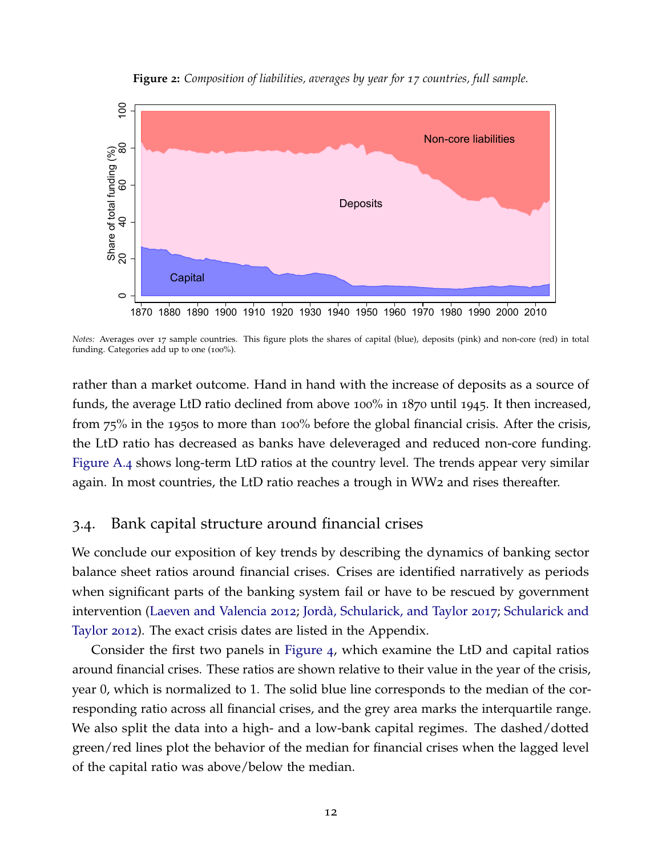<span id="page-13-0"></span>

**Figure 2:** *Composition of liabilities, averages by year for 17 countries, full sample.*

*Notes:* Averages over 17 sample countries. This figure plots the shares of capital (blue), deposits (pink) and non-core (red) in total funding. Categories add up to one (100%).

rather than a market outcome. Hand in hand with the increase of deposits as a source of funds, the average LtD ratio declined from above 100% in 1870 until 1945. It then increased, from 75% in the 1950s to more than 100% before the global financial crisis. After the crisis, the LtD ratio has decreased as banks have deleveraged and reduced non-core funding. [Figure A.](#page-47-0)4 shows long-term LtD ratios at the country level. The trends appear very similar again. In most countries, the LtD ratio reaches a trough in WW2 and rises thereafter.

### 3.4. Bank capital structure around financial crises

We conclude our exposition of key trends by describing the dynamics of banking sector balance sheet ratios around financial crises. Crises are identified narratively as periods when significant parts of the banking system fail or have to be rescued by government intervention [\(Laeven and Valencia](#page-40-7) [2012](#page-40-7); Jordà, Schularick, and Taylor [2017](#page-40-6); [Schularick and](#page-41-0) [Taylor](#page-41-0) [2012](#page-41-0)). The exact crisis dates are listed in the Appendix.

Consider the first two panels in [Figure](#page-15-0) 4, which examine the LtD and capital ratios around financial crises. These ratios are shown relative to their value in the year of the crisis, year 0, which is normalized to 1. The solid blue line corresponds to the median of the corresponding ratio across all financial crises, and the grey area marks the interquartile range. We also split the data into a high- and a low-bank capital regimes. The dashed/dotted green/red lines plot the behavior of the median for financial crises when the lagged level of the capital ratio was above/below the median.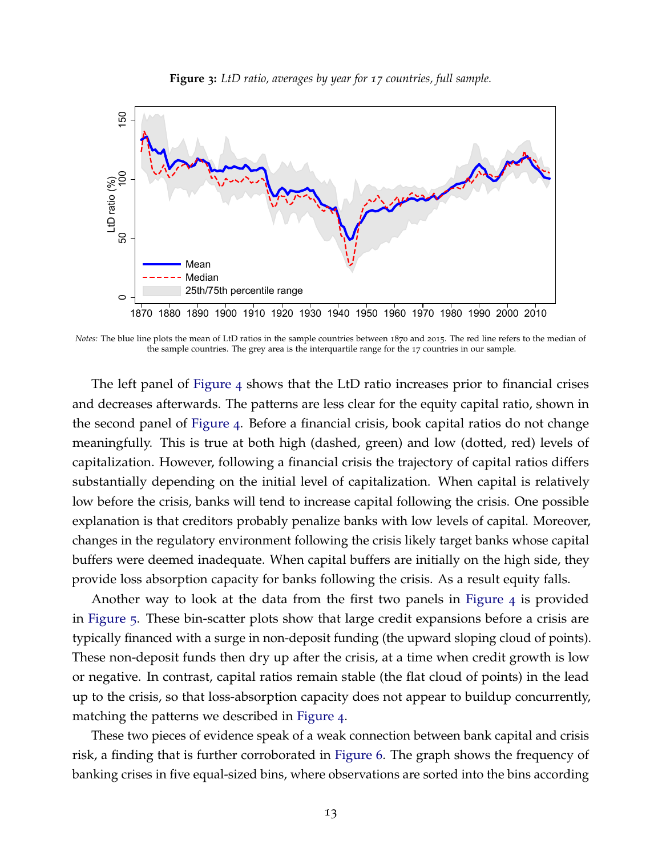<span id="page-14-0"></span>

**Figure 3:** *LtD ratio, averages by year for 17 countries, full sample.*

*Notes:* The blue line plots the mean of LtD ratios in the sample countries between 1870 and 2015. The red line refers to the median of the sample countries. The grey area is the interquartile range for the 17 countries in our sample.

The left panel of [Figure](#page-15-0) 4 shows that the LtD ratio increases prior to financial crises and decreases afterwards. The patterns are less clear for the equity capital ratio, shown in the second panel of [Figure](#page-15-0) 4. Before a financial crisis, book capital ratios do not change meaningfully. This is true at both high (dashed, green) and low (dotted, red) levels of capitalization. However, following a financial crisis the trajectory of capital ratios differs substantially depending on the initial level of capitalization. When capital is relatively low before the crisis, banks will tend to increase capital following the crisis. One possible explanation is that creditors probably penalize banks with low levels of capital. Moreover, changes in the regulatory environment following the crisis likely target banks whose capital buffers were deemed inadequate. When capital buffers are initially on the high side, they provide loss absorption capacity for banks following the crisis. As a result equity falls.

Another way to look at the data from the first two panels in [Figure](#page-15-0) 4 is provided in [Figure](#page-15-1) 5. These bin-scatter plots show that large credit expansions before a crisis are typically financed with a surge in non-deposit funding (the upward sloping cloud of points). These non-deposit funds then dry up after the crisis, at a time when credit growth is low or negative. In contrast, capital ratios remain stable (the flat cloud of points) in the lead up to the crisis, so that loss-absorption capacity does not appear to buildup concurrently, matching the patterns we described in [Figure](#page-15-0) 4.

These two pieces of evidence speak of a weak connection between bank capital and crisis risk, a finding that is further corroborated in [Figure](#page-16-0) 6. The graph shows the frequency of banking crises in five equal-sized bins, where observations are sorted into the bins according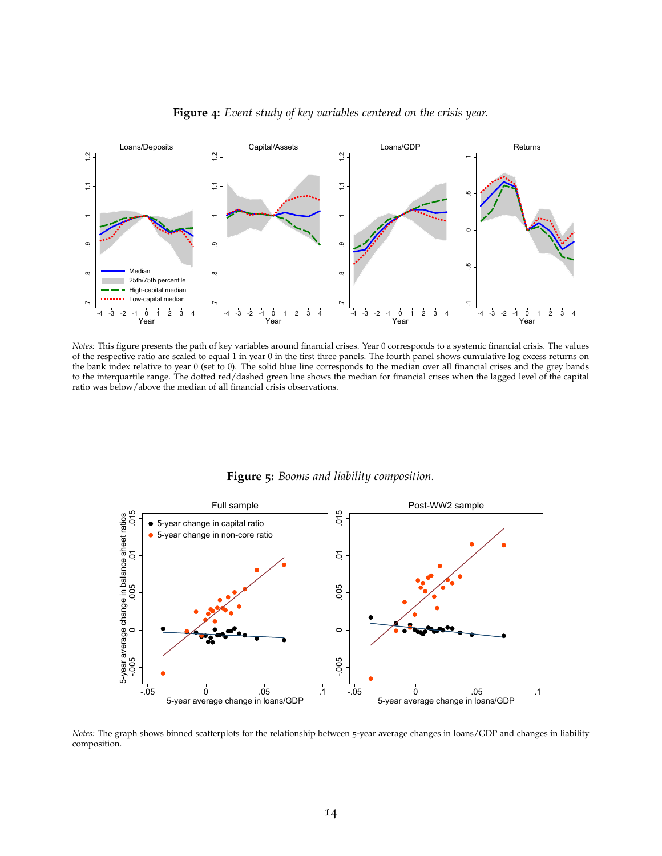<span id="page-15-0"></span>

**Figure 4:** *Event study of key variables centered on the crisis year.*

*Notes:* This figure presents the path of key variables around financial crises. Year 0 corresponds to a systemic financial crisis. The values of the respective ratio are scaled to equal 1 in year 0 in the first three panels. The fourth panel shows cumulative log excess returns on the bank index relative to year 0 (set to 0). The solid blue line corresponds to the median over all financial crises and the grey bands to the interquartile range. The dotted red/dashed green line shows the median for financial crises when the lagged level of the capital ratio was below/above the median of all financial crisis observations.

<span id="page-15-1"></span>

**Figure 5:** *Booms and liability composition.*

*Notes:* The graph shows binned scatterplots for the relationship between 5-year average changes in loans/GDP and changes in liability composition.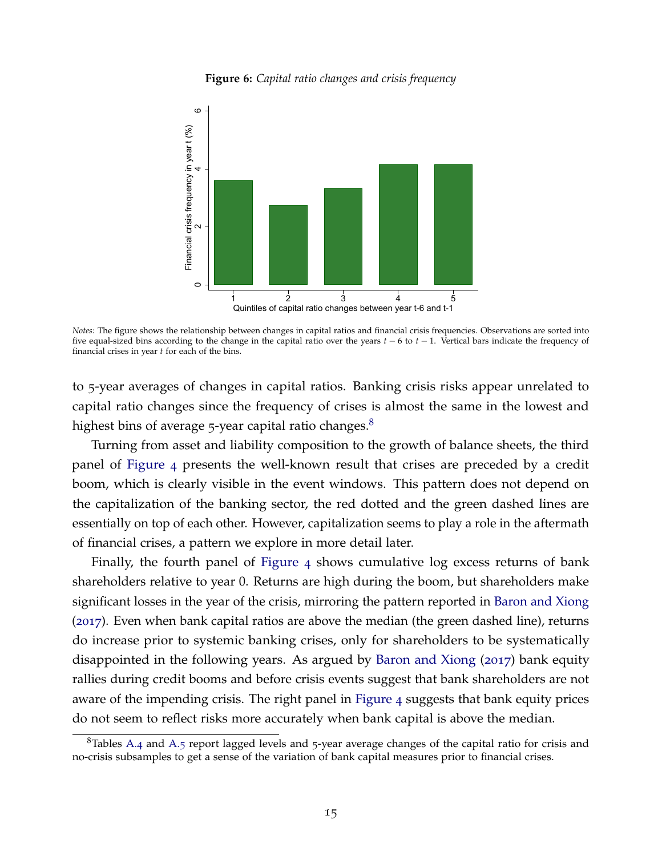

<span id="page-16-0"></span>

*Notes:* The figure shows the relationship between changes in capital ratios and financial crisis frequencies. Observations are sorted into five equal-sized bins according to the change in the capital ratio over the years *t* − 6 to *t* − 1. Vertical bars indicate the frequency of financial crises in year *t* for each of the bins.

to 5-year averages of changes in capital ratios. Banking crisis risks appear unrelated to capital ratio changes since the frequency of crises is almost the same in the lowest and highest bins of average 5-year capital ratio changes.<sup>[8](#page-16-1)</sup>

Turning from asset and liability composition to the growth of balance sheets, the third panel of [Figure](#page-15-0) 4 presents the well-known result that crises are preceded by a credit boom, which is clearly visible in the event windows. This pattern does not depend on the capitalization of the banking sector, the red dotted and the green dashed lines are essentially on top of each other. However, capitalization seems to play a role in the aftermath of financial crises, a pattern we explore in more detail later.

Finally, the fourth panel of [Figure](#page-15-0) 4 shows cumulative log excess returns of bank shareholders relative to year 0. Returns are high during the boom, but shareholders make significant losses in the year of the crisis, mirroring the pattern reported in [Baron and Xiong](#page-38-0) ([2017](#page-38-0)). Even when bank capital ratios are above the median (the green dashed line), returns do increase prior to systemic banking crises, only for shareholders to be systematically disappointed in the following years. As argued by [Baron and Xiong](#page-38-0) ([2017](#page-38-0)) bank equity rallies during credit booms and before crisis events suggest that bank shareholders are not aware of the impending crisis. The right panel in [Figure](#page-15-0) 4 suggests that bank equity prices do not seem to reflect risks more accurately when bank capital is above the median.

<span id="page-16-1"></span><sup>&</sup>lt;sup>8</sup>Tables [A.](#page-48-1)4 and A.5 report lagged levels and 5-year average changes of the capital ratio for crisis and no-crisis subsamples to get a sense of the variation of bank capital measures prior to financial crises.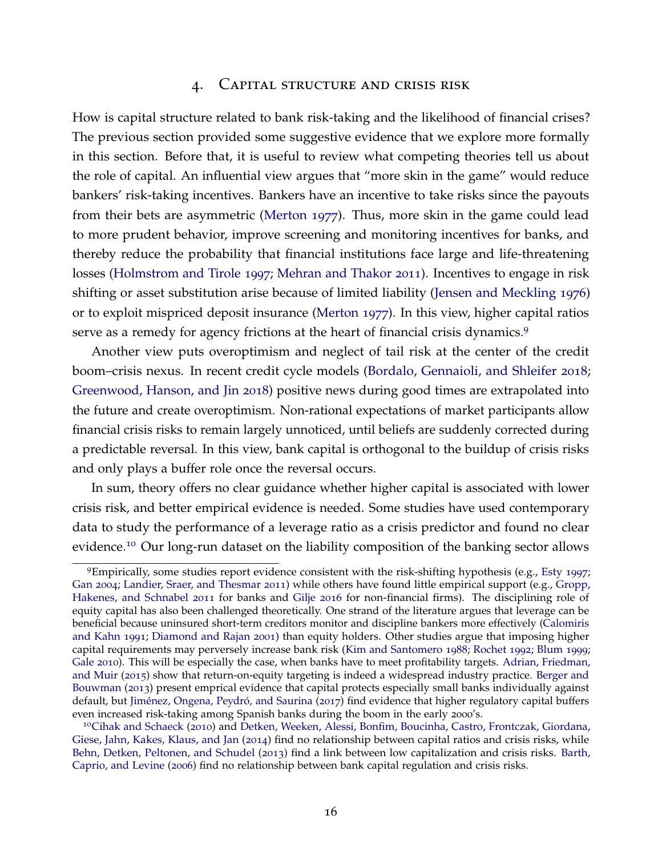### 4. Capital structure and crisis risk

How is capital structure related to bank risk-taking and the likelihood of financial crises? The previous section provided some suggestive evidence that we explore more formally in this section. Before that, it is useful to review what competing theories tell us about the role of capital. An influential view argues that "more skin in the game" would reduce bankers' risk-taking incentives. Bankers have an incentive to take risks since the payouts from their bets are asymmetric [\(Merton](#page-40-2) [1977](#page-40-2)). Thus, more skin in the game could lead to more prudent behavior, improve screening and monitoring incentives for banks, and thereby reduce the probability that financial institutions face large and life-threatening losses [\(Holmstrom and Tirole](#page-40-3) [1997](#page-40-3); [Mehran and Thakor](#page-40-4) [2011](#page-40-4)). Incentives to engage in risk shifting or asset substitution arise because of limited liability [\(Jensen and Meckling](#page-40-14) [1976](#page-40-14)) or to exploit mispriced deposit insurance [\(Merton](#page-40-2) [1977](#page-40-2)). In this view, higher capital ratios serve as a remedy for agency frictions at the heart of financial crisis dynamics.<sup>[9](#page-17-0)</sup>

Another view puts overoptimism and neglect of tail risk at the center of the credit boom–crisis nexus. In recent credit cycle models [\(Bordalo, Gennaioli, and Shleifer](#page-38-1) [2018](#page-38-1); [Greenwood, Hanson, and Jin](#page-39-3) [2018](#page-39-3)) positive news during good times are extrapolated into the future and create overoptimism. Non-rational expectations of market participants allow financial crisis risks to remain largely unnoticed, until beliefs are suddenly corrected during a predictable reversal. In this view, bank capital is orthogonal to the buildup of crisis risks and only plays a buffer role once the reversal occurs.

In sum, theory offers no clear guidance whether higher capital is associated with lower crisis risk, and better empirical evidence is needed. Some studies have used contemporary data to study the performance of a leverage ratio as a crisis predictor and found no clear evidence.[10](#page-17-1) Our long-run dataset on the liability composition of the banking sector allows

<span id="page-17-0"></span><sup>9</sup>Empirically, some studies report evidence consistent with the risk-shifting hypothesis (e.g., [Esty](#page-39-12) [1997](#page-39-12); [Gan](#page-39-13) [2004](#page-39-13); [Landier, Sraer, and Thesmar](#page-40-15) [2011](#page-40-15)) while others have found little empirical support (e.g., [Gropp,](#page-39-14) [Hakenes, and Schnabel](#page-39-14) [2011](#page-39-14) for banks and [Gilje](#page-39-15) [2016](#page-39-15) for non-financial firms). The disciplining role of equity capital has also been challenged theoretically. One strand of the literature argues that leverage can be beneficial because uninsured short-term creditors monitor and discipline bankers more effectively [\(Calomiris](#page-38-11) [and Kahn](#page-38-11) [1991](#page-38-11); [Diamond and Rajan](#page-39-16) [2001](#page-39-16)) than equity holders. Other studies argue that imposing higher capital requirements may perversely increase bank risk [\(Kim and Santomero](#page-40-16) [1988](#page-40-16); [Rochet](#page-41-15) [1992](#page-41-15); [Blum](#page-38-12) [1999](#page-38-12); [Gale](#page-39-17) [2010](#page-39-17)). This will be especially the case, when banks have to meet profitability targets. [Adrian, Friedman,](#page-38-13) [and Muir](#page-38-13) ([2015](#page-38-13)) show that return-on-equity targeting is indeed a widespread industry practice. [Berger and](#page-38-14) [Bouwman](#page-38-14) ([2013](#page-38-14)) present emprical evidence that capital protects especially small banks individually against default, but Jiménez, Ongena, Peydró, and Saurina ([2017](#page-40-17)) find evidence that higher regulatory capital buffers even increased risk-taking among Spanish banks during the boom in the early 2000's.

<span id="page-17-1"></span><sup>10</sup>[Cihak and Schaeck](#page-39-18) ([2010](#page-39-18)) and [Detken, Weeken, Alessi, Bonfim, Boucinha, Castro, Frontczak, Giordana,](#page-39-19) [Giese, Jahn, Kakes, Klaus, and Jan](#page-39-19) ([2014](#page-39-19)) find no relationship between capital ratios and crisis risks, while [Behn, Detken, Peltonen, and Schudel](#page-38-15) ([2013](#page-38-15)) find a link between low capitalization and crisis risks. [Barth,](#page-38-16) [Caprio, and Levine](#page-38-16) ([2006](#page-38-16)) find no relationship between bank capital regulation and crisis risks.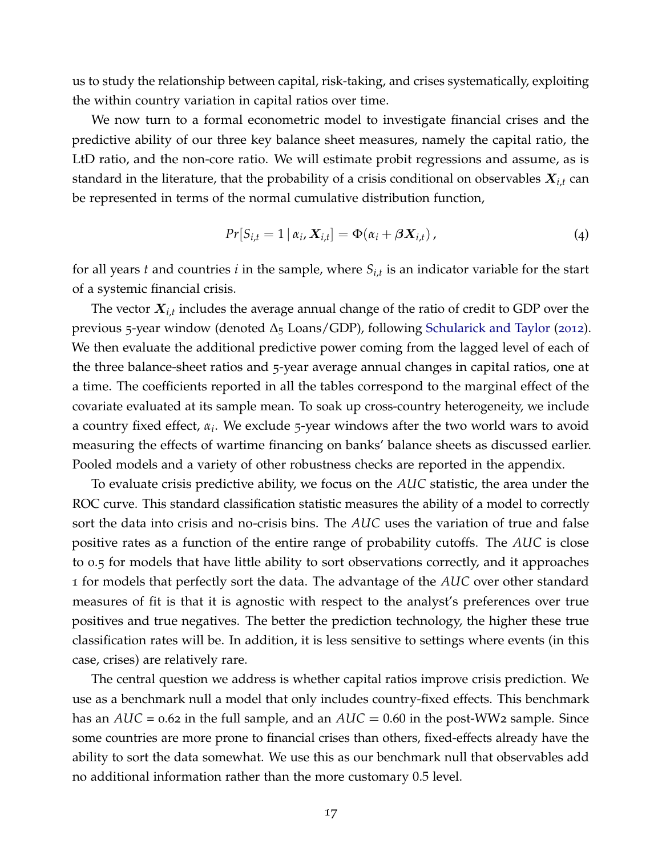us to study the relationship between capital, risk-taking, and crises systematically, exploiting the within country variation in capital ratios over time.

We now turn to a formal econometric model to investigate financial crises and the predictive ability of our three key balance sheet measures, namely the capital ratio, the LtD ratio, and the non-core ratio. We will estimate probit regressions and assume, as is standard in the literature, that the probability of a crisis conditional on observables X*i*,*<sup>t</sup>* can be represented in terms of the normal cumulative distribution function,

$$
Pr[S_{i,t} = 1 | \alpha_i, X_{i,t}] = \Phi(\alpha_i + \beta X_{i,t}), \qquad (4)
$$

for all years *t* and countries *i* in the sample, where *Si*,*<sup>t</sup>* is an indicator variable for the start of a systemic financial crisis.

The vector  $X_{i,t}$  includes the average annual change of the ratio of credit to GDP over the previous 5-year window (denoted  $\Delta_5$  Loans/GDP), following [Schularick and Taylor](#page-41-0) ([2012](#page-41-0)). We then evaluate the additional predictive power coming from the lagged level of each of the three balance-sheet ratios and 5-year average annual changes in capital ratios, one at a time. The coefficients reported in all the tables correspond to the marginal effect of the covariate evaluated at its sample mean. To soak up cross-country heterogeneity, we include a country fixed effect, *α<sup>i</sup>* . We exclude 5-year windows after the two world wars to avoid measuring the effects of wartime financing on banks' balance sheets as discussed earlier. Pooled models and a variety of other robustness checks are reported in the appendix.

To evaluate crisis predictive ability, we focus on the *AUC* statistic, the area under the ROC curve. This standard classification statistic measures the ability of a model to correctly sort the data into crisis and no-crisis bins. The *AUC* uses the variation of true and false positive rates as a function of the entire range of probability cutoffs. The *AUC* is close to 0.5 for models that have little ability to sort observations correctly, and it approaches 1 for models that perfectly sort the data. The advantage of the *AUC* over other standard measures of fit is that it is agnostic with respect to the analyst's preferences over true positives and true negatives. The better the prediction technology, the higher these true classification rates will be. In addition, it is less sensitive to settings where events (in this case, crises) are relatively rare.

The central question we address is whether capital ratios improve crisis prediction. We use as a benchmark null a model that only includes country-fixed effects. This benchmark has an *AUC* = 0.62 in the full sample, and an *AUC* = 0.60 in the post-WW<sub>2</sub> sample. Since some countries are more prone to financial crises than others, fixed-effects already have the ability to sort the data somewhat. We use this as our benchmark null that observables add no additional information rather than the more customary 0.5 level.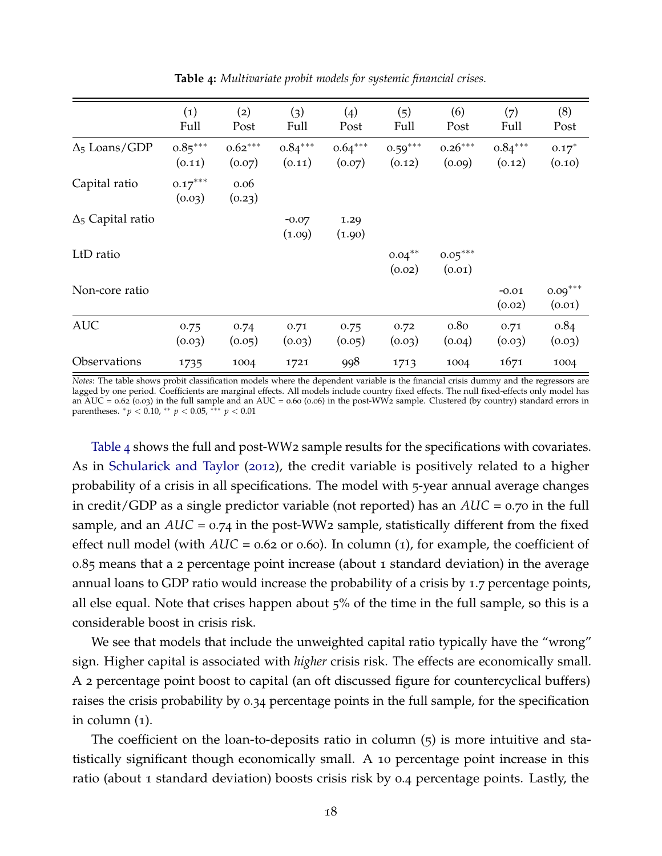<span id="page-19-0"></span>

|                          | (1)<br>Full         | (2)<br>Post         | (3)<br>Full         | (4)<br>Post         | (5)<br>Full         | (6)<br>Post                | (7)<br>Full         | (8)<br>Post         |
|--------------------------|---------------------|---------------------|---------------------|---------------------|---------------------|----------------------------|---------------------|---------------------|
| $\Delta_5$ Loans/GDP     | $0.85***$<br>(0.11) | $0.62***$<br>(0.07) | $0.84***$<br>(0.11) | $0.64***$<br>(0.07) | $0.59***$<br>(0.12) | $0.26***$<br>(0.09)        | $0.84***$<br>(0.12) | $0.17*$<br>(0.10)   |
| Capital ratio            | $0.17***$<br>(0.03) | 0.06<br>(0.23)      |                     |                     |                     |                            |                     |                     |
| $\Delta_5$ Capital ratio |                     |                     | $-0.07$<br>(1.09)   | 1.29<br>(1.90)      |                     |                            |                     |                     |
| LtD ratio                |                     |                     |                     |                     | $0.04***$<br>(0.02) | $0.05***$<br>(0.01)        |                     |                     |
| Non-core ratio           |                     |                     |                     |                     |                     |                            | $-0.01$<br>(0.02)   | $0.09***$<br>(0.01) |
| <b>AUC</b>               | 0.75<br>(0.03)      | 0.74<br>(0.05)      | 0.71<br>(0.03)      | 0.75<br>(0.05)      | 0.72<br>(0.03)      | 0.8 <sub>0</sub><br>(0.04) | 0.71<br>(0.03)      | 0.84<br>(0.03)      |
| Observations             | 1735                | 1004                | 1721                | 998                 | 1713                | 1004                       | 1671                | 1004                |

**Table 4:** *Multivariate probit models for systemic financial crises.*

*Notes*: The table shows probit classification models where the dependent variable is the financial crisis dummy and the regressors are lagged by one period. Coefficients are marginal effects. All models include country fixed effects. The null fixed-effects only model has an AUC = 0.62 (0.03) in the full sample and an AUC = 0.60 (0.06) in the post-WW2 sample. Clustered (by country) standard errors in parentheses.  ${}^*p$  < 0.10,  ${}^{**}p$  < 0.05,  ${}^{***}p$  < 0.01

[Table](#page-19-0) 4 shows the full and post-WW2 sample results for the specifications with covariates. As in [Schularick and Taylor](#page-41-0) ([2012](#page-41-0)), the credit variable is positively related to a higher probability of a crisis in all specifications. The model with 5-year annual average changes in credit/GDP as a single predictor variable (not reported) has an *AUC* = 0.70 in the full sample, and an  $AUC = 0.74$  in the post-WW<sub>2</sub> sample, statistically different from the fixed effect null model (with *AUC* = 0.62 or 0.60). In column (1), for example, the coefficient of 0.85 means that a 2 percentage point increase (about 1 standard deviation) in the average annual loans to GDP ratio would increase the probability of a crisis by 1.7 percentage points, all else equal. Note that crises happen about  $5\%$  of the time in the full sample, so this is a considerable boost in crisis risk.

We see that models that include the unweighted capital ratio typically have the "wrong" sign. Higher capital is associated with *higher* crisis risk. The effects are economically small. A 2 percentage point boost to capital (an oft discussed figure for countercyclical buffers) raises the crisis probability by 0.34 percentage points in the full sample, for the specification in column (1).

The coefficient on the loan-to-deposits ratio in column (5) is more intuitive and statistically significant though economically small. A 10 percentage point increase in this ratio (about 1 standard deviation) boosts crisis risk by 0.4 percentage points. Lastly, the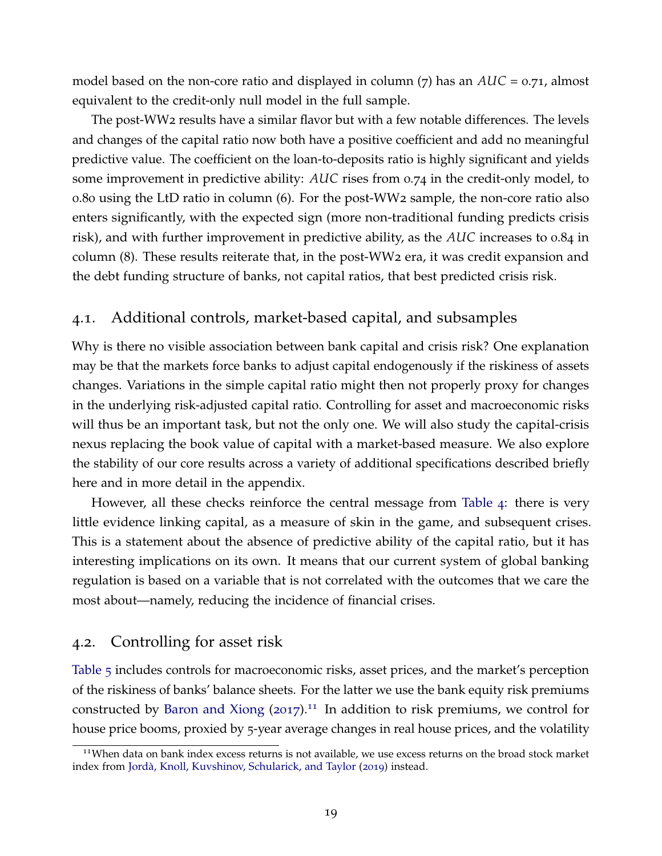model based on the non-core ratio and displayed in column (7) has an *AUC* = 0.71, almost equivalent to the credit-only null model in the full sample.

The post-WW2 results have a similar flavor but with a few notable differences. The levels and changes of the capital ratio now both have a positive coefficient and add no meaningful predictive value. The coefficient on the loan-to-deposits ratio is highly significant and yields some improvement in predictive ability: *AUC* rises from 0.74 in the credit-only model, to 0.80 using the LtD ratio in column (6). For the post-WW2 sample, the non-core ratio also enters significantly, with the expected sign (more non-traditional funding predicts crisis risk), and with further improvement in predictive ability, as the *AUC* increases to 0.84 in column (8). These results reiterate that, in the post-WW2 era, it was credit expansion and the debt funding structure of banks, not capital ratios, that best predicted crisis risk.

# 4.1. Additional controls, market-based capital, and subsamples

Why is there no visible association between bank capital and crisis risk? One explanation may be that the markets force banks to adjust capital endogenously if the riskiness of assets changes. Variations in the simple capital ratio might then not properly proxy for changes in the underlying risk-adjusted capital ratio. Controlling for asset and macroeconomic risks will thus be an important task, but not the only one. We will also study the capital-crisis nexus replacing the book value of capital with a market-based measure. We also explore the stability of our core results across a variety of additional specifications described briefly here and in more detail in the appendix.

However, all these checks reinforce the central message from [Table](#page-19-0) 4: there is very little evidence linking capital, as a measure of skin in the game, and subsequent crises. This is a statement about the absence of predictive ability of the capital ratio, but it has interesting implications on its own. It means that our current system of global banking regulation is based on a variable that is not correlated with the outcomes that we care the most about—namely, reducing the incidence of financial crises.

## 4.2. Controlling for asset risk

[Table](#page-21-0) 5 includes controls for macroeconomic risks, asset prices, and the market's perception of the riskiness of banks' balance sheets. For the latter we use the bank equity risk premiums constructed by [Baron and Xiong](#page-38-0)  $(2017)^{11}$  $(2017)^{11}$  $(2017)^{11}$  $(2017)^{11}$  $(2017)^{11}$  In addition to risk premiums, we control for house price booms, proxied by 5-year average changes in real house prices, and the volatility

<span id="page-20-0"></span><sup>&</sup>lt;sup>11</sup>When data on bank index excess returns is not available, we use excess returns on the broad stock market index from Jordà, Knoll, Kuvshinov, Schularick, and Taylor ([2019](#page-40-18)) instead.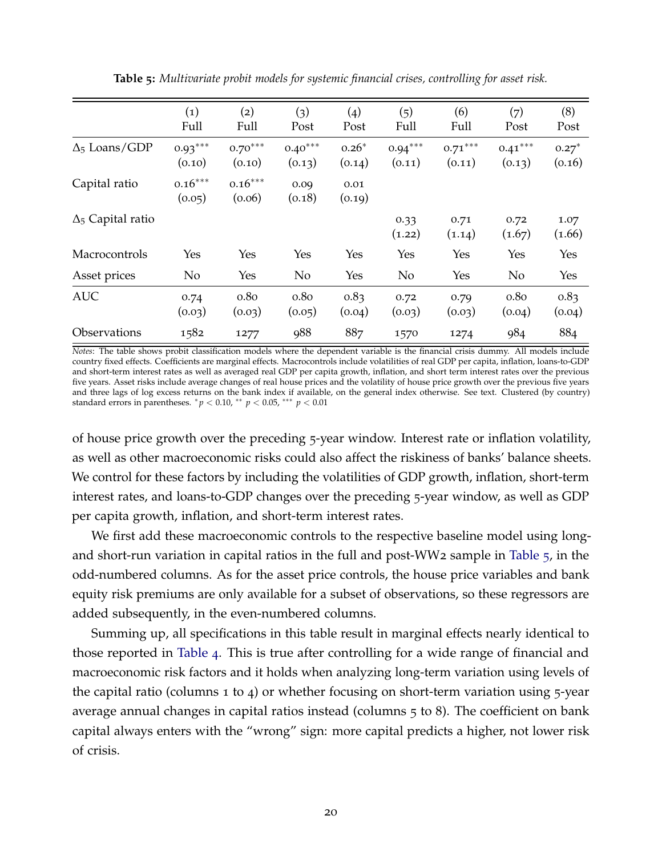<span id="page-21-0"></span>

|                          | $\left( 1\right)$<br>Full | (2)<br>Full                | (3)<br>Post                | (4)<br>Post       | (5)<br>Full         | (6)<br>Full         | (7)<br>Post         | (8)<br>Post       |
|--------------------------|---------------------------|----------------------------|----------------------------|-------------------|---------------------|---------------------|---------------------|-------------------|
| $\Delta_5$ Loans/GDP     | $0.93***$<br>(0.10)       | $0.70***$<br>(0.10)        | $0.40***$<br>(0.13)        | $0.26*$<br>(0.14) | $0.94***$<br>(0.11) | $0.71***$<br>(0.11) | $0.41***$<br>(0.13) | $0.27*$<br>(0.16) |
| Capital ratio            | $0.16***$<br>(0.05)       | $0.16***$<br>(0.06)        | 0.09<br>(0.18)             | 0.01<br>(0.19)    |                     |                     |                     |                   |
| $\Delta_5$ Capital ratio |                           |                            |                            |                   | 0.33<br>(1.22)      | 0.71<br>(1.14)      | 0.72<br>(1.67)      | 1.07<br>(1.66)    |
| Macrocontrols            | Yes                       | Yes                        | Yes                        | Yes               | Yes                 | Yes                 | Yes                 | Yes               |
| Asset prices             | N <sub>o</sub>            | Yes                        | No                         | Yes               | No                  | Yes                 | No                  | Yes               |
| <b>AUC</b>               | 0.74<br>(0.03)            | 0.8 <sub>0</sub><br>(0.03) | 0.8 <sub>0</sub><br>(0.05) | 0.83<br>(0.04)    | 0.72<br>(0.03)      | 0.79<br>(0.03)      | 0.80<br>(0.04)      | 0.83<br>(0.04)    |
| Observations             | 1582                      | 1277                       | <b>988</b>                 | 887               | 1570                | 1274                | 984                 | 884               |

**Table 5:** *Multivariate probit models for systemic financial crises, controlling for asset risk.*

*Notes*: The table shows probit classification models where the dependent variable is the financial crisis dummy. All models include country fixed effects. Coefficients are marginal effects. Macrocontrols include volatilities of real GDP per capita, inflation, loans-to-GDP and short-term interest rates as well as averaged real GDP per capita growth, inflation, and short term interest rates over the previous five years. Asset risks include average changes of real house prices and the volatility of house price growth over the previous five years and three lags of log excess returns on the bank index if available, on the general index otherwise. See text. Clustered (by country) standard errors in parentheses. <sup>∗</sup> *p* < 0.10, ∗∗ *p* < 0.05, ∗∗∗ *p* < 0.01

of house price growth over the preceding 5-year window. Interest rate or inflation volatility, as well as other macroeconomic risks could also affect the riskiness of banks' balance sheets. We control for these factors by including the volatilities of GDP growth, inflation, short-term interest rates, and loans-to-GDP changes over the preceding 5-year window, as well as GDP per capita growth, inflation, and short-term interest rates.

We first add these macroeconomic controls to the respective baseline model using longand short-run variation in capital ratios in the full and post-WW2 sample in [Table](#page-21-0) 5, in the odd-numbered columns. As for the asset price controls, the house price variables and bank equity risk premiums are only available for a subset of observations, so these regressors are added subsequently, in the even-numbered columns.

Summing up, all specifications in this table result in marginal effects nearly identical to those reported in [Table](#page-19-0) 4. This is true after controlling for a wide range of financial and macroeconomic risk factors and it holds when analyzing long-term variation using levels of the capital ratio (columns 1 to 4) or whether focusing on short-term variation using  $5$ -year average annual changes in capital ratios instead (columns 5 to 8). The coefficient on bank capital always enters with the "wrong" sign: more capital predicts a higher, not lower risk of crisis.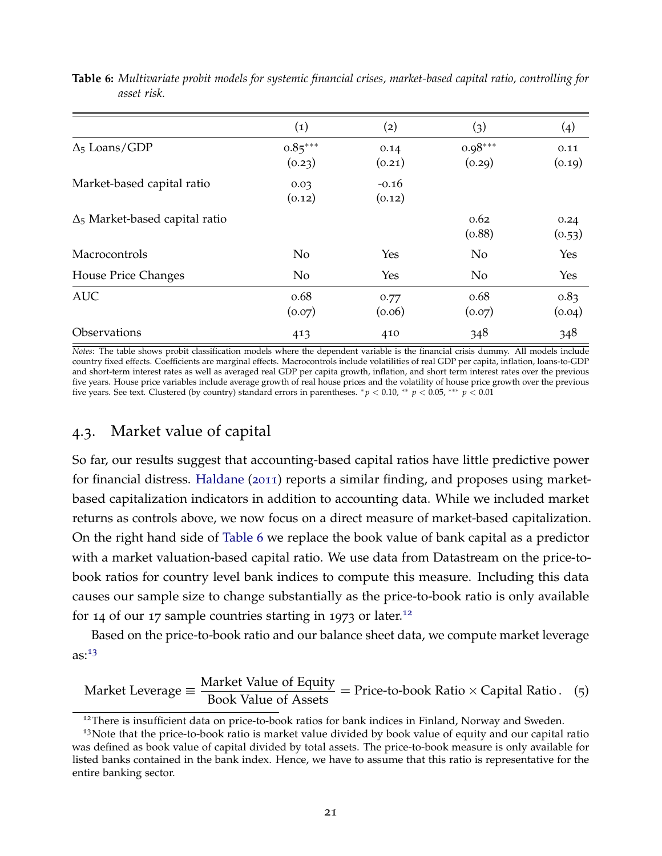|                                       | $\left( 1\right)$   | (2)               | (3)                 | (4)            |
|---------------------------------------|---------------------|-------------------|---------------------|----------------|
| $\Delta_5$ Loans/GDP                  | $0.85***$<br>(0.23) | 0.14<br>(0.21)    | $0.98***$<br>(0.29) | 0.11<br>(0.19) |
| Market-based capital ratio            | 0.03<br>(0.12)      | $-0.16$<br>(0.12) |                     |                |
| $\Delta_5$ Market-based capital ratio |                     |                   | 0.62<br>(0.88)      | 0.24<br>(0.53) |
| Macrocontrols                         | No                  | Yes               | No                  | Yes            |
| House Price Changes                   | No                  | <b>Yes</b>        | No                  | Yes            |
| <b>AUC</b>                            | 0.68<br>(0.07)      | 0.77<br>(0.06)    | 0.68<br>(0.07)      | 0.83<br>(0.04) |
| Observations                          | 413                 | 410               | 348                 | 348            |

<span id="page-22-0"></span>**Table 6:** *Multivariate probit models for systemic financial crises, market-based capital ratio, controlling for asset risk.*

*Notes*: The table shows probit classification models where the dependent variable is the financial crisis dummy. All models include country fixed effects. Coefficients are marginal effects. Macrocontrols include volatilities of real GDP per capita, inflation, loans-to-GDP and short-term interest rates as well as averaged real GDP per capita growth, inflation, and short term interest rates over the previous five years. House price variables include average growth of real house prices and the volatility of house price growth over the previous five years. See text. Clustered (by country) standard errors in parentheses. <sup>∗</sup> *p* < 0.10, ∗∗ *p* < 0.05, ∗∗∗ *p* < 0.01

## 4.3. Market value of capital

So far, our results suggest that accounting-based capital ratios have little predictive power for financial distress. [Haldane](#page-40-19) ([2011](#page-40-19)) reports a similar finding, and proposes using marketbased capitalization indicators in addition to accounting data. While we included market returns as controls above, we now focus on a direct measure of market-based capitalization. On the right hand side of [Table](#page-22-0) 6 we replace the book value of bank capital as a predictor with a market valuation-based capital ratio. We use data from Datastream on the price-tobook ratios for country level bank indices to compute this measure. Including this data causes our sample size to change substantially as the price-to-book ratio is only available for 14 of our 17 sample countries starting in 1973 or later.<sup>[12](#page-22-1)</sup>

Based on the price-to-book ratio and our balance sheet data, we compute market leverage  $as:13$  $as:13$ 

Market Leverage 
$$
\equiv
$$
  $\frac{\text{Market Value of Equity}}{\text{Book Value of Assets}} = \text{Price-to-book Ratio} \times \text{Capital Ratio}$ . (5)

<span id="page-22-2"></span><span id="page-22-1"></span><sup>&</sup>lt;sup>12</sup>There is insufficient data on price-to-book ratios for bank indices in Finland, Norway and Sweden.

 $13$ Note that the price-to-book ratio is market value divided by book value of equity and our capital ratio was defined as book value of capital divided by total assets. The price-to-book measure is only available for listed banks contained in the bank index. Hence, we have to assume that this ratio is representative for the entire banking sector.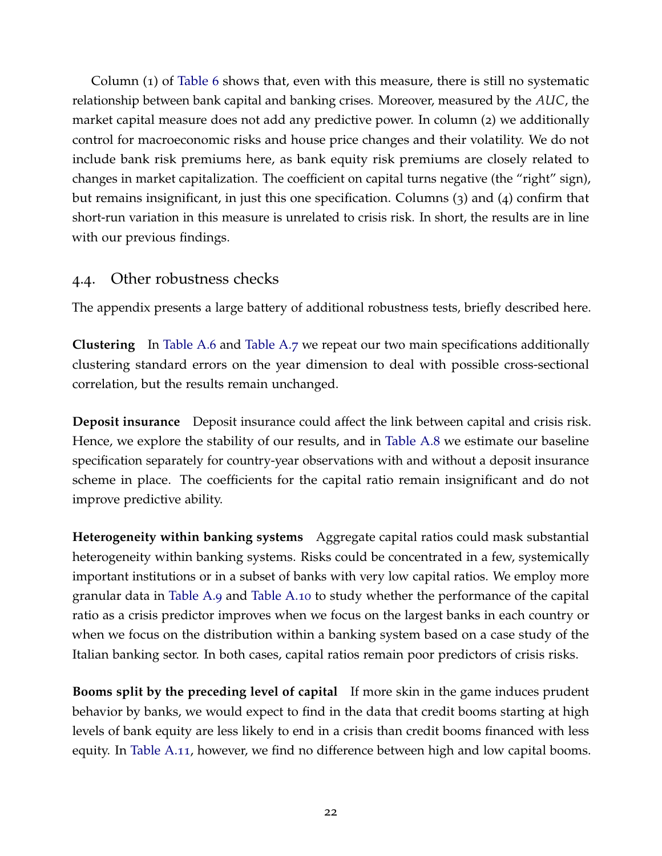Column (1) of [Table](#page-22-0) 6 shows that, even with this measure, there is still no systematic relationship between bank capital and banking crises. Moreover, measured by the *AUC*, the market capital measure does not add any predictive power. In column (2) we additionally control for macroeconomic risks and house price changes and their volatility. We do not include bank risk premiums here, as bank equity risk premiums are closely related to changes in market capitalization. The coefficient on capital turns negative (the "right" sign), but remains insignificant, in just this one specification. Columns (3) and (4) confirm that short-run variation in this measure is unrelated to crisis risk. In short, the results are in line with our previous findings.

# 4.4. Other robustness checks

The appendix presents a large battery of additional robustness tests, briefly described here.

**Clustering** In [Table A.](#page-50-0)6 and [Table A.](#page-50-1)7 we repeat our two main specifications additionally clustering standard errors on the year dimension to deal with possible cross-sectional correlation, but the results remain unchanged.

**Deposit insurance** Deposit insurance could affect the link between capital and crisis risk. Hence, we explore the stability of our results, and in [Table A.](#page-51-0)8 we estimate our baseline specification separately for country-year observations with and without a deposit insurance scheme in place. The coefficients for the capital ratio remain insignificant and do not improve predictive ability.

**Heterogeneity within banking systems** Aggregate capital ratios could mask substantial heterogeneity within banking systems. Risks could be concentrated in a few, systemically important institutions or in a subset of banks with very low capital ratios. We employ more granular data in [Table A.](#page-52-0)9 and [Table A.](#page-54-0)10 to study whether the performance of the capital ratio as a crisis predictor improves when we focus on the largest banks in each country or when we focus on the distribution within a banking system based on a case study of the Italian banking sector. In both cases, capital ratios remain poor predictors of crisis risks.

**Booms split by the preceding level of capital** If more skin in the game induces prudent behavior by banks, we would expect to find in the data that credit booms starting at high levels of bank equity are less likely to end in a crisis than credit booms financed with less equity. In [Table A.](#page-55-0)11, however, we find no difference between high and low capital booms.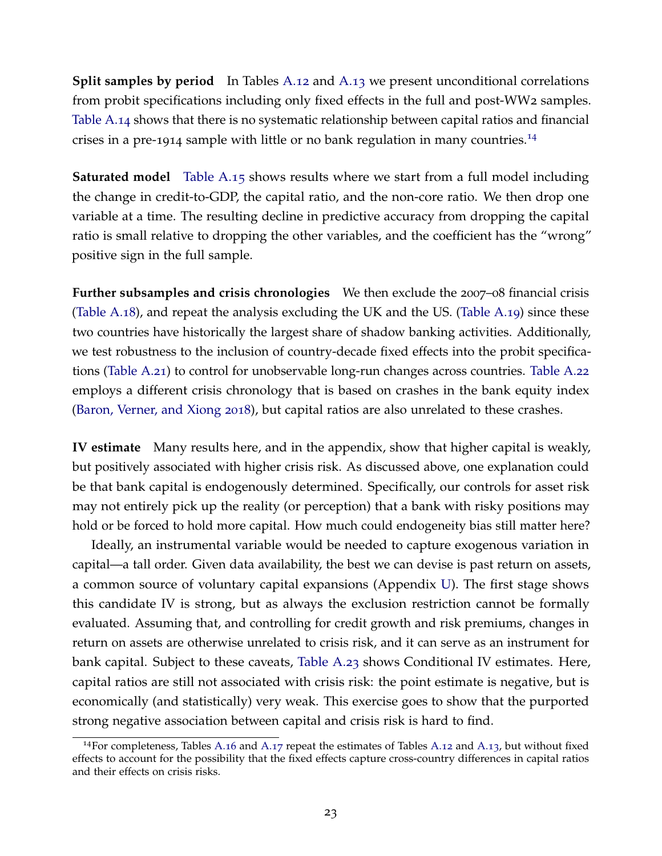**Split samples by period** In Tables [A.](#page-57-0)12 and A.13 we present unconditional correlations from probit specifications including only fixed effects in the full and post-WW2 samples. [Table A.](#page-58-0)14 shows that there is no systematic relationship between capital ratios and financial crises in a pre-1914 sample with little or no bank regulation in many countries.[14](#page-24-0)

**Saturated model** [Table A.](#page-59-0)15 shows results where we start from a full model including the change in credit-to-GDP, the capital ratio, and the non-core ratio. We then drop one variable at a time. The resulting decline in predictive accuracy from dropping the capital ratio is small relative to dropping the other variables, and the coefficient has the "wrong" positive sign in the full sample.

**Further subsamples and crisis chronologies** We then exclude the 2007–08 financial crisis [\(Table A.](#page-62-0)18), and repeat the analysis excluding the UK and the US. [\(Table A.](#page-63-0)19) since these two countries have historically the largest share of shadow banking activities. Additionally, we test robustness to the inclusion of country-decade fixed effects into the probit specifications [\(Table A.](#page-65-0)21) to control for unobservable long-run changes across countries. [Table A.](#page-66-0)22 employs a different crisis chronology that is based on crashes in the bank equity index [\(Baron, Verner, and Xiong](#page-38-17) [2018](#page-38-17)), but capital ratios are also unrelated to these crashes.

**IV estimate** Many results here, and in the appendix, show that higher capital is weakly, but positively associated with higher crisis risk. As discussed above, one explanation could be that bank capital is endogenously determined. Specifically, our controls for asset risk may not entirely pick up the reality (or perception) that a bank with risky positions may hold or be forced to hold more capital. How much could endogeneity bias still matter here?

Ideally, an instrumental variable would be needed to capture exogenous variation in capital—a tall order. Given data availability, the best we can devise is past return on assets, a common source of voluntary capital expansions (Appendix [U\)](#page-67-0). The first stage shows this candidate IV is strong, but as always the exclusion restriction cannot be formally evaluated. Assuming that, and controlling for credit growth and risk premiums, changes in return on assets are otherwise unrelated to crisis risk, and it can serve as an instrument for bank capital. Subject to these caveats, [Table A.](#page-68-0)23 shows Conditional IV estimates. Here, capital ratios are still not associated with crisis risk: the point estimate is negative, but is economically (and statistically) very weak. This exercise goes to show that the purported strong negative association between capital and crisis risk is hard to find.

<span id="page-24-0"></span><sup>&</sup>lt;sup>14</sup>For completeness, Tables [A.](#page-57-0)16 and A.17 repeat the estimates of Tables A.12 and A.13, but without fixed effects to account for the possibility that the fixed effects capture cross-country differences in capital ratios and their effects on crisis risks.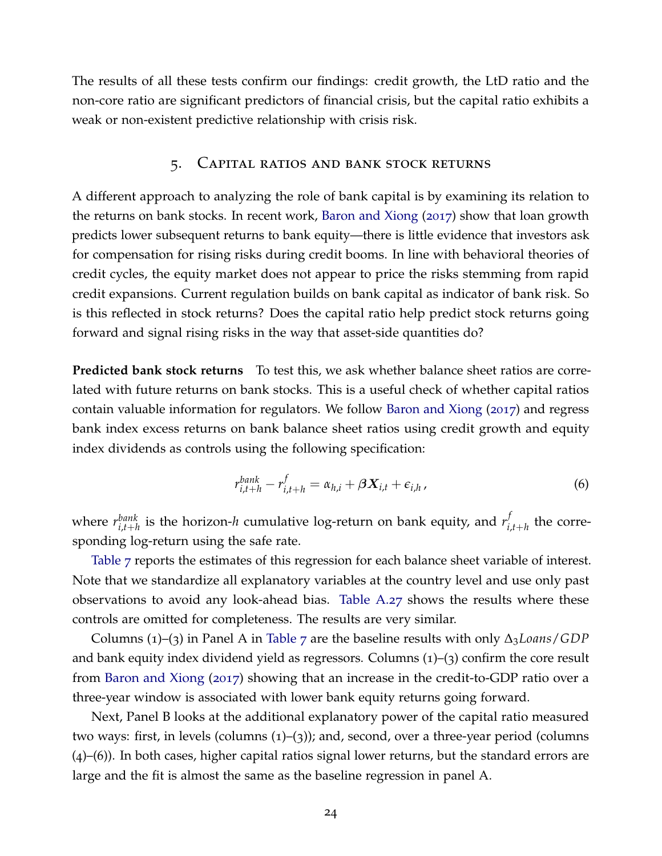The results of all these tests confirm our findings: credit growth, the LtD ratio and the non-core ratio are significant predictors of financial crisis, but the capital ratio exhibits a weak or non-existent predictive relationship with crisis risk.

### 5. Capital ratios and bank stock returns

A different approach to analyzing the role of bank capital is by examining its relation to the returns on bank stocks. In recent work, [Baron and Xiong](#page-38-0) ([2017](#page-38-0)) show that loan growth predicts lower subsequent returns to bank equity—there is little evidence that investors ask for compensation for rising risks during credit booms. In line with behavioral theories of credit cycles, the equity market does not appear to price the risks stemming from rapid credit expansions. Current regulation builds on bank capital as indicator of bank risk. So is this reflected in stock returns? Does the capital ratio help predict stock returns going forward and signal rising risks in the way that asset-side quantities do?

**Predicted bank stock returns** To test this, we ask whether balance sheet ratios are correlated with future returns on bank stocks. This is a useful check of whether capital ratios contain valuable information for regulators. We follow [Baron and Xiong](#page-38-0) ([2017](#page-38-0)) and regress bank index excess returns on bank balance sheet ratios using credit growth and equity index dividends as controls using the following specification:

$$
r_{i,t+h}^{bank} - r_{i,t+h}^f = \alpha_{h,i} + \beta \mathbf{X}_{i,t} + \epsilon_{i,h} \,, \tag{6}
$$

where  $r_{i,t+h}^{bank}$  is the horizon-*h* cumulative log-return on bank equity, and  $r_{i}^{f}$  $\sum_{i,t+h}^{f}$  the corresponding log-return using the safe rate.

[Table](#page-26-0) 7 reports the estimates of this regression for each balance sheet variable of interest. Note that we standardize all explanatory variables at the country level and use only past observations to avoid any look-ahead bias. [Table A.](#page-73-0)27 shows the results where these controls are omitted for completeness. The results are very similar.

Columns (1)–(3) in Panel A in [Table](#page-26-0) 7 are the baseline results with only ∆3*Loans*/*GDP* and bank equity index dividend yield as regressors. Columns (1)–(3) confirm the core result from [Baron and Xiong](#page-38-0) ([2017](#page-38-0)) showing that an increase in the credit-to-GDP ratio over a three-year window is associated with lower bank equity returns going forward.

Next, Panel B looks at the additional explanatory power of the capital ratio measured two ways: first, in levels (columns (1)–(3)); and, second, over a three-year period (columns (4)–(6)). In both cases, higher capital ratios signal lower returns, but the standard errors are large and the fit is almost the same as the baseline regression in panel A.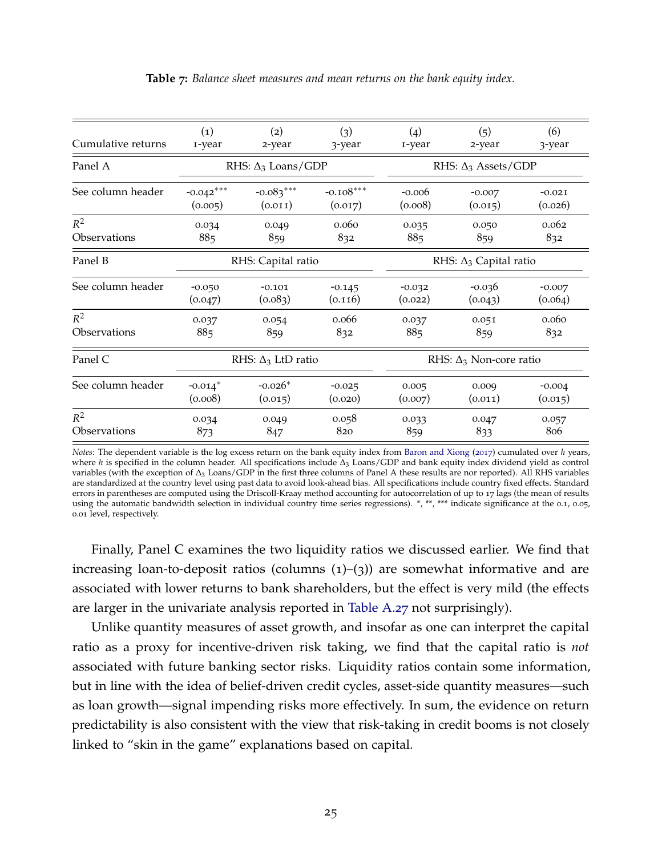<span id="page-26-0"></span>

| Cumulative returns | $\left( 1\right)$     | (2)                       | (3)         | (4)      | (5)                            | (6)      |  |  |
|--------------------|-----------------------|---------------------------|-------------|----------|--------------------------------|----------|--|--|
|                    | 1-year                | 2-year                    | 3-year      | 1-year   | 2-year                         | 3-year   |  |  |
| Panel A            |                       | RHS: $\Delta_3$ Loans/GDP |             |          | RHS: $\Delta_3$ Assets/GDP     |          |  |  |
| See column header  | $-0.042***$           | $-0.083***$               | $-0.108***$ | $-0.006$ | $-0.007$                       | $-0.021$ |  |  |
|                    | (0.005)               | (0.011)                   | (0.017)     | (0.008)  | (0.015)                        | (0.026)  |  |  |
| $R^2$              | 0.034                 | 0.049                     | 0.060       | 0.035    | 0.050                          | 0.062    |  |  |
| Observations       | 885                   | 859                       | 832         | 885      | 859                            | 832      |  |  |
| Panel B            |                       | RHS: Capital ratio        |             |          | RHS: $\Delta_3$ Capital ratio  |          |  |  |
| See column header  | $-0.050$              | $-0.101$                  | $-0.145$    | $-0.032$ | $-0.036$                       | $-0.007$ |  |  |
|                    | (0.047)               | (0.083)                   | (0.116)     | (0.022)  | (0.043)                        | (0.064)  |  |  |
| $R^2$              | 0.037                 | 0.054                     | 0.066       | 0.037    | 0.051                          | 0.060    |  |  |
| Observations       | 885                   | 859                       | 832         | 885      | 859                            | 832      |  |  |
| Panel C            |                       | RHS: $\Delta_3$ LtD ratio |             |          | RHS: $\Delta_3$ Non-core ratio |          |  |  |
| See column header  | $-0.014$ <sup>*</sup> | $-0.026*$                 | $-0.025$    | 0.005    | 0.009                          | $-0.004$ |  |  |
|                    | (0.008)               | (0.015)                   | (0.020)     | (0.007)  | (0.011)                        | (0.015)  |  |  |
| $R^2$              | 0.034                 | 0.049                     | 0.058       | 0.033    | 0.047                          | 0.057    |  |  |
| Observations       | 873                   | 847                       | 820         | 859      | 833                            | 806      |  |  |

**Table 7:** *Balance sheet measures and mean returns on the bank equity index.*

*Notes*: The dependent variable is the log excess return on the bank equity index from [Baron and Xiong](#page-38-0) ([2017](#page-38-0)) cumulated over *h* years, where *h* is specified in the column header. All specifications include ∆<sup>3</sup> Loans/GDP and bank equity index dividend yield as control variables (with the exception of ∆<sup>3</sup> Loans/GDP in the first three columns of Panel A these results are nor reported). All RHS variables are standardized at the country level using past data to avoid look-ahead bias. All specifications include country fixed effects. Standard errors in parentheses are computed using the Driscoll-Kraay method accounting for autocorrelation of up to 17 lags (the mean of results using the automatic bandwidth selection in individual country time series regressions). \*, \*\*, \*\*\* indicate significance at the 0.1, 0.05, 0.01 level, respectively.

Finally, Panel C examines the two liquidity ratios we discussed earlier. We find that increasing loan-to-deposit ratios (columns  $(1)$ – $(3)$ ) are somewhat informative and are associated with lower returns to bank shareholders, but the effect is very mild (the effects are larger in the univariate analysis reported in [Table A.](#page-73-0)27 not surprisingly).

Unlike quantity measures of asset growth, and insofar as one can interpret the capital ratio as a proxy for incentive-driven risk taking, we find that the capital ratio is *not* associated with future banking sector risks. Liquidity ratios contain some information, but in line with the idea of belief-driven credit cycles, asset-side quantity measures—such as loan growth—signal impending risks more effectively. In sum, the evidence on return predictability is also consistent with the view that risk-taking in credit booms is not closely linked to "skin in the game" explanations based on capital.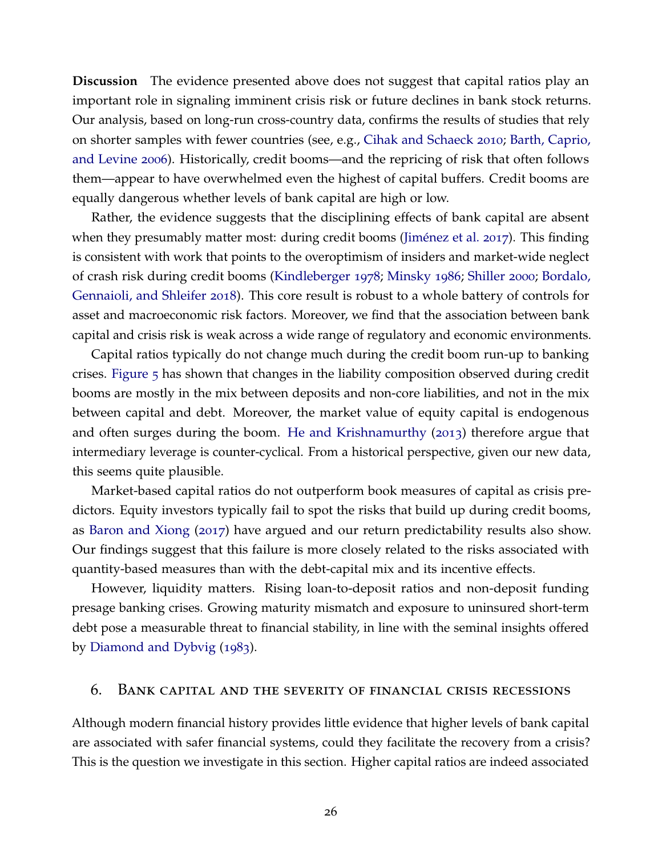**Discussion** The evidence presented above does not suggest that capital ratios play an important role in signaling imminent crisis risk or future declines in bank stock returns. Our analysis, based on long-run cross-country data, confirms the results of studies that rely on shorter samples with fewer countries (see, e.g., [Cihak and Schaeck](#page-39-18) [2010](#page-39-18); [Barth, Caprio,](#page-38-16) [and Levine](#page-38-16) [2006](#page-38-16)). Historically, credit booms—and the repricing of risk that often follows them—appear to have overwhelmed even the highest of capital buffers. Credit booms are equally dangerous whether levels of bank capital are high or low.

Rather, the evidence suggests that the disciplining effects of bank capital are absent when they presumably matter most: during credit booms (Jiménez et al. [2017](#page-40-17)). This finding is consistent with work that points to the overoptimism of insiders and market-wide neglect of crash risk during credit booms [\(Kindleberger](#page-40-5) [1978](#page-40-5); [Minsky](#page-41-4) [1986](#page-41-4); [Shiller](#page-41-5) [2000](#page-41-5); [Bordalo,](#page-38-1) [Gennaioli, and Shleifer](#page-38-1) [2018](#page-38-1)). This core result is robust to a whole battery of controls for asset and macroeconomic risk factors. Moreover, we find that the association between bank capital and crisis risk is weak across a wide range of regulatory and economic environments.

Capital ratios typically do not change much during the credit boom run-up to banking crises. [Figure](#page-15-1) 5 has shown that changes in the liability composition observed during credit booms are mostly in the mix between deposits and non-core liabilities, and not in the mix between capital and debt. Moreover, the market value of equity capital is endogenous and often surges during the boom. [He and Krishnamurthy](#page-40-9) ([2013](#page-40-9)) therefore argue that intermediary leverage is counter-cyclical. From a historical perspective, given our new data, this seems quite plausible.

Market-based capital ratios do not outperform book measures of capital as crisis predictors. Equity investors typically fail to spot the risks that build up during credit booms, as [Baron and Xiong](#page-38-0) ([2017](#page-38-0)) have argued and our return predictability results also show. Our findings suggest that this failure is more closely related to the risks associated with quantity-based measures than with the debt-capital mix and its incentive effects.

However, liquidity matters. Rising loan-to-deposit ratios and non-deposit funding presage banking crises. Growing maturity mismatch and exposure to uninsured short-term debt pose a measurable threat to financial stability, in line with the seminal insights offered by [Diamond and Dybvig](#page-39-5) ([1983](#page-39-5)).

#### 6. Bank capital and the severity of financial crisis recessions

Although modern financial history provides little evidence that higher levels of bank capital are associated with safer financial systems, could they facilitate the recovery from a crisis? This is the question we investigate in this section. Higher capital ratios are indeed associated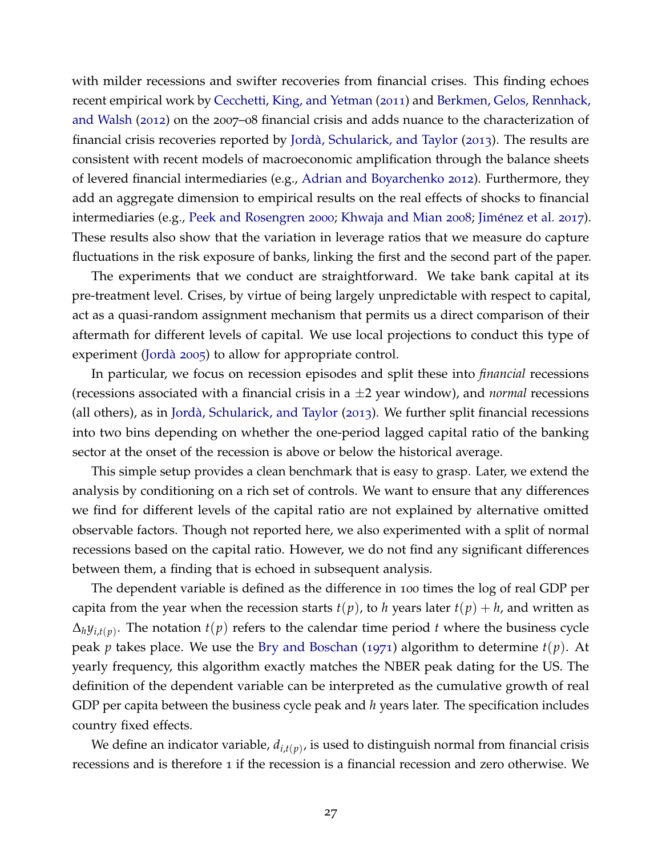with milder recessions and swifter recoveries from financial crises. This finding echoes recent empirical work by [Cecchetti, King, and Yetman](#page-39-7) ([2011](#page-39-7)) and [Berkmen, Gelos, Rennhack,](#page-38-5) [and Walsh](#page-38-5) ([2012](#page-38-5)) on the 2007–08 financial crisis and adds nuance to the characterization of financial crisis recoveries reported by Jordà, Schularick, and Taylor ([2013](#page-40-0)). The results are consistent with recent models of macroeconomic amplification through the balance sheets of levered financial intermediaries (e.g., [Adrian and Boyarchenko](#page-38-18) [2012](#page-38-18)). Furthermore, they add an aggregate dimension to empirical results on the real effects of shocks to financial intermediaries (e.g., [Peek and Rosengren](#page-41-9) [2000](#page-41-9); [Khwaja and Mian](#page-40-8) [2008](#page-40-8); Jiménez et al. [2017](#page-40-17)). These results also show that the variation in leverage ratios that we measure do capture fluctuations in the risk exposure of banks, linking the first and the second part of the paper.

The experiments that we conduct are straightforward. We take bank capital at its pre-treatment level. Crises, by virtue of being largely unpredictable with respect to capital, act as a quasi-random assignment mechanism that permits us a direct comparison of their aftermath for different levels of capital. We use local projections to conduct this type of experiment (Jordà [2005](#page-40-20)) to allow for appropriate control.

In particular, we focus on recession episodes and split these into *financial* recessions (recessions associated with a financial crisis in a ±2 year window), and *normal* recessions (all others), as in Jordà, Schularick, and Taylor  $(2013)$  $(2013)$  $(2013)$ . We further split financial recessions into two bins depending on whether the one-period lagged capital ratio of the banking sector at the onset of the recession is above or below the historical average.

This simple setup provides a clean benchmark that is easy to grasp. Later, we extend the analysis by conditioning on a rich set of controls. We want to ensure that any differences we find for different levels of the capital ratio are not explained by alternative omitted observable factors. Though not reported here, we also experimented with a split of normal recessions based on the capital ratio. However, we do not find any significant differences between them, a finding that is echoed in subsequent analysis.

The dependent variable is defined as the difference in 100 times the log of real GDP per capita from the year when the recession starts  $t(p)$ , to *h* years later  $t(p) + h$ , and written as  $\Delta_h y_{i,t(p)}$ . The notation  $t(p)$  refers to the calendar time period *t* where the business cycle peak *p* takes place. We use the [Bry and Boschan](#page-38-19) ([1971](#page-38-19)) algorithm to determine *t*(*p*). At yearly frequency, this algorithm exactly matches the NBER peak dating for the US. The definition of the dependent variable can be interpreted as the cumulative growth of real GDP per capita between the business cycle peak and *h* years later. The specification includes country fixed effects.

We define an indicator variable, *di*,*t*(*p*) , is used to distinguish normal from financial crisis recessions and is therefore 1 if the recession is a financial recession and zero otherwise. We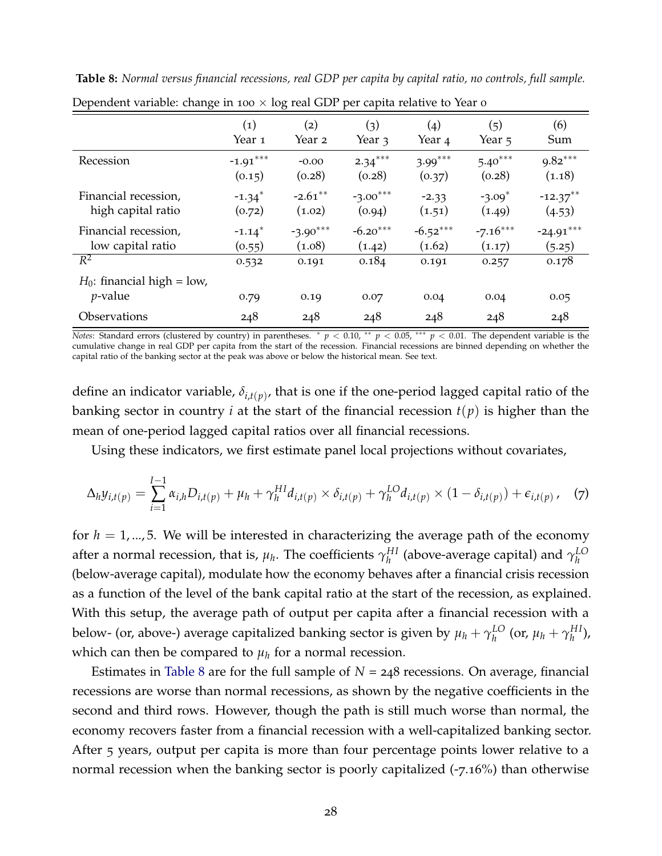| Dependent variable: change in 100 $\times$ log real GDP per capita relative to Year o |                      |            |            |                    |            |             |  |  |  |
|---------------------------------------------------------------------------------------|----------------------|------------|------------|--------------------|------------|-------------|--|--|--|
|                                                                                       | $\left( 1\right)$    | (2)        | (3)        | $\left( 4 \right)$ | (5)        | (6)         |  |  |  |
|                                                                                       | Year 1               | Year 2     | Year 3     | Year <sub>4</sub>  | Year 5     | Sum         |  |  |  |
| Recession                                                                             | $-1.91***$           | $-0.00$    | $2.34***$  | $3.99***$          | $5.40***$  | $9.82***$   |  |  |  |
|                                                                                       | (0.15)               | (0.28)     | (0.28)     | (0.37)             | (0.28)     | (1.18)      |  |  |  |
| Financial recession,                                                                  | $-1.34$ <sup>*</sup> | $-2.61***$ | $-3.00***$ | $-2.33$            | $-3.09*$   | $-12.37***$ |  |  |  |
| high capital ratio                                                                    | (0.72)               | (1.02)     | (0.94)     | (1.51)             | (1.49)     | (4.53)      |  |  |  |
| Financial recession,                                                                  | $-1.14$ <sup>*</sup> | $-3.90***$ | $-6.20***$ | $-6.52***$         | $-7.16***$ | $-24.91***$ |  |  |  |
| low capital ratio                                                                     | (0.55)               | (1.08)     | (1.42)     | (1.62)             | (1.17)     | (5.25)      |  |  |  |
| $\mathbb{R}^2$<br>$H_0$ : financial high = low,<br>$p$ -value                         | 0.532                | 0.191      | 0.184      | 0.191              | 0.257      | 0.178       |  |  |  |
| Observations                                                                          | 0.79                 | 0.19       | 0.07       | 0.04               | 0.04       | 0.05        |  |  |  |
|                                                                                       | 248                  | 248        | 248        | 248                | 248        | 248         |  |  |  |

<span id="page-29-0"></span>**Table 8:** *Normal versus financial recessions, real GDP per capita by capital ratio, no controls, full sample.*

*Notes*: Standard errors (clustered by country) in parentheses. <sup>∗</sup> *p* < 0.10, ∗∗ *p* < 0.05, ∗∗∗ *p* < 0.01. The dependent variable is the cumulative change in real GDP per capita from the start of the recession. Financial recessions are binned depending on whether the capital ratio of the banking sector at the peak was above or below the historical mean. See text.

define an indicator variable, *δi*,*t*(*p*) , that is one if the one-period lagged capital ratio of the banking sector in country *i* at the start of the financial recession  $t(p)$  is higher than the mean of one-period lagged capital ratios over all financial recessions.

<span id="page-29-1"></span>Using these indicators, we first estimate panel local projections without covariates,

$$
\Delta_h y_{i,t(p)} = \sum_{i=1}^{I-1} \alpha_{i,h} D_{i,t(p)} + \mu_h + \gamma_h^{HI} d_{i,t(p)} \times \delta_{i,t(p)} + \gamma_h^{LO} d_{i,t(p)} \times (1 - \delta_{i,t(p)}) + \epsilon_{i,t(p)}, \quad (7)
$$

for  $h = 1, \ldots, 5$ . We will be interested in characterizing the average path of the economy after a normal recession, that is,  $\mu_h$ . The coefficients  $\gamma_h^{HI}$ *h* (above-average capital) and *γ LO h* (below-average capital), modulate how the economy behaves after a financial crisis recession as a function of the level of the bank capital ratio at the start of the recession, as explained. With this setup, the average path of output per capita after a financial recession with a below- (or, above-) average capitalized banking sector is given by  $\mu_h + \gamma_h^{LO}$  $_{h}^{LO}$  (or,  $\mu_h + \gamma_h^{HI}$ *h* ), which can then be compared to  $\mu_h$  for a normal recession.

Estimates in [Table](#page-29-0) 8 are for the full sample of  $N = 248$  recessions. On average, financial recessions are worse than normal recessions, as shown by the negative coefficients in the second and third rows. However, though the path is still much worse than normal, the economy recovers faster from a financial recession with a well-capitalized banking sector. After 5 years, output per capita is more than four percentage points lower relative to a normal recession when the banking sector is poorly capitalized (-7.16%) than otherwise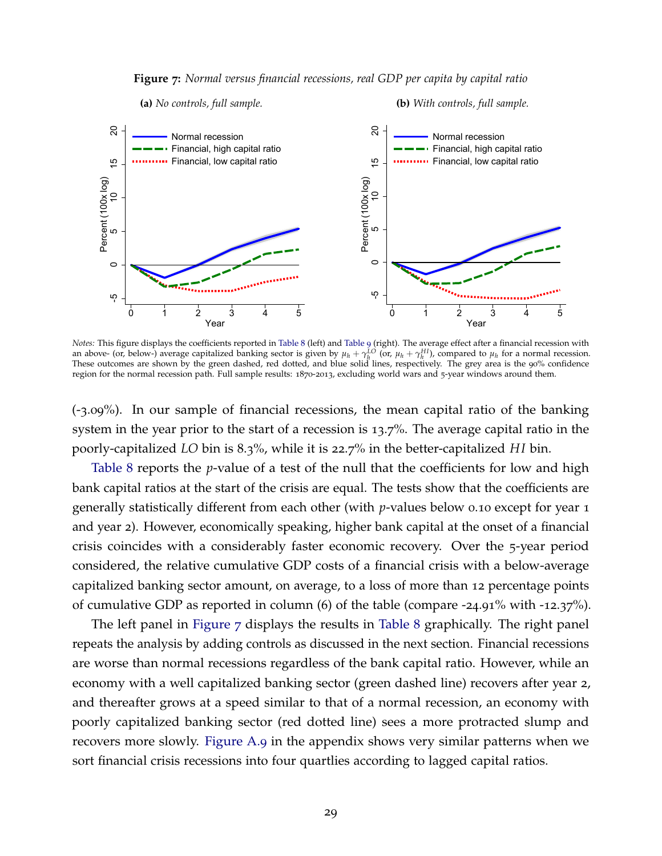**Figure 7:** *Normal versus financial recessions, real GDP per capita by capital ratio*

<span id="page-30-0"></span>

*Notes:* This figure displays the coefficients reported in [Table](#page-29-0) 8 (left) and [Table](#page-31-0) 9 (right). The average effect after a financial recession with an above- (or, below-) average capitalized banking sector is given by  $\mu_h + \gamma_h^{LO}$  (or,  $\mu_h + \gamma_h^{HI}$ ), compared to  $\mu_h$  for a normal recession.<br>These outcomes are shown by the green dashed, red dotted, and blue solid lin region for the normal recession path. Full sample results: 1870-2013, excluding world wars and 5-year windows around them.

(-3.09%). In our sample of financial recessions, the mean capital ratio of the banking system in the year prior to the start of a recession is 13.7%. The average capital ratio in the poorly-capitalized *LO* bin is 8.3%, while it is 22.7% in the better-capitalized *H I* bin.

[Table](#page-29-0) 8 reports the *p*-value of a test of the null that the coefficients for low and high bank capital ratios at the start of the crisis are equal. The tests show that the coefficients are generally statistically different from each other (with *p*-values below 0.10 except for year 1 and year 2). However, economically speaking, higher bank capital at the onset of a financial crisis coincides with a considerably faster economic recovery. Over the 5-year period considered, the relative cumulative GDP costs of a financial crisis with a below-average capitalized banking sector amount, on average, to a loss of more than 12 percentage points of cumulative GDP as reported in column (6) of the table (compare -24.91% with -12.37%).

The left panel in [Figure](#page-30-0) 7 displays the results in [Table](#page-29-0) 8 graphically. The right panel repeats the analysis by adding controls as discussed in the next section. Financial recessions are worse than normal recessions regardless of the bank capital ratio. However, while an economy with a well capitalized banking sector (green dashed line) recovers after year 2, and thereafter grows at a speed similar to that of a normal recession, an economy with poorly capitalized banking sector (red dotted line) sees a more protracted slump and recovers more slowly. [Figure A.](#page-72-0)9 in the appendix shows very similar patterns when we sort financial crisis recessions into four quartlies according to lagged capital ratios.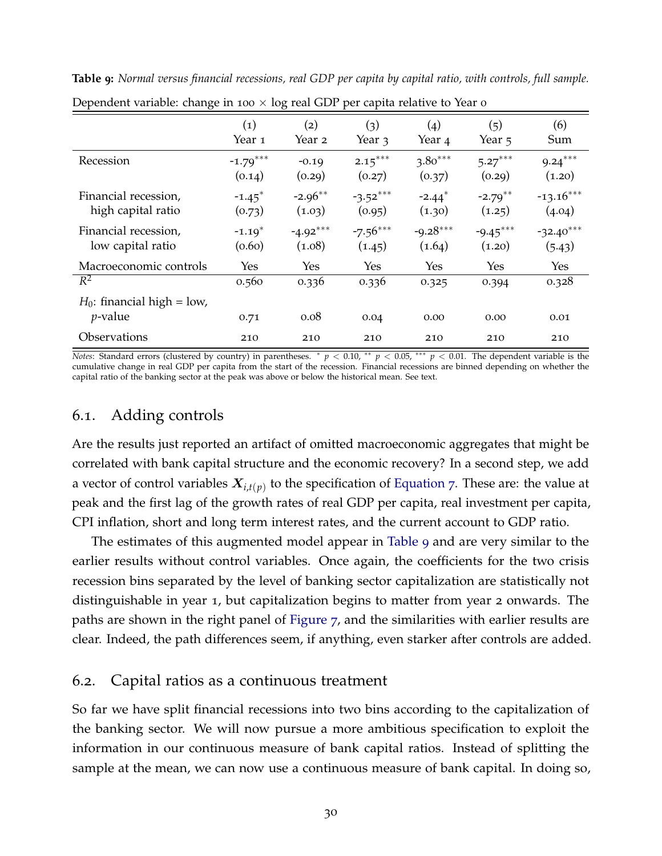| $\mathbf{r}$<br>$\mathbf{\mathcal{C}}$      |                                | $\mathbf\sigma$      | л.                   |                                |                      |                       |
|---------------------------------------------|--------------------------------|----------------------|----------------------|--------------------------------|----------------------|-----------------------|
|                                             | $\left( 1\right)$<br>Year 1    | $\rm(2)$<br>Year 2   | (3)<br>Year 3        | $\left( 4 \right)$<br>Year 4   | (5)<br>Year 5        | (6)<br>Sum            |
| Recession                                   | $-1.79***$<br>(0.14)           | $-0.19$<br>(0.29)    | $2.15***$<br>(0.27)  | $3.80***$<br>(0.37)            | $5.27***$<br>(0.29)  | $9.24***$<br>(1.20)   |
| Financial recession,<br>high capital ratio  | $-1.45$ <sup>*</sup><br>(0.73) | $-2.96**$<br>(1.03)  | $-3.52***$<br>(0.95) | $-2.44$ <sup>*</sup><br>(1.30) | $-2.79***$<br>(1.25) | $-13.16***$<br>(4.04) |
| Financial recession,<br>low capital ratio   | $-1.19*$<br>(0.60)             | $-4.92***$<br>(1.08) | $-7.56***$<br>(1.45) | $-9.28***$<br>(1.64)           | $-9.45***$<br>(1.20) | $-32.40***$<br>(5.43) |
| Macroeconomic controls                      | Yes                            | Yes                  | Yes                  | Yes                            | Yes                  | <b>Yes</b>            |
| $R^2$                                       | 0.560                          | 0.336                | 0.336                | 0.325                          | 0.394                | 0.328                 |
| $H_0$ : financial high = low,<br>$p$ -value | 0.71                           | 0.08                 | 0.04                 | 0.00                           | 0.00                 | 0.01                  |
| Observations                                | 210                            | 210                  | 210                  | 210                            | 210                  | 210                   |

<span id="page-31-0"></span>**Table 9:** *Normal versus financial recessions, real GDP per capita by capital ratio, with controls, full sample.* Dependent variable: change in 100  $\times$  log real GDP per capita relative to Year 0

*Notes*: Standard errors (clustered by country) in parentheses. <sup>∗</sup> *p* < 0.10, <sup>∗∗</sup> *p* < 0.05, <sup>∗∗∗</sup> *p* < 0.01. The dependent variable is the cumulative change in real GDP per capita from the start of the recession. Financial recessions are binned depending on whether the capital ratio of the banking sector at the peak was above or below the historical mean. See text.

# 6.1. Adding controls

Are the results just reported an artifact of omitted macroeconomic aggregates that might be correlated with bank capital structure and the economic recovery? In a second step, we add a vector of control variables X*i*,*t*(*p*) to the specification of [Equation](#page-29-1) 7. These are: the value at peak and the first lag of the growth rates of real GDP per capita, real investment per capita, CPI inflation, short and long term interest rates, and the current account to GDP ratio.

The estimates of this augmented model appear in [Table](#page-31-0) 9 and are very similar to the earlier results without control variables. Once again, the coefficients for the two crisis recession bins separated by the level of banking sector capitalization are statistically not distinguishable in year 1, but capitalization begins to matter from year 2 onwards. The paths are shown in the right panel of [Figure](#page-30-0) 7, and the similarities with earlier results are clear. Indeed, the path differences seem, if anything, even starker after controls are added.

### 6.2. Capital ratios as a continuous treatment

So far we have split financial recessions into two bins according to the capitalization of the banking sector. We will now pursue a more ambitious specification to exploit the information in our continuous measure of bank capital ratios. Instead of splitting the sample at the mean, we can now use a continuous measure of bank capital. In doing so,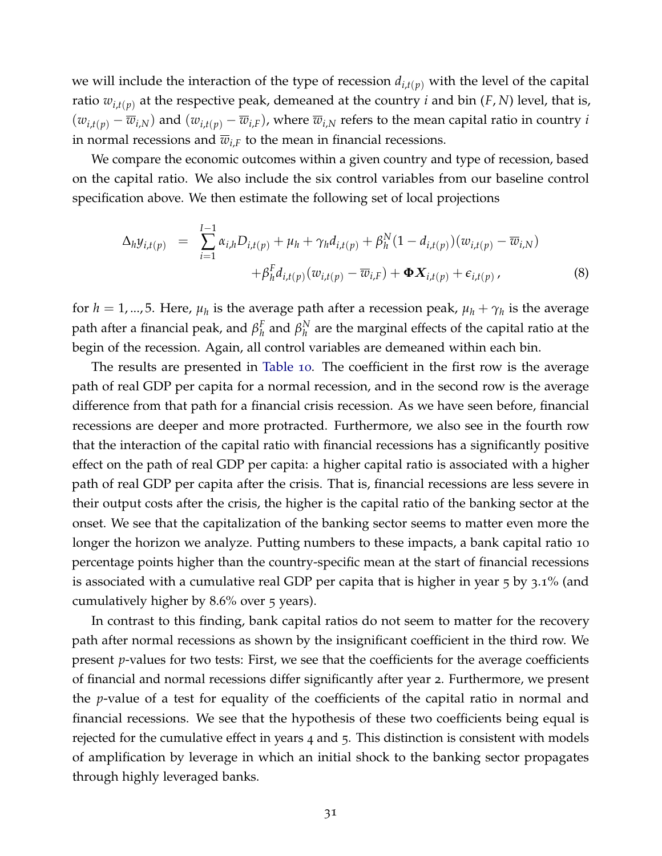we will include the interaction of the type of recession  $d_{i,t(p)}$  with the level of the capital ratio  $w_{i,t(p)}$  at the respective peak, demeaned at the country *i* and bin (*F*, *N*) level, that is,  $(w_{i,t(p)} - \overline{w}_{i,N})$  and  $(w_{i,t(p)} - \overline{w}_{i,F})$ , where  $\overline{w}_{i,N}$  refers to the mean capital ratio in country *i* in normal recessions and  $\overline{w}_{i,F}$  to the mean in financial recessions.

We compare the economic outcomes within a given country and type of recession, based on the capital ratio. We also include the six control variables from our baseline control specification above. We then estimate the following set of local projections

$$
\Delta_{h} y_{i,t(p)} = \sum_{i=1}^{I-1} \alpha_{i,h} D_{i,t(p)} + \mu_h + \gamma_h d_{i,t(p)} + \beta_h^N (1 - d_{i,t(p)}) (w_{i,t(p)} - \overline{w}_{i,N}) + \beta_h^F d_{i,t(p)} (w_{i,t(p)} - \overline{w}_{i,F}) + \Phi X_{i,t(p)} + \epsilon_{i,t(p)},
$$
\n(8)

for  $h = 1, ..., 5$ . Here,  $\mu_h$  is the average path after a recession peak,  $\mu_h + \gamma_h$  is the average path after a financial peak, and *β F*  $_{h}^{F}$  and  $\beta_{h}^{N}$  $\frac{N}{h}$  are the marginal effects of the capital ratio at the begin of the recession. Again, all control variables are demeaned within each bin.

The results are presented in [Table](#page-33-0) 10. The coefficient in the first row is the average path of real GDP per capita for a normal recession, and in the second row is the average difference from that path for a financial crisis recession. As we have seen before, financial recessions are deeper and more protracted. Furthermore, we also see in the fourth row that the interaction of the capital ratio with financial recessions has a significantly positive effect on the path of real GDP per capita: a higher capital ratio is associated with a higher path of real GDP per capita after the crisis. That is, financial recessions are less severe in their output costs after the crisis, the higher is the capital ratio of the banking sector at the onset. We see that the capitalization of the banking sector seems to matter even more the longer the horizon we analyze. Putting numbers to these impacts, a bank capital ratio 10 percentage points higher than the country-specific mean at the start of financial recessions is associated with a cumulative real GDP per capita that is higher in year 5 by 3.1% (and cumulatively higher by 8.6% over 5 years).

In contrast to this finding, bank capital ratios do not seem to matter for the recovery path after normal recessions as shown by the insignificant coefficient in the third row. We present *p*-values for two tests: First, we see that the coefficients for the average coefficients of financial and normal recessions differ significantly after year 2. Furthermore, we present the *p*-value of a test for equality of the coefficients of the capital ratio in normal and financial recessions. We see that the hypothesis of these two coefficients being equal is rejected for the cumulative effect in years 4 and 5. This distinction is consistent with models of amplification by leverage in which an initial shock to the banking sector propagates through highly leveraged banks.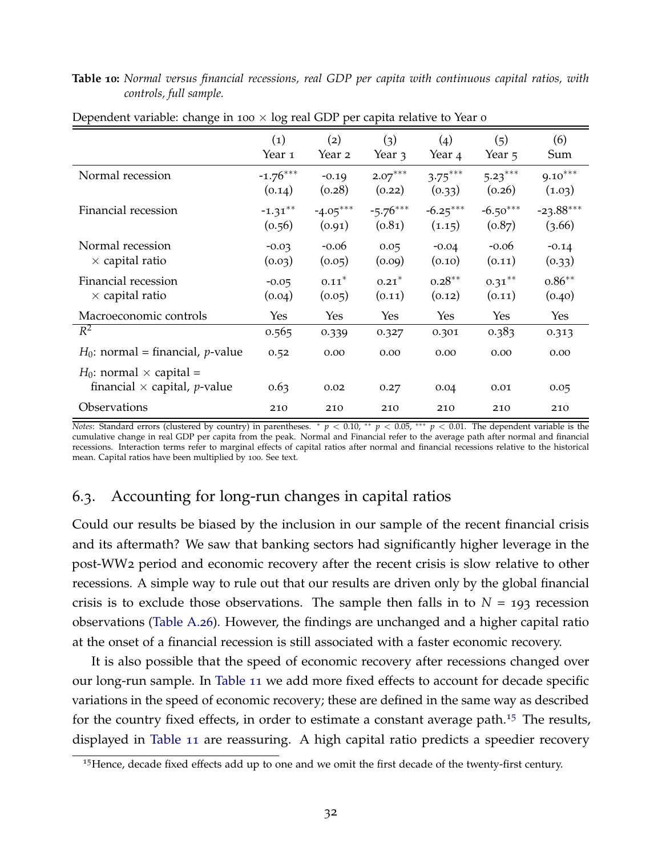#### <span id="page-33-0"></span>**Table 10:** *Normal versus financial recessions, real GDP per capita with continuous capital ratios, with controls, full sample.*

|                                                                                  | $\left( 1\right)$<br>Year 1 | (2)<br>Year 2        | (3)<br>Year 3        | (4)<br>Year 4        | (5)<br>Year 5        | (6)<br>Sum            |
|----------------------------------------------------------------------------------|-----------------------------|----------------------|----------------------|----------------------|----------------------|-----------------------|
| Normal recession                                                                 | $-1.76***$<br>(0.14)        | $-0.19$<br>(0.28)    | $2.07***$<br>(0.22)  | $3.75***$<br>(0.33)  | $5.23***$<br>(0.26)  | $9.10***$<br>(1.03)   |
| Financial recession                                                              | $-1.31***$<br>(0.56)        | $-4.05***$<br>(0.91) | $-5.76***$<br>(0.81) | $-6.25***$<br>(1.15) | $-6.50***$<br>(0.87) | $-23.88***$<br>(3.66) |
| Normal recession<br>$\times$ capital ratio                                       | $-0.03$<br>(0.03)           | $-0.06$<br>(0.05)    | 0.05<br>(0.09)       | $-0.04$<br>(0.10)    | $-0.06$<br>(0.11)    | $-0.14$<br>(0.33)     |
| Financial recession<br>$\times$ capital ratio                                    | $-0.05$<br>(0.04)           | $0.11*$<br>(0.05)    | $0.21*$<br>(0.11)    | $0.28***$<br>(0.12)  | $0.31***$<br>(0.11)  | $0.86***$<br>(0.40)   |
| Macroeconomic controls                                                           | Yes                         | Yes                  | Yes                  | Yes                  | Yes                  | Yes                   |
| $R^2$                                                                            | 0.565                       | 0.339                | 0.327                | 0.301                | 0.383                | 0.313                 |
| $H_0$ : normal = financial, <i>p</i> -value                                      | 0.52                        | 0.00                 | 0.00                 | 0.00                 | 0.00                 | 0.00                  |
| $H_0$ : normal $\times$ capital =<br>financial $\times$ capital, <i>p</i> -value | 0.63                        | 0.02                 | 0.27                 | 0.04                 | 0.01                 | 0.05                  |
| Observations                                                                     | 210                         | 210                  | 210                  | 210                  | 210                  | 210                   |

Dependent variable: change in 100  $\times$  log real GDP per capita relative to Year 0

*Notes*: Standard errors (clustered by country) in parentheses. <sup>∗</sup> *p* < 0.10, <sup>∗∗</sup> *p* < 0.05, <sup>∗∗∗</sup> *p* < 0.01. The dependent variable is the cumulative change in real GDP per capita from the peak. Normal and Financial refer to the average path after normal and financial recessions. Interaction terms refer to marginal effects of capital ratios after normal and financial recessions relative to the historical mean. Capital ratios have been multiplied by 100. See text.

# 6.3. Accounting for long-run changes in capital ratios

Could our results be biased by the inclusion in our sample of the recent financial crisis and its aftermath? We saw that banking sectors had significantly higher leverage in the post-WW2 period and economic recovery after the recent crisis is slow relative to other recessions. A simple way to rule out that our results are driven only by the global financial crisis is to exclude those observations. The sample then falls in to  $N = 193$  recession observations [\(Table A.](#page-71-0)26). However, the findings are unchanged and a higher capital ratio at the onset of a financial recession is still associated with a faster economic recovery.

It is also possible that the speed of economic recovery after recessions changed over our long-run sample. In [Table](#page-34-0) 11 we add more fixed effects to account for decade specific variations in the speed of economic recovery; these are defined in the same way as described for the country fixed effects, in order to estimate a constant average path.<sup>[15](#page-33-1)</sup> The results, displayed in [Table](#page-34-0) 11 are reassuring. A high capital ratio predicts a speedier recovery

<span id="page-33-1"></span> $15$  Hence, decade fixed effects add up to one and we omit the first decade of the twenty-first century.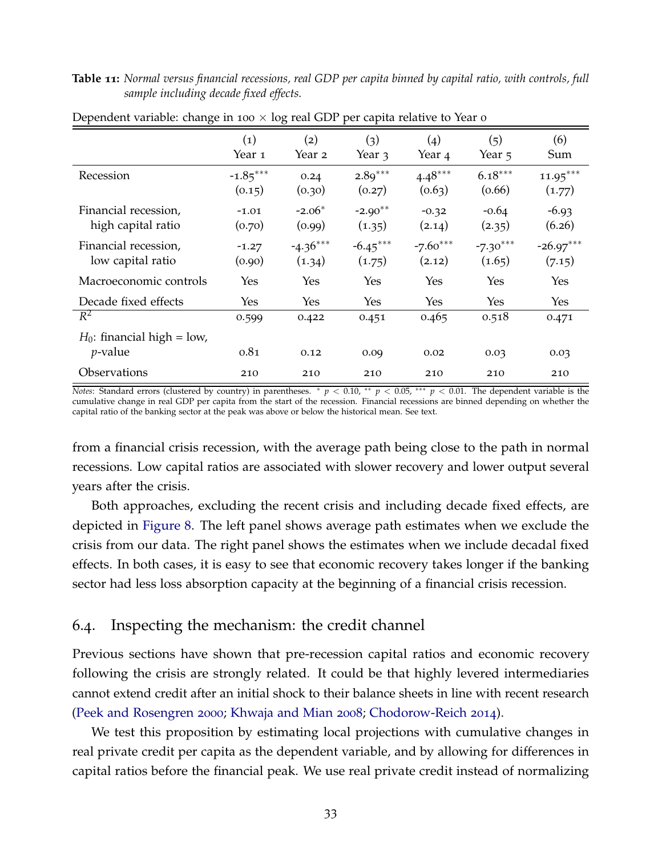#### <span id="page-34-0"></span>**Table 11:** *Normal versus financial recessions, real GDP per capita binned by capital ratio, with controls, full sample including decade fixed effects.*

|                                             | $\left( 1\right)$<br>Year 1 | $\rm(2)$<br>Year 2   | (3)<br>Year 3        | (4)<br>Year 4        | (5)<br>Year 5        | (6)<br>Sum            |
|---------------------------------------------|-----------------------------|----------------------|----------------------|----------------------|----------------------|-----------------------|
| Recession                                   | $-1.85***$<br>(0.15)        | 0.24<br>(0.30)       | $2.89***$<br>(0.27)  | $4.48***$<br>(0.63)  | $6.18***$<br>(0.66)  | $11.95***$<br>(1.77)  |
| Financial recession,<br>high capital ratio  | $-1.01$<br>(0.70)           | $-2.06*$<br>(0.99)   | $-2.90**$<br>(1.35)  | $-0.32$<br>(2.14)    | $-0.64$<br>(2.35)    | $-6.93$<br>(6.26)     |
| Financial recession,<br>low capital ratio   | $-1.27$<br>(0.90)           | $-4.36***$<br>(1.34) | $-6.45***$<br>(1.75) | $-7.60***$<br>(2.12) | $-7.30***$<br>(1.65) | $-26.97***$<br>(7.15) |
| Macroeconomic controls                      | Yes                         | Yes                  | Yes                  | <b>Yes</b>           | Yes                  | Yes                   |
| Decade fixed effects                        | Yes                         | Yes                  | Yes                  | Yes                  | Yes                  | <b>Yes</b>            |
| $R^2$                                       | 0.599                       | 0.422                | 0.451                | 0.465                | 0.518                | 0.471                 |
| $H_0$ : financial high = low,<br>$p$ -value | 0.81                        | 0.12                 | 0.09                 | 0.02                 | 0.03                 | 0.03                  |
| Observations                                | 210                         | 210                  | 210                  | 210                  | 210                  | 210                   |

Dependent variable: change in 100  $\times$  log real GDP per capita relative to Year 0

*Notes*: Standard errors (clustered by country) in parentheses. \*  $p < 0.10$ , \*\*  $p < 0.05$ , \*\*\*  $p < 0.01$ . The dependent variable is the cumulative change in real GDP per capita from the start of the recession. Financial recessions are binned depending on whether the capital ratio of the banking sector at the peak was above or below the historical mean. See text.

from a financial crisis recession, with the average path being close to the path in normal recessions. Low capital ratios are associated with slower recovery and lower output several years after the crisis.

Both approaches, excluding the recent crisis and including decade fixed effects, are depicted in [Figure](#page-35-0) 8. The left panel shows average path estimates when we exclude the crisis from our data. The right panel shows the estimates when we include decadal fixed effects. In both cases, it is easy to see that economic recovery takes longer if the banking sector had less loss absorption capacity at the beginning of a financial crisis recession.

### 6.4. Inspecting the mechanism: the credit channel

Previous sections have shown that pre-recession capital ratios and economic recovery following the crisis are strongly related. It could be that highly levered intermediaries cannot extend credit after an initial shock to their balance sheets in line with recent research [\(Peek and Rosengren](#page-41-9) [2000](#page-41-9); [Khwaja and Mian](#page-40-8) [2008](#page-40-8); [Chodorow-Reich](#page-39-20) [2014](#page-39-20)).

We test this proposition by estimating local projections with cumulative changes in real private credit per capita as the dependent variable, and by allowing for differences in capital ratios before the financial peak. We use real private credit instead of normalizing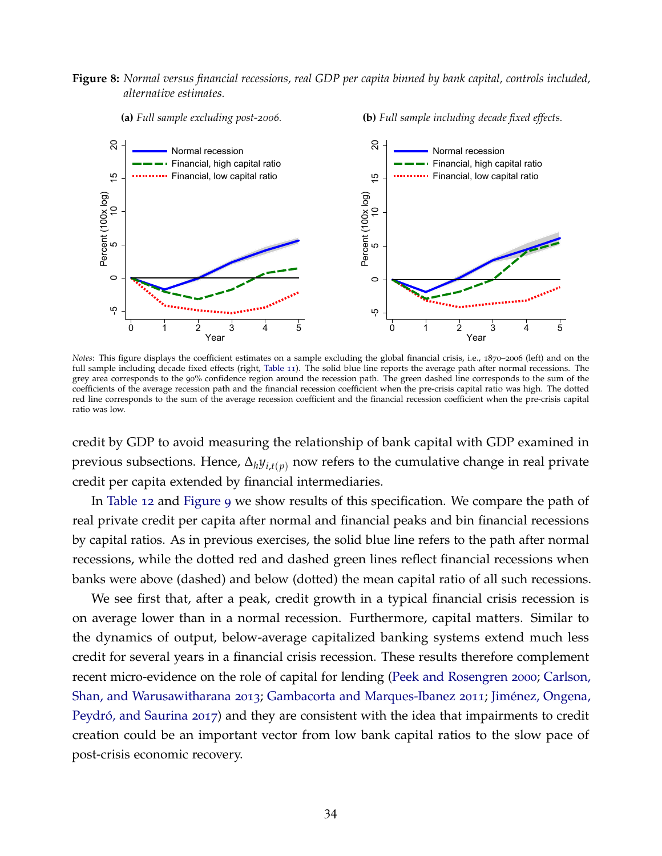#### <span id="page-35-0"></span>**Figure 8:** *Normal versus financial recessions, real GDP per capita binned by bank capital, controls included, alternative estimates.*



*Notes*: This figure displays the coefficient estimates on a sample excluding the global financial crisis, i.e., 1870–2006 (left) and on the full sample including decade fixed effects (right, [Table](#page-34-0) 11). The solid blue line reports the average path after normal recessions. The grey area corresponds to the 90% confidence region around the recession path. The green dashed line corresponds to the sum of the coefficients of the average recession path and the financial recession coefficient when the pre-crisis capital ratio was high. The dotted red line corresponds to the sum of the average recession coefficient and the financial recession coefficient when the pre-crisis capital ratio was low.

credit by GDP to avoid measuring the relationship of bank capital with GDP examined in previous subsections. Hence, ∆*hyi*,*t*(*p*) now refers to the cumulative change in real private credit per capita extended by financial intermediaries.

In [Table](#page-36-0) 12 and [Figure](#page-36-1) 9 we show results of this specification. We compare the path of real private credit per capita after normal and financial peaks and bin financial recessions by capital ratios. As in previous exercises, the solid blue line refers to the path after normal recessions, while the dotted red and dashed green lines reflect financial recessions when banks were above (dashed) and below (dotted) the mean capital ratio of all such recessions.

We see first that, after a peak, credit growth in a typical financial crisis recession is on average lower than in a normal recession. Furthermore, capital matters. Similar to the dynamics of output, below-average capitalized banking systems extend much less credit for several years in a financial crisis recession. These results therefore complement recent micro-evidence on the role of capital for lending [\(Peek and Rosengren](#page-41-9) [2000](#page-41-9); [Carlson,](#page-38-20) [Shan, and Warusawitharana](#page-38-20) [2013](#page-38-20); [Gambacorta and Marques-Ibanez](#page-39-21) [2011](#page-39-21); Jiménez, Ongena, Peydró, and Saurina [2017](#page-40-17)) and they are consistent with the idea that impairments to credit creation could be an important vector from low bank capital ratios to the slow pace of post-crisis economic recovery.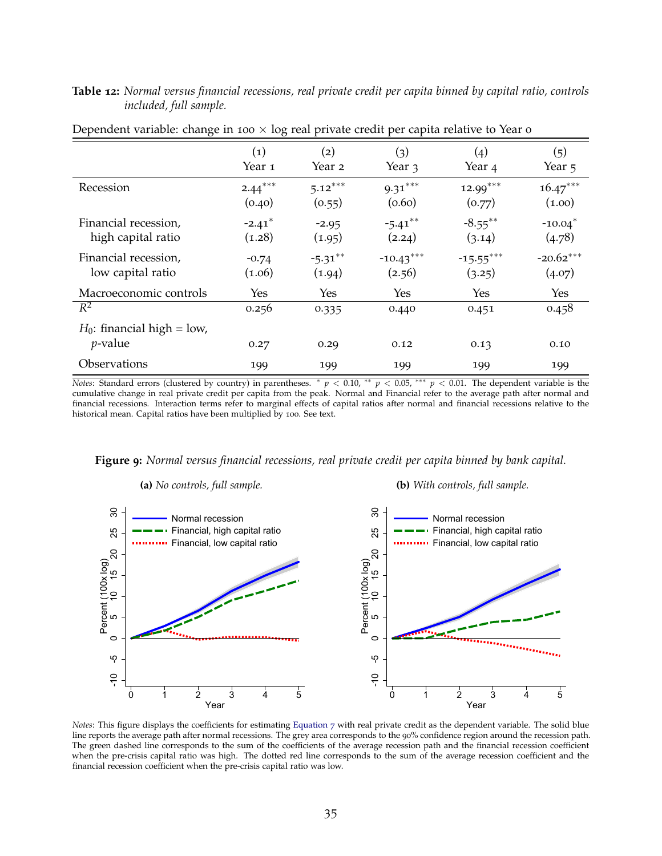| <b>Table 12:</b> Normal versus financial recessions, real private credit per capita binned by capital ratio, controls |                               |  |  |  |  |  |  |
|-----------------------------------------------------------------------------------------------------------------------|-------------------------------|--|--|--|--|--|--|
|                                                                                                                       | <i>included, full sample.</i> |  |  |  |  |  |  |

|                                             | $\left( 1\right)$ | (2)        | (3)         | $\left( 4 \right)$ | (5)         |
|---------------------------------------------|-------------------|------------|-------------|--------------------|-------------|
|                                             | Year 1            | Year 2     | Year 3      | Year 4             | Year 5      |
| Recession                                   | $2.44***$         | $5.12***$  | $9.31***$   | $12.99***$         | $16.47***$  |
|                                             | (0.40)            | (0.55)     | (0.60)      | (0.77)             | (1.00)      |
| Financial recession,                        | $-2.41*$          | $-2.95$    | $-5.41***$  | $-8.55***$         | $-10.04*$   |
| high capital ratio                          | (1.28)            | (1.95)     | (2.24)      | (3.14)             | (4.78)      |
| Financial recession,                        | $-0.74$           | $-5.31***$ | $-10.43***$ | $-15.55***$        | $-20.62***$ |
| low capital ratio                           | (1.06)            | (1.94)     | (2.56)      | (3.25)             | (4.07)      |
| Macroeconomic controls                      | Yes               | Yes        | Yes         | Yes                | Yes         |
| $R^2$                                       | 0.256             | 0.335      | 0.440       | 0.451              | 0.458       |
| $H_0$ : financial high = low,<br>$p$ -value | 0.27              | 0.29       | 0.12        | 0.13               | 0.10        |
| Observations                                | 199               | 199        | 199         | 199                | 199         |

Dependent variable: change in 100  $\times$  log real private credit per capita relative to Year 0

*Notes*: Standard errors (clustered by country) in parentheses. \*  $p < 0.10$ , \*\*  $p < 0.05$ , \*\*\*  $p < 0.01$ . The dependent variable is the cumulative change in real private credit per capita from the peak. Normal and Financial refer to the average path after normal and financial recessions. Interaction terms refer to marginal effects of capital ratios after normal and financial recessions relative to the historical mean. Capital ratios have been multiplied by 100. See text.

**Figure 9:** *Normal versus financial recessions, real private credit per capita binned by bank capital.*



*Notes*: This figure displays the coefficients for estimating [Equation](#page-29-0) 7 with real private credit as the dependent variable. The solid blue line reports the average path after normal recessions. The grey area corresponds to the 90% confidence region around the recession path. The green dashed line corresponds to the sum of the coefficients of the average recession path and the financial recession coefficient when the pre-crisis capital ratio was high. The dotted red line corresponds to the sum of the average recession coefficient and the financial recession coefficient when the pre-crisis capital ratio was low.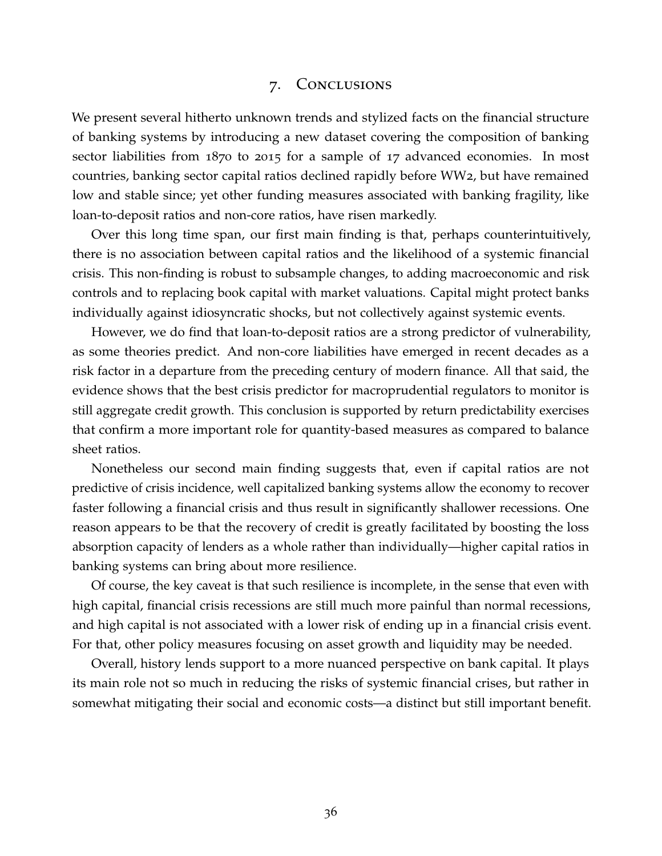### 7. Conclusions

We present several hitherto unknown trends and stylized facts on the financial structure of banking systems by introducing a new dataset covering the composition of banking sector liabilities from 1870 to 2015 for a sample of 17 advanced economies. In most countries, banking sector capital ratios declined rapidly before WW2, but have remained low and stable since; yet other funding measures associated with banking fragility, like loan-to-deposit ratios and non-core ratios, have risen markedly.

Over this long time span, our first main finding is that, perhaps counterintuitively, there is no association between capital ratios and the likelihood of a systemic financial crisis. This non-finding is robust to subsample changes, to adding macroeconomic and risk controls and to replacing book capital with market valuations. Capital might protect banks individually against idiosyncratic shocks, but not collectively against systemic events.

However, we do find that loan-to-deposit ratios are a strong predictor of vulnerability, as some theories predict. And non-core liabilities have emerged in recent decades as a risk factor in a departure from the preceding century of modern finance. All that said, the evidence shows that the best crisis predictor for macroprudential regulators to monitor is still aggregate credit growth. This conclusion is supported by return predictability exercises that confirm a more important role for quantity-based measures as compared to balance sheet ratios.

Nonetheless our second main finding suggests that, even if capital ratios are not predictive of crisis incidence, well capitalized banking systems allow the economy to recover faster following a financial crisis and thus result in significantly shallower recessions. One reason appears to be that the recovery of credit is greatly facilitated by boosting the loss absorption capacity of lenders as a whole rather than individually—higher capital ratios in banking systems can bring about more resilience.

Of course, the key caveat is that such resilience is incomplete, in the sense that even with high capital, financial crisis recessions are still much more painful than normal recessions, and high capital is not associated with a lower risk of ending up in a financial crisis event. For that, other policy measures focusing on asset growth and liquidity may be needed.

Overall, history lends support to a more nuanced perspective on bank capital. It plays its main role not so much in reducing the risks of systemic financial crises, but rather in somewhat mitigating their social and economic costs—a distinct but still important benefit.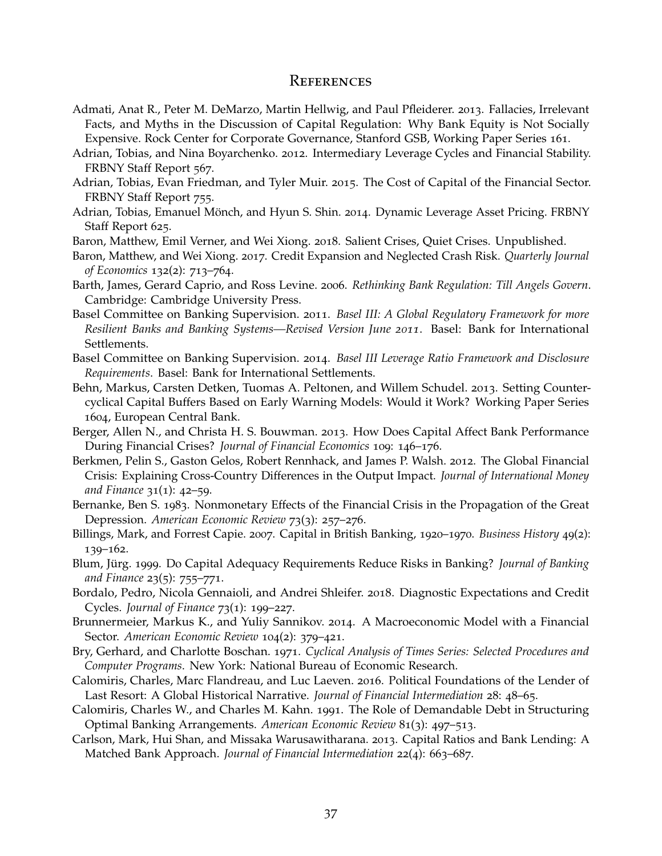#### **REFERENCES**

- Admati, Anat R., Peter M. DeMarzo, Martin Hellwig, and Paul Pfleiderer. 2013. Fallacies, Irrelevant Facts, and Myths in the Discussion of Capital Regulation: Why Bank Equity is Not Socially Expensive. Rock Center for Corporate Governance, Stanford GSB, Working Paper Series 161.
- Adrian, Tobias, and Nina Boyarchenko. 2012. Intermediary Leverage Cycles and Financial Stability. FRBNY Staff Report 567.
- Adrian, Tobias, Evan Friedman, and Tyler Muir. 2015. The Cost of Capital of the Financial Sector. FRBNY Staff Report 755.
- Adrian, Tobias, Emanuel Mönch, and Hyun S. Shin. 2014. Dynamic Leverage Asset Pricing. FRBNY Staff Report 625.
- <span id="page-38-1"></span>Baron, Matthew, Emil Verner, and Wei Xiong. 2018. Salient Crises, Quiet Crises. Unpublished.
- Baron, Matthew, and Wei Xiong. 2017. Credit Expansion and Neglected Crash Risk. *Quarterly Journal of Economics* 132(2): 713–764.
- Barth, James, Gerard Caprio, and Ross Levine. 2006. *Rethinking Bank Regulation: Till Angels Govern*. Cambridge: Cambridge University Press.
- Basel Committee on Banking Supervision. 2011. *Basel III: A Global Regulatory Framework for more Resilient Banks and Banking Systems—Revised Version June 2011*. Basel: Bank for International Settlements.
- Basel Committee on Banking Supervision. 2014. *Basel III Leverage Ratio Framework and Disclosure Requirements*. Basel: Bank for International Settlements.
- Behn, Markus, Carsten Detken, Tuomas A. Peltonen, and Willem Schudel. 2013. Setting Countercyclical Capital Buffers Based on Early Warning Models: Would it Work? Working Paper Series 1604, European Central Bank.
- Berger, Allen N., and Christa H. S. Bouwman. 2013. How Does Capital Affect Bank Performance During Financial Crises? *Journal of Financial Economics* 109: 146–176.
- Berkmen, Pelin S., Gaston Gelos, Robert Rennhack, and James P. Walsh. 2012. The Global Financial Crisis: Explaining Cross-Country Differences in the Output Impact. *Journal of International Money and Finance* 31(1): 42–59.
- Bernanke, Ben S. 1983. Nonmonetary Effects of the Financial Crisis in the Propagation of the Great Depression. *American Economic Review* 73(3): 257–276.
- Billings, Mark, and Forrest Capie. 2007. Capital in British Banking, 1920–1970. *Business History* 49(2): 139–162.
- Blum, Jürg. 1999. Do Capital Adequacy Requirements Reduce Risks in Banking? *Journal of Banking and Finance* 23(5): 755–771.
- Bordalo, Pedro, Nicola Gennaioli, and Andrei Shleifer. 2018. Diagnostic Expectations and Credit Cycles. *Journal of Finance* 73(1): 199–227.
- Brunnermeier, Markus K., and Yuliy Sannikov. 2014. A Macroeconomic Model with a Financial Sector. *American Economic Review* 104(2): 379–421.
- <span id="page-38-0"></span>Bry, Gerhard, and Charlotte Boschan. 1971. *Cyclical Analysis of Times Series: Selected Procedures and Computer Programs*. New York: National Bureau of Economic Research.
- Calomiris, Charles, Marc Flandreau, and Luc Laeven. 2016. Political Foundations of the Lender of Last Resort: A Global Historical Narrative. *Journal of Financial Intermediation* 28: 48–65.
- Calomiris, Charles W., and Charles M. Kahn. 1991. The Role of Demandable Debt in Structuring Optimal Banking Arrangements. *American Economic Review* 81(3): 497–513.
- Carlson, Mark, Hui Shan, and Missaka Warusawitharana. 2013. Capital Ratios and Bank Lending: A Matched Bank Approach. *Journal of Financial Intermediation* 22(4): 663–687.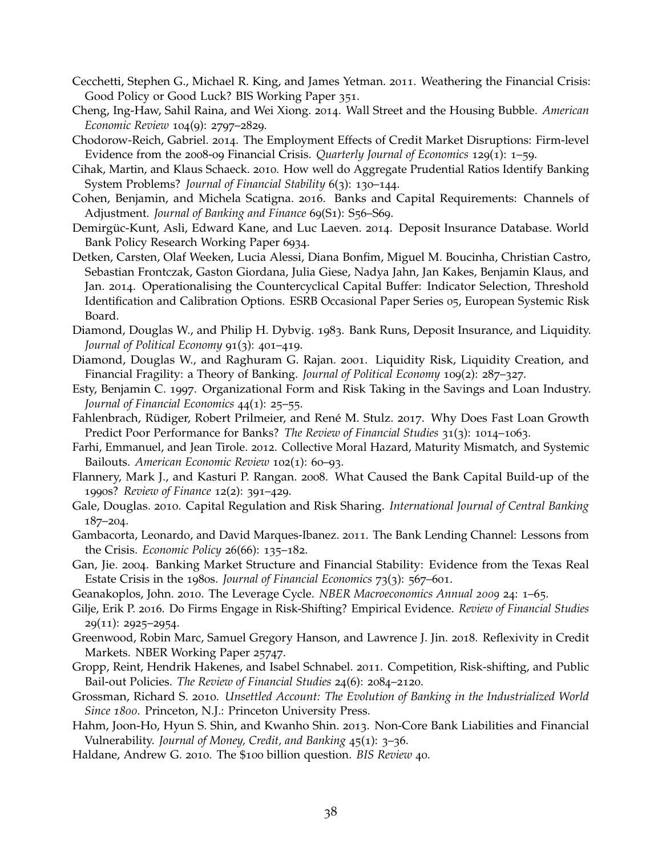- Cecchetti, Stephen G., Michael R. King, and James Yetman. 2011. Weathering the Financial Crisis: Good Policy or Good Luck? BIS Working Paper 351.
- Cheng, Ing-Haw, Sahil Raina, and Wei Xiong. 2014. Wall Street and the Housing Bubble. *American Economic Review* 104(9): 2797–2829.
- Chodorow-Reich, Gabriel. 2014. The Employment Effects of Credit Market Disruptions: Firm-level Evidence from the 2008-09 Financial Crisis. *Quarterly Journal of Economics* 129(1): 1–59.
- Cihak, Martin, and Klaus Schaeck. 2010. How well do Aggregate Prudential Ratios Identify Banking System Problems? *Journal of Financial Stability* 6(3): 130–144.
- <span id="page-39-1"></span>Cohen, Benjamin, and Michela Scatigna. 2016. Banks and Capital Requirements: Channels of Adjustment. *Journal of Banking and Finance* 69(S1): S56–S69.
- <span id="page-39-0"></span>Demirgüc-Kunt, Asli, Edward Kane, and Luc Laeven. 2014. Deposit Insurance Database. World Bank Policy Research Working Paper 6934.
- Detken, Carsten, Olaf Weeken, Lucia Alessi, Diana Bonfim, Miguel M. Boucinha, Christian Castro, Sebastian Frontczak, Gaston Giordana, Julia Giese, Nadya Jahn, Jan Kakes, Benjamin Klaus, and Jan. 2014. Operationalising the Countercyclical Capital Buffer: Indicator Selection, Threshold Identification and Calibration Options. ESRB Occasional Paper Series 05, European Systemic Risk Board.
- Diamond, Douglas W., and Philip H. Dybvig. 1983. Bank Runs, Deposit Insurance, and Liquidity. *Journal of Political Economy* 91(3): 401–419.
- Diamond, Douglas W., and Raghuram G. Rajan. 2001. Liquidity Risk, Liquidity Creation, and Financial Fragility: a Theory of Banking. *Journal of Political Economy* 109(2): 287–327.
- Esty, Benjamin C. 1997. Organizational Form and Risk Taking in the Savings and Loan Industry. *Journal of Financial Economics* 44(1): 25–55.
- Fahlenbrach, Rüdiger, Robert Prilmeier, and René M. Stulz. 2017. Why Does Fast Loan Growth Predict Poor Performance for Banks? *The Review of Financial Studies* 31(3): 1014–1063.
- Farhi, Emmanuel, and Jean Tirole. 2012. Collective Moral Hazard, Maturity Mismatch, and Systemic Bailouts. *American Economic Review* 102(1): 60–93.
- Flannery, Mark J., and Kasturi P. Rangan. 2008. What Caused the Bank Capital Build-up of the 1990s? *Review of Finance* 12(2): 391–429.
- Gale, Douglas. 2010. Capital Regulation and Risk Sharing. *International Journal of Central Banking* 187–204.
- Gambacorta, Leonardo, and David Marques-Ibanez. 2011. The Bank Lending Channel: Lessons from the Crisis. *Economic Policy* 26(66): 135–182.
- Gan, Jie. 2004. Banking Market Structure and Financial Stability: Evidence from the Texas Real Estate Crisis in the 1980s. *Journal of Financial Economics* 73(3): 567–601.
- Geanakoplos, John. 2010. The Leverage Cycle. *NBER Macroeconomics Annual 2009* 24: 1–65.
- Gilje, Erik P. 2016. Do Firms Engage in Risk-Shifting? Empirical Evidence. *Review of Financial Studies* 29(11): 2925–2954.
- Greenwood, Robin Marc, Samuel Gregory Hanson, and Lawrence J. Jin. 2018. Reflexivity in Credit Markets. NBER Working Paper 25747.
- Gropp, Reint, Hendrik Hakenes, and Isabel Schnabel. 2011. Competition, Risk-shifting, and Public Bail-out Policies. *The Review of Financial Studies* 24(6): 2084–2120.
- Grossman, Richard S. 2010. *Unsettled Account: The Evolution of Banking in the Industrialized World Since 1800*. Princeton, N.J.: Princeton University Press.
- Hahm, Joon-Ho, Hyun S. Shin, and Kwanho Shin. 2013. Non-Core Bank Liabilities and Financial Vulnerability. *Journal of Money, Credit, and Banking* 45(1): 3–36.
- Haldane, Andrew G. 2010. The \$100 billion question. *BIS Review* 40.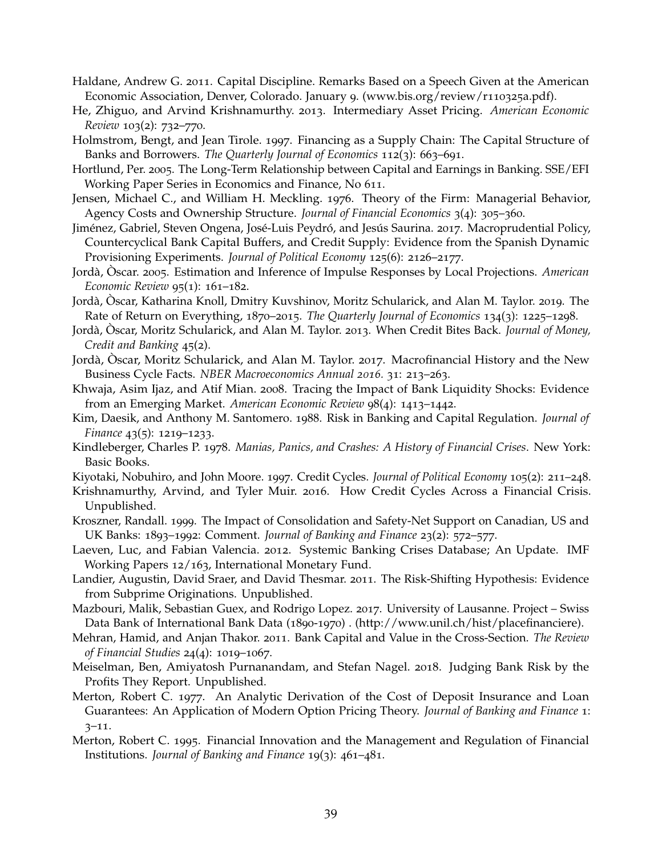- Haldane, Andrew G. 2011. Capital Discipline. Remarks Based on a Speech Given at the American Economic Association, Denver, Colorado. January 9. (www.bis.org/review/r110325a.pdf).
- He, Zhiguo, and Arvind Krishnamurthy. 2013. Intermediary Asset Pricing. *American Economic Review* 103(2): 732–770.
- Holmstrom, Bengt, and Jean Tirole. 1997. Financing as a Supply Chain: The Capital Structure of Banks and Borrowers. *The Quarterly Journal of Economics* 112(3): 663–691.
- Hortlund, Per. 2005. The Long-Term Relationship between Capital and Earnings in Banking. SSE/EFI Working Paper Series in Economics and Finance, No 611.
- Jensen, Michael C., and William H. Meckling. 1976. Theory of the Firm: Managerial Behavior, Agency Costs and Ownership Structure. *Journal of Financial Economics* 3(4): 305–360.
- Jiménez, Gabriel, Steven Ongena, José-Luis Peydró, and Jesús Saurina. 2017. Macroprudential Policy, Countercyclical Bank Capital Buffers, and Credit Supply: Evidence from the Spanish Dynamic Provisioning Experiments. *Journal of Political Economy* 125(6): 2126–2177.
- Jordà, Oscar. 2005. Estimation and Inference of Impulse Responses by Local Projections. *American Economic Review* 95(1): 161–182.
- Jordà, Òscar, Katharina Knoll, Dmitry Kuvshinov, Moritz Schularick, and Alan M. Taylor. 2019. The Rate of Return on Everything, 1870–2015. *The Quarterly Journal of Economics* 134(3): 1225–1298.
- Jordà, Òscar, Moritz Schularick, and Alan M. Taylor. 2013. When Credit Bites Back. *Journal of Money*, *Credit and Banking* 45(2).
- <span id="page-40-0"></span>Jordà, Oscar, Moritz Schularick, and Alan M. Taylor. 2017. Macrofinancial History and the New Business Cycle Facts. *NBER Macroeconomics Annual 2016.* 31: 213–263.
- Khwaja, Asim Ijaz, and Atif Mian. 2008. Tracing the Impact of Bank Liquidity Shocks: Evidence from an Emerging Market. *American Economic Review* 98(4): 1413–1442.
- Kim, Daesik, and Anthony M. Santomero. 1988. Risk in Banking and Capital Regulation. *Journal of Finance* 43(5): 1219–1233.
- Kindleberger, Charles P. 1978. *Manias, Panics, and Crashes: A History of Financial Crises*. New York: Basic Books.
- Kiyotaki, Nobuhiro, and John Moore. 1997. Credit Cycles. *Journal of Political Economy* 105(2): 211–248.
- Krishnamurthy, Arvind, and Tyler Muir. 2016. How Credit Cycles Across a Financial Crisis. Unpublished.
- Kroszner, Randall. 1999. The Impact of Consolidation and Safety-Net Support on Canadian, US and UK Banks: 1893–1992: Comment. *Journal of Banking and Finance* 23(2): 572–577.
- Laeven, Luc, and Fabian Valencia. 2012. Systemic Banking Crises Database; An Update. IMF Working Papers 12/163, International Monetary Fund.
- Landier, Augustin, David Sraer, and David Thesmar. 2011. The Risk-Shifting Hypothesis: Evidence from Subprime Originations. Unpublished.
- <span id="page-40-1"></span>Mazbouri, Malik, Sebastian Guex, and Rodrigo Lopez. 2017. University of Lausanne. Project – Swiss Data Bank of International Bank Data (1890-1970) . (http://www.unil.ch/hist/placefinanciere).
- Mehran, Hamid, and Anjan Thakor. 2011. Bank Capital and Value in the Cross-Section. *The Review of Financial Studies* 24(4): 1019–1067.
- <span id="page-40-2"></span>Meiselman, Ben, Amiyatosh Purnanandam, and Stefan Nagel. 2018. Judging Bank Risk by the Profits They Report. Unpublished.
- Merton, Robert C. 1977. An Analytic Derivation of the Cost of Deposit Insurance and Loan Guarantees: An Application of Modern Option Pricing Theory. *Journal of Banking and Finance* 1: 3–11.
- Merton, Robert C. 1995. Financial Innovation and the Management and Regulation of Financial Institutions. *Journal of Banking and Finance* 19(3): 461–481.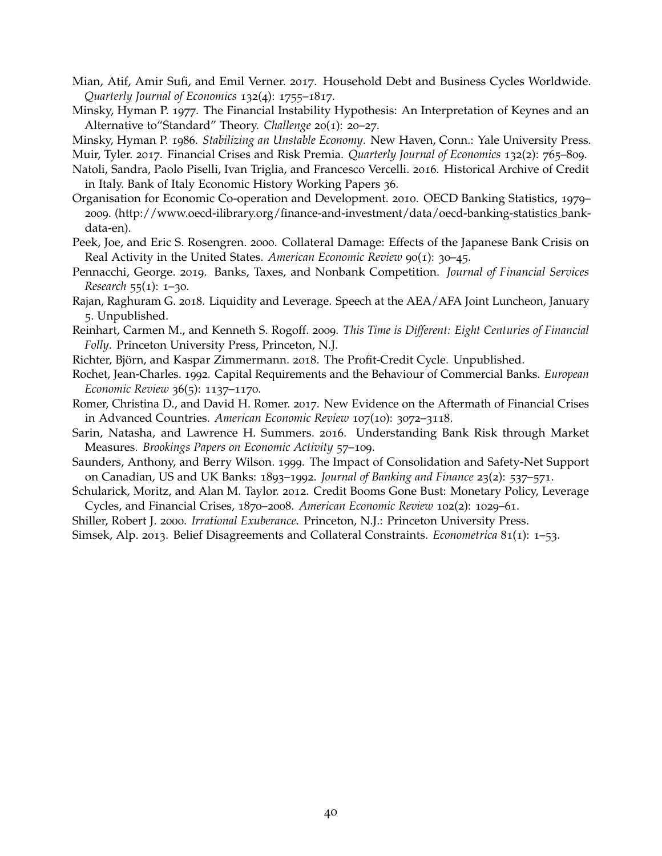- Mian, Atif, Amir Sufi, and Emil Verner. 2017. Household Debt and Business Cycles Worldwide. *Quarterly Journal of Economics* 132(4): 1755–1817.
- Minsky, Hyman P. 1977. The Financial Instability Hypothesis: An Interpretation of Keynes and an Alternative to"Standard" Theory. *Challenge* 20(1): 20–27.

Minsky, Hyman P. 1986. *Stabilizing an Unstable Economy*. New Haven, Conn.: Yale University Press.

Muir, Tyler. 2017. Financial Crises and Risk Premia. *Quarterly Journal of Economics* 132(2): 765–809.

- <span id="page-41-0"></span>Natoli, Sandra, Paolo Piselli, Ivan Triglia, and Francesco Vercelli. 2016. Historical Archive of Credit in Italy. Bank of Italy Economic History Working Papers 36.
- Organisation for Economic Co-operation and Development. 2010. OECD Banking Statistics, 1979– 2009. (http://www.oecd-ilibrary.org/finance-and-investment/data/oecd-banking-statistics bankdata-en).
- Peek, Joe, and Eric S. Rosengren. 2000. Collateral Damage: Effects of the Japanese Bank Crisis on Real Activity in the United States. *American Economic Review* 90(1): 30–45.
- Pennacchi, George. 2019. Banks, Taxes, and Nonbank Competition. *Journal of Financial Services Research* 55(1): 1–30.
- Rajan, Raghuram G. 2018. Liquidity and Leverage. Speech at the AEA/AFA Joint Luncheon, January 5. Unpublished.
- Reinhart, Carmen M., and Kenneth S. Rogoff. 2009. *This Time is Different: Eight Centuries of Financial Folly*. Princeton University Press, Princeton, N.J.
- <span id="page-41-1"></span>Richter, Björn, and Kaspar Zimmermann. 2018. The Profit-Credit Cycle. Unpublished.
- Rochet, Jean-Charles. 1992. Capital Requirements and the Behaviour of Commercial Banks. *European Economic Review* 36(5): 1137–1170.
- Romer, Christina D., and David H. Romer. 2017. New Evidence on the Aftermath of Financial Crises in Advanced Countries. *American Economic Review* 107(10): 3072–3118.
- Sarin, Natasha, and Lawrence H. Summers. 2016. Understanding Bank Risk through Market Measures. *Brookings Papers on Economic Activity* 57–109.
- Saunders, Anthony, and Berry Wilson. 1999. The Impact of Consolidation and Safety-Net Support on Canadian, US and UK Banks: 1893–1992. *Journal of Banking and Finance* 23(2): 537–571.
- Schularick, Moritz, and Alan M. Taylor. 2012. Credit Booms Gone Bust: Monetary Policy, Leverage Cycles, and Financial Crises, 1870–2008. *American Economic Review* 102(2): 1029–61.
- Shiller, Robert J. 2000. *Irrational Exuberance*. Princeton, N.J.: Princeton University Press.

Simsek, Alp. 2013. Belief Disagreements and Collateral Constraints. *Econometrica* 81(1): 1–53.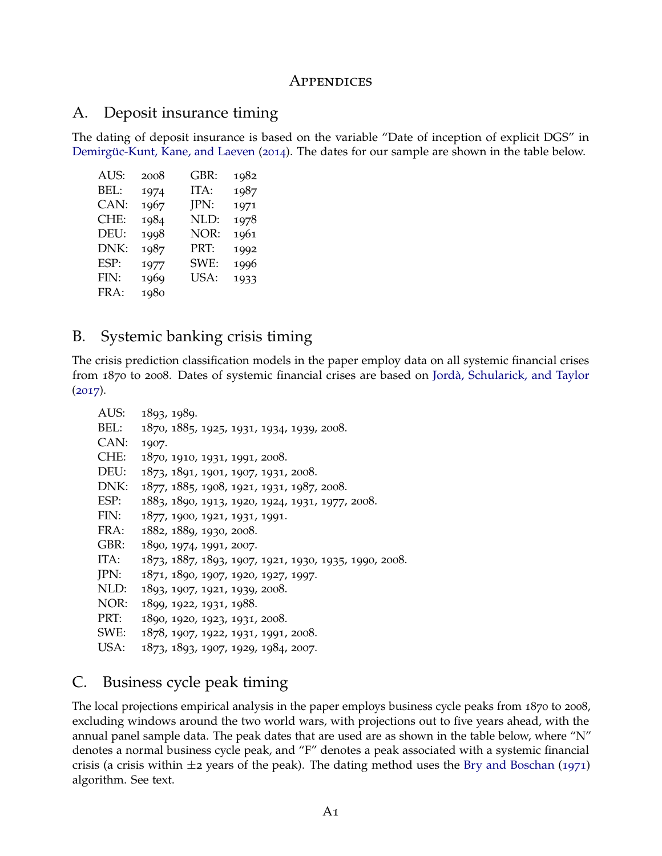### **APPENDICES**

### A. Deposit insurance timing

The dating of deposit insurance is based on the variable "Date of inception of explicit DGS" in Demirgüc-Kunt, Kane, and Laeven ([2014](#page-39-0)). The dates for our sample are shown in the table below.

| AUS: | 2008 | GBR: | 1982 |
|------|------|------|------|
| BEL: | 1974 | ITA: | 1987 |
| CAN: | 1967 | JPN: | 1971 |
| CHE: | 1984 | NLD: | 1978 |
| DEU: | 1998 | NOR: | 1961 |
| DNK: | 1987 | PRT: | 1992 |
| ESP: | 1977 | SWE: | 1996 |
| FIN: | 1969 | USA: | 1933 |
| FRA: | 1980 |      |      |

### B. Systemic banking crisis timing

The crisis prediction classification models in the paper employ data on all systemic financial crises from 1870 to 2008. Dates of systemic financial crises are based on [Jorda, Schularick, and Taylor](#page-40-0) `  $(2017).$  $(2017).$  $(2017).$ 

```
AUS: 1893, 1989.
BEL: 1870, 1885, 1925, 1931, 1934, 1939, 2008.
CAN: 1907.
CHE: 1870, 1910, 1931, 1991, 2008.
DEU: 1873, 1891, 1901, 1907, 1931, 2008.
DNK: 1877, 1885, 1908, 1921, 1931, 1987, 2008.
ESP: 1883, 1890, 1913, 1920, 1924, 1931, 1977, 2008.
FIN: 1877, 1900, 1921, 1931, 1991.
FRA: 1882, 1889, 1930, 2008.
GBR: 1890, 1974, 1991, 2007.
ITA: 1873, 1887, 1893, 1907, 1921, 1930, 1935, 1990, 2008.
JPN: 1871, 1890, 1907, 1920, 1927, 1997.
NLD: 1893, 1907, 1921, 1939, 2008.
NOR: 1899, 1922, 1931, 1988.
PRT: 1890, 1920, 1923, 1931, 2008.
SWE: 1878, 1907, 1922, 1931, 1991, 2008.
USA: 1873, 1893, 1907, 1929, 1984, 2007.
```
### C. Business cycle peak timing

The local projections empirical analysis in the paper employs business cycle peaks from 1870 to 2008, excluding windows around the two world wars, with projections out to five years ahead, with the annual panel sample data. The peak dates that are used are as shown in the table below, where "N" denotes a normal business cycle peak, and "F" denotes a peak associated with a systemic financial crisis (a crisis within  $\pm$ 2 years of the peak). The dating method uses the [Bry and Boschan](#page-38-0) ([1971](#page-38-0)) algorithm. See text.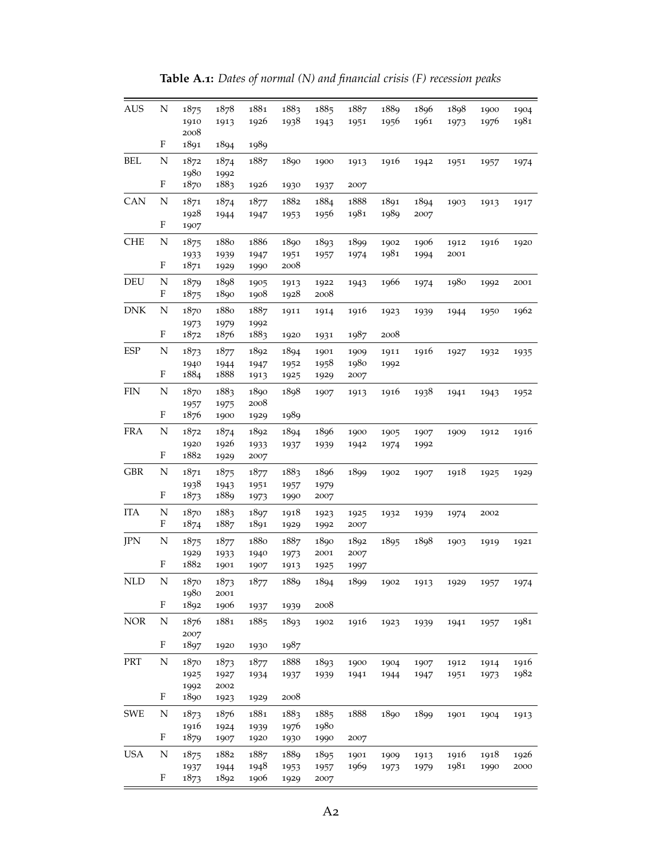| <b>AUS</b> | N | 1875 | 1878 | 1881 | 1883 | 1885 | 1887 | 1889 | 1896 | 1898 | 1900 | 1904 |
|------------|---|------|------|------|------|------|------|------|------|------|------|------|
|            |   | 1910 | 1913 | 1926 | 1938 | 1943 | 1951 | 1956 | 1961 | 1973 | 1976 | 1981 |
|            |   | 2008 |      |      |      |      |      |      |      |      |      |      |
|            | F | 1891 | 1894 | 1989 |      |      |      |      |      |      |      |      |
| BEL        | N | 1872 | 1874 | 1887 | 1890 | 1900 | 1913 | 1916 | 1942 | 1951 | 1957 | 1974 |
|            |   | 1980 | 1992 |      |      |      |      |      |      |      |      |      |
|            | F | 1870 | 1883 | 1926 | 1930 | 1937 | 2007 |      |      |      |      |      |
| CAN        | N | 1871 | 1874 | 1877 | 1882 | 1884 | 1888 | 1891 | 1894 | 1903 | 1913 | 1917 |
|            |   | 1928 | 1944 | 1947 | 1953 | 1956 | 1981 | 1989 | 2007 |      |      |      |
|            | F | 1907 |      |      |      |      |      |      |      |      |      |      |
| <b>CHE</b> | N | 1875 | 1880 | 1886 | 1890 | 1893 | 1899 | 1902 | 1906 | 1912 | 1916 | 1920 |
|            |   | 1933 | 1939 | 1947 | 1951 | 1957 | 1974 | 1981 | 1994 | 2001 |      |      |
|            | F | 1871 | 1929 | 1990 | 2008 |      |      |      |      |      |      |      |
| DEU        | N | 1879 | 1898 | 1905 | 1913 | 1922 | 1943 | 1966 | 1974 | 1980 | 1992 | 2001 |
|            | F | 1875 | 1890 | 1908 | 1928 | 2008 |      |      |      |      |      |      |
| DNK        | N | 1870 | 1880 | 1887 | 1911 | 1914 | 1916 | 1923 | 1939 | 1944 | 1950 | 1962 |
|            |   | 1973 | 1979 | 1992 |      |      |      |      |      |      |      |      |
|            | F | 1872 | 1876 | 1883 | 1920 | 1931 | 1987 | 2008 |      |      |      |      |
| ESP        | N | 1873 | 1877 | 1892 | 1894 | 1901 | 1909 | 1911 | 1916 | 1927 | 1932 | 1935 |
|            |   | 1940 | 1944 | 1947 | 1952 | 1958 | 1980 | 1992 |      |      |      |      |
|            | F | 1884 | 1888 | 1913 | 1925 | 1929 | 2007 |      |      |      |      |      |
| <b>FIN</b> | N | 1870 | 1883 | 1890 | 1898 | 1907 | 1913 | 1916 | 1938 | 1941 | 1943 | 1952 |
|            |   | 1957 | 1975 | 2008 |      |      |      |      |      |      |      |      |
|            | F | 1876 | 1900 | 1929 | 1989 |      |      |      |      |      |      |      |
| FRA        | N | 1872 | 1874 | 1892 | 1894 | 1896 | 1900 | 1905 | 1907 | 1909 | 1912 | 1916 |
|            |   | 1920 | 1926 | 1933 | 1937 | 1939 | 1942 | 1974 | 1992 |      |      |      |
|            | F | 1882 | 1929 | 2007 |      |      |      |      |      |      |      |      |
| <b>GBR</b> | N | 1871 | 1875 | 1877 | 1883 | 1896 | 1899 | 1902 | 1907 | 1918 | 1925 | 1929 |
|            |   | 1938 | 1943 | 1951 | 1957 | 1979 |      |      |      |      |      |      |
|            | F | 1873 | 1889 | 1973 | 1990 | 2007 |      |      |      |      |      |      |
| <b>ITA</b> | N | 1870 | 1883 | 1897 | 1918 | 1923 | 1925 | 1932 | 1939 | 1974 | 2002 |      |
|            | F | 1874 | 1887 | 1891 | 1929 | 1992 | 2007 |      |      |      |      |      |
| JPN        | N | 1875 | 1877 | 1880 | 1887 | 1890 | 1892 | 1895 | 1898 | 1903 | 1919 | 1921 |
|            |   | 1929 | 1933 | 1940 | 1973 | 2001 | 2007 |      |      |      |      |      |
|            | F | 1882 | 1901 | 1907 | 1913 | 1925 | 1997 |      |      |      |      |      |
| NLD        | N | 1870 | 1873 | 1877 | 1889 | 1894 | 1899 | 1902 | 1913 | 1929 | 1957 | 1974 |
|            |   | 1980 | 2001 |      |      |      |      |      |      |      |      |      |
|            | F | 1892 | 1906 | 1937 | 1939 | 2008 |      |      |      |      |      |      |
| <b>NOR</b> | N | 1876 | 1881 | 1885 | 1893 | 1902 | 1916 | 1923 | 1939 | 1941 | 1957 | 1981 |
|            |   | 2007 |      |      |      |      |      |      |      |      |      |      |
|            | F | 1897 | 1920 | 1930 | 1987 |      |      |      |      |      |      |      |
| PRT        | N | 1870 | 1873 | 1877 | 1888 | 1893 | 1900 | 1904 | 1907 | 1912 | 1914 | 1916 |
|            |   | 1925 | 1927 | 1934 | 1937 | 1939 | 1941 | 1944 | 1947 | 1951 | 1973 | 1982 |
|            |   | 1992 | 2002 |      |      |      |      |      |      |      |      |      |
|            | F | 1890 | 1923 | 1929 | 2008 |      |      |      |      |      |      |      |
| <b>SWE</b> | N | 1873 | 1876 | 1881 | 1883 | 1885 | 1888 | 1890 | 1899 | 1901 | 1904 | 1913 |
|            |   | 1916 | 1924 | 1939 | 1976 | 1980 |      |      |      |      |      |      |
|            | F | 1879 | 1907 | 1920 | 1930 | 1990 | 2007 |      |      |      |      |      |
| <b>USA</b> | N | 1875 | 1882 | 1887 | 1889 | 1895 | 1901 | 1909 | 1913 | 1916 | 1918 | 1926 |
|            |   | 1937 | 1944 | 1948 | 1953 | 1957 | 1969 | 1973 | 1979 | 1981 | 1990 | 2000 |
|            | F | 1873 | 1892 | 1906 | 1929 | 2007 |      |      |      |      |      |      |

**Table A.1:** *Dates of normal (N) and financial crisis (F) recession peaks*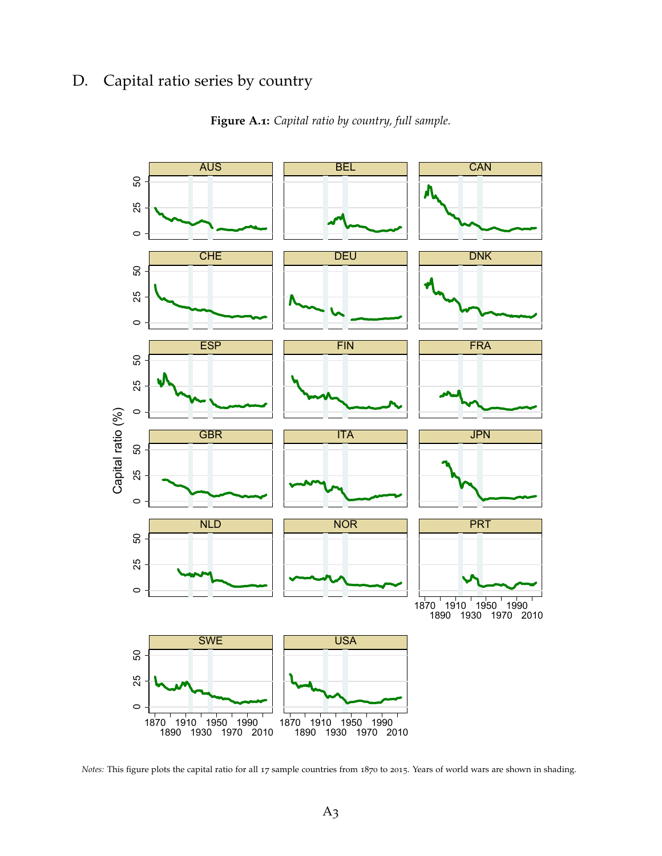# D. Capital ratio series by country



**Figure A.1:** *Capital ratio by country, full sample.*

*Notes:* This figure plots the capital ratio for all 17 sample countries from 1870 to 2015. Years of world wars are shown in shading.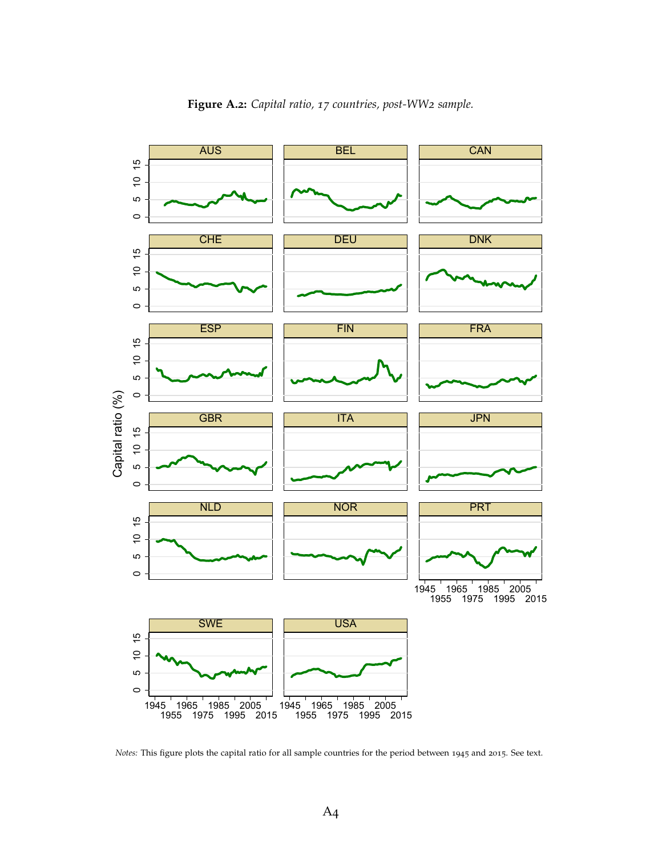

**Figure A.2:** *Capital ratio, 17 countries, post-WW2 sample.*

*Notes:* This figure plots the capital ratio for all sample countries for the period between 1945 and 2015. See text.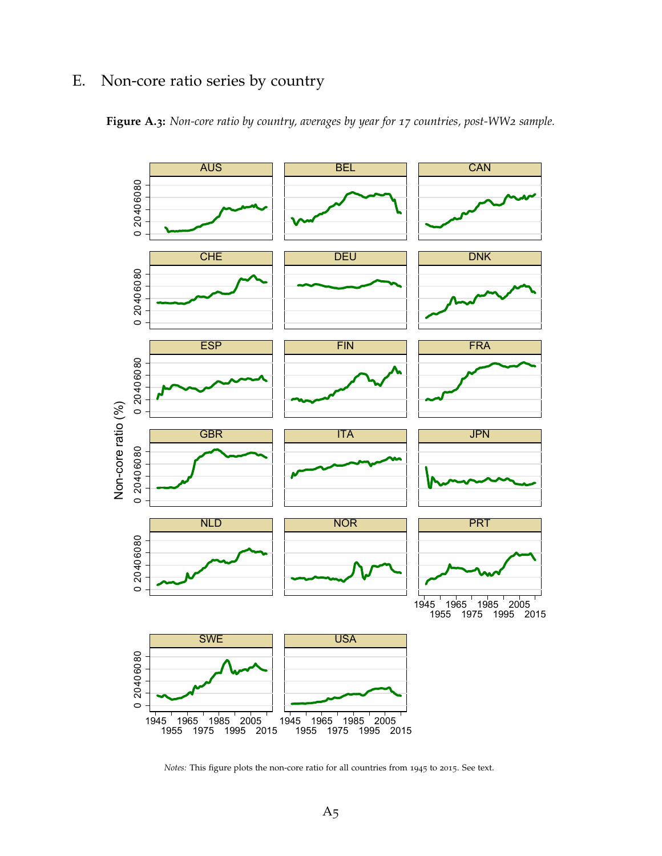# E. Non-core ratio series by country





*Notes:* This figure plots the non-core ratio for all countries from 1945 to 2015. See text.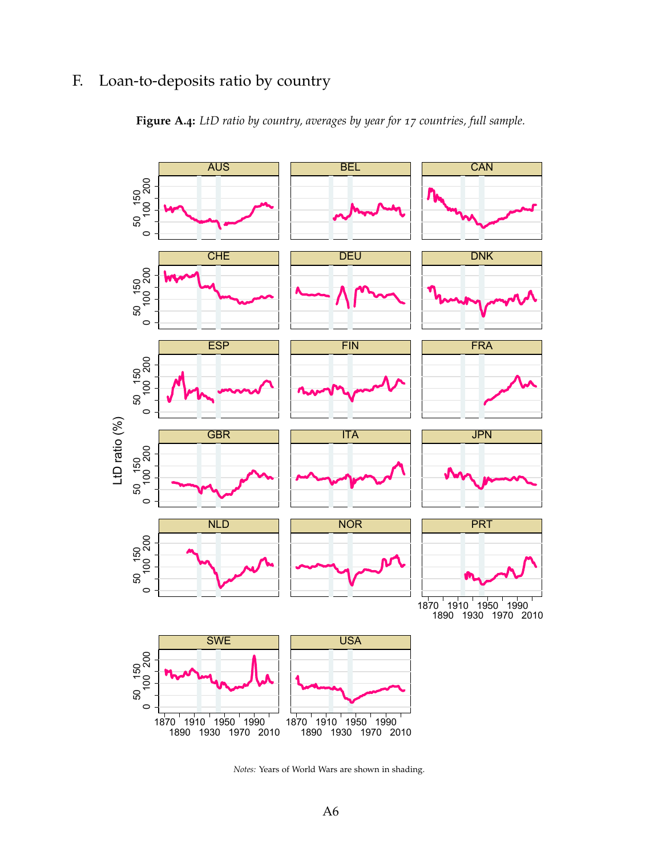# F. Loan-to-deposits ratio by country





*Notes:* Years of World Wars are shown in shading.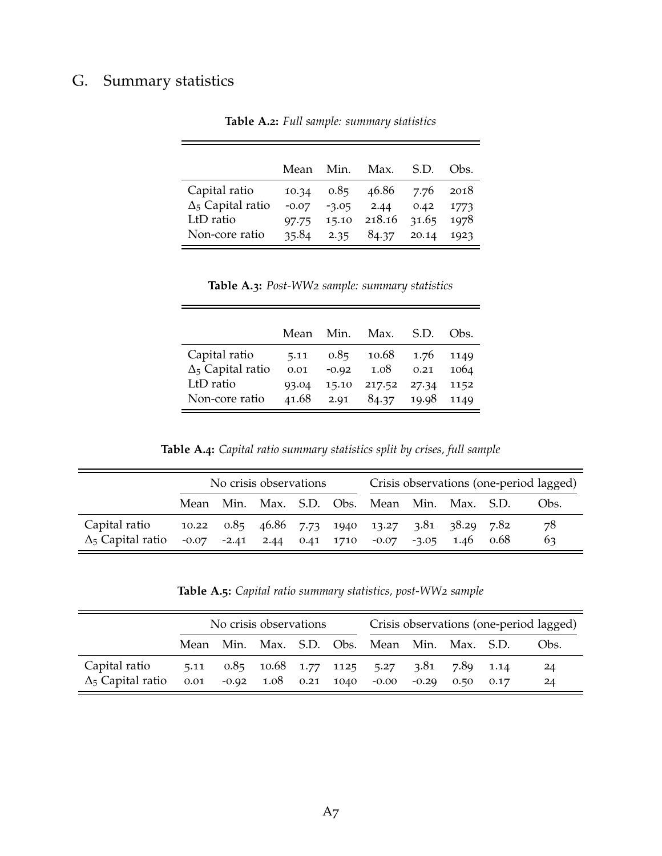# G. Summary statistics

|                          | Mean    | Min.    | Max.   | S.D.  | $Obs$ . |
|--------------------------|---------|---------|--------|-------|---------|
| Capital ratio            | 10.34   | 0.85    | 46.86  | 7.76  | 2018    |
| $\Delta_5$ Capital ratio | $-0.07$ | $-3.05$ | 2.44   | 0.42  | 1773    |
| LtD ratio                | 97.75   | 15.10   | 218.16 | 31.65 | 1978    |
| Non-core ratio           | 35.84   | 2.35    | 84.37  | 20.14 | 1923    |

**Table A.2:** *Full sample: summary statistics*

**Table A.3:** *Post-WW2 sample: summary statistics*

|                          | Mean  | Min.    | Max.        | S.D.  | Obs. |
|--------------------------|-------|---------|-------------|-------|------|
| Capital ratio            | 5.11  | 0.85    | 10.68       | 1.76  | 1149 |
| $\Delta_5$ Capital ratio | 0.01  | $-0.92$ | 1.08        | 0.21  | 1064 |
| LtD ratio                | 93.04 | 15.10   | 217.52      | 27.34 | 1152 |
| Non-core ratio           | 41.68 | 2.91    | 84.37 19.98 |       | 1149 |

**Table A.4:** *Capital ratio summary statistics split by crises, full sample*

|                          | No crisis observations |  |  |  | Crisis observations (one-period lagged) |                                                                    |  |  |  |      |
|--------------------------|------------------------|--|--|--|-----------------------------------------|--------------------------------------------------------------------|--|--|--|------|
|                          |                        |  |  |  |                                         | Mean Min. Max. S.D. Obs. Mean Min. Max. S.D.                       |  |  |  | Obs. |
| Capital ratio            |                        |  |  |  |                                         | 10.22 0.85 46.86 7.73 1940 13.27 3.81 38.29 7.82                   |  |  |  | 78   |
| $\Delta_5$ Capital ratio |                        |  |  |  |                                         | $-0.07$ $-2.41$ $2.44$ $0.41$ $1710$ $-0.07$ $-3.05$ $1.46$ $0.68$ |  |  |  | 63   |

**Table A.5:** *Capital ratio summary statistics, post-WW2 sample*

|                          | No crisis observations |  |  |  | Crisis observations (one-period lagged) |                                              |              |                |      |      |
|--------------------------|------------------------|--|--|--|-----------------------------------------|----------------------------------------------|--------------|----------------|------|------|
|                          |                        |  |  |  |                                         | Mean Min. Max. S.D. Obs. Mean Min. Max. S.D. |              |                |      | Obs. |
| Capital ratio            | 5.11                   |  |  |  |                                         | $0.85$ $10.68$ $1.77$ $1125$ $5.27$          |              | 3.81 7.89 1.14 |      | 24   |
| $\Delta_5$ Capital ratio | 0.01                   |  |  |  |                                         | $-0.92$ $1.08$ $0.21$ $1040$ $-0.00$         | $-0.29$ 0.50 |                | 0.17 | 24   |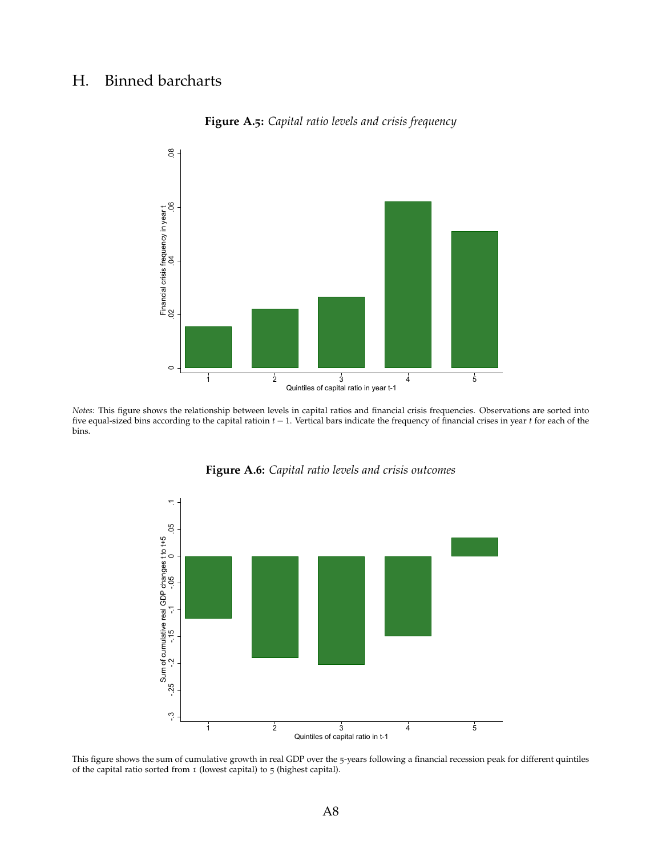### H. Binned barcharts



**Figure A.5:** *Capital ratio levels and crisis frequency*

*Notes:* This figure shows the relationship between levels in capital ratios and financial crisis frequencies. Observations are sorted into five equal-sized bins according to the capital ratioin *t* − 1. Vertical bars indicate the frequency of financial crises in year *t* for each of the bins.



**Figure A.6:** *Capital ratio levels and crisis outcomes*

This figure shows the sum of cumulative growth in real GDP over the 5-years following a financial recession peak for different quintiles of the capital ratio sorted from 1 (lowest capital) to 5 (highest capital).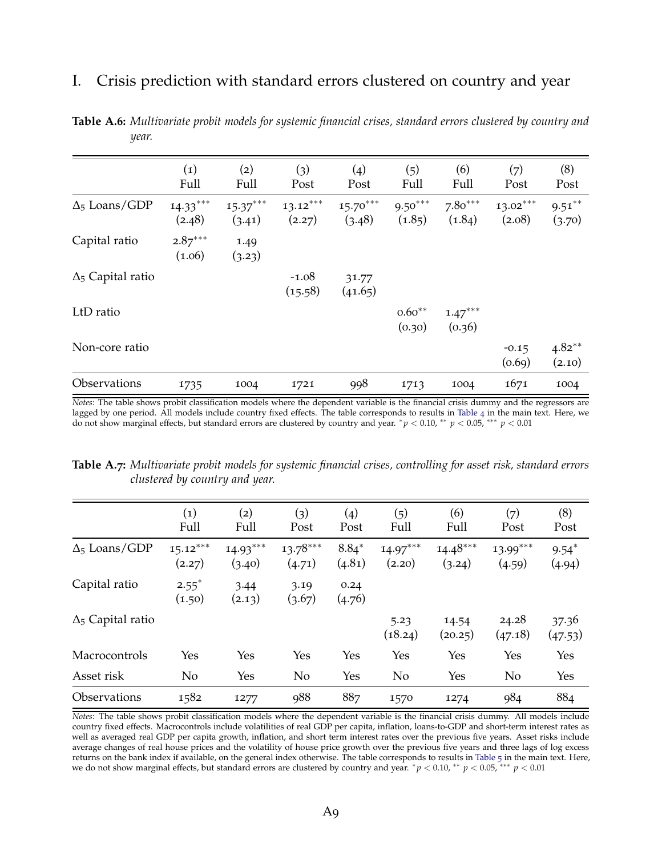### I. Crisis prediction with standard errors clustered on country and year

|                          | (1)<br>Full          | (2)<br>Full          | (3)<br>Post          | (4)<br>Post          | (5)<br>Full         | (6)<br>Full         | (7)<br>Post          | (8)<br>Post         |
|--------------------------|----------------------|----------------------|----------------------|----------------------|---------------------|---------------------|----------------------|---------------------|
| $\Delta_5$ Loans/GDP     | $14.33***$<br>(2.48) | $15.37***$<br>(3.41) | $13.12***$<br>(2.27) | $15.70***$<br>(3.48) | $9.50***$<br>(1.85) | $7.80***$<br>(1.84) | $13.02***$<br>(2.08) | $9.51***$<br>(3.70) |
| Capital ratio            | $2.87***$<br>(1.06)  | 1.49<br>(3.23)       |                      |                      |                     |                     |                      |                     |
| $\Delta_5$ Capital ratio |                      |                      | $-1.08$<br>(15.58)   | 31.77<br>(41.65)     |                     |                     |                      |                     |
| LtD ratio                |                      |                      |                      |                      | $0.60**$<br>(0.30)  | $1.47***$<br>(0.36) |                      |                     |
| Non-core ratio           |                      |                      |                      |                      |                     |                     | $-0.15$<br>(0.69)    | $4.82**$<br>(2.10)  |
| Observations             | 1735                 | 1004                 | 1721                 | 998                  | 1713                | 1004                | 1671                 | 1004                |

**Table A.6:** *Multivariate probit models for systemic financial crises, standard errors clustered by country and year.*

*Notes*: The table shows probit classification models where the dependent variable is the financial crisis dummy and the regressors are lagged by one period. All models include country fixed effects. The table corresponds to results in [Table](#page-19-0) 4 in the main text. Here, we do not show marginal effects, but standard errors are clustered by country and year. <sup>∗</sup> *p* < 0.10, ∗∗ *p* < 0.05, ∗∗∗ *p* < 0.01

**Table A.7:** *Multivariate probit models for systemic financial crises, controlling for asset risk, standard errors clustered by country and year.*

|                          | (1)<br>Full                   | (2)<br>Full          | (3)<br>Post          | (4)<br>Post       | (5)<br>Full          | (6)<br>Full          | (7)<br>Post          | (8)<br>Post       |
|--------------------------|-------------------------------|----------------------|----------------------|-------------------|----------------------|----------------------|----------------------|-------------------|
| $\Delta_5$ Loans/GDP     | $15.12***$<br>(2.27)          | $14.93***$<br>(3.40) | $13.78***$<br>(4.71) | $8.84*$<br>(4.81) | $14.97***$<br>(2.20) | $14.48***$<br>(3.24) | $13.99***$<br>(4.59) | $9.54*$<br>(4.94) |
| Capital ratio            | $2.55$ <sup>*</sup><br>(1.50) | 3.44<br>(2.13)       | 3.19<br>(3.67)       | 0.24<br>(4.76)    |                      |                      |                      |                   |
| $\Delta_5$ Capital ratio |                               |                      |                      |                   | 5.23<br>(18.24)      | 14.54<br>(20.25)     | 24.28<br>(47.18)     | 37.36<br>(47.53)  |
| Macrocontrols            | Yes                           | Yes                  | Yes                  | Yes               | Yes                  | Yes                  | Yes                  | Yes               |
| Asset risk               | N <sub>o</sub>                | Yes                  | N <sub>o</sub>       | Yes               | N <sub>o</sub>       | Yes                  | No                   | Yes               |
| Observations             | 1582                          | 1277                 | <b>988</b>           | 887               | 1570                 | 1274                 | 984                  | 884               |

*Notes*: The table shows probit classification models where the dependent variable is the financial crisis dummy. All models include country fixed effects. Macrocontrols include volatilities of real GDP per capita, inflation, loans-to-GDP and short-term interest rates as well as averaged real GDP per capita growth, inflation, and short term interest rates over the previous five years. Asset risks include average changes of real house prices and the volatility of house price growth over the previous five years and three lags of log excess returns on the bank index if available, on the general index otherwise. The table corresponds to results in [Table](#page-21-0) 5 in the main text. Here, we do not show marginal effects, but standard errors are clustered by country and year. *\* p* < 0.01, <sup>\*\*</sup> *p* < 0.05, <sup>\*\*\*</sup> *p* < 0.01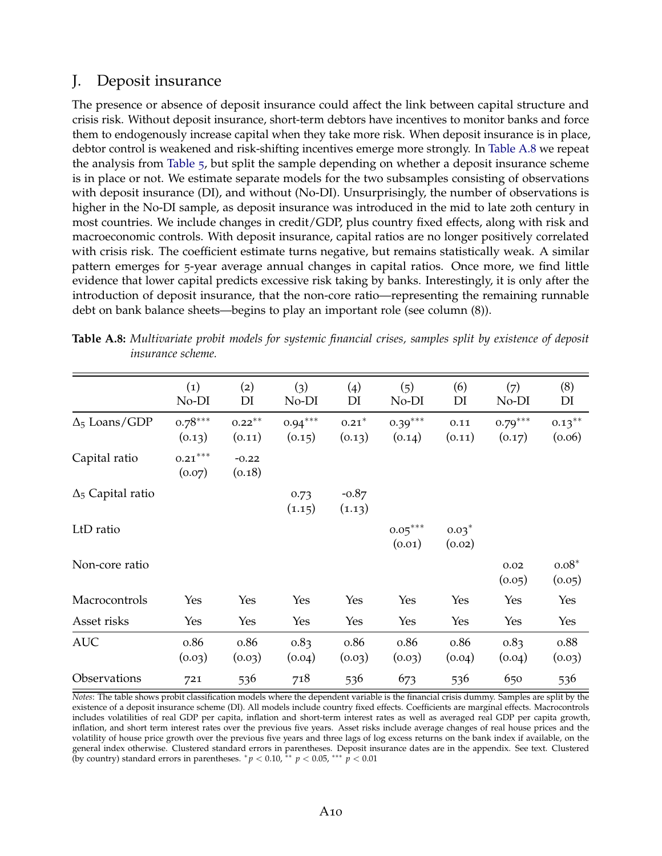### J. Deposit insurance

The presence or absence of deposit insurance could affect the link between capital structure and crisis risk. Without deposit insurance, short-term debtors have incentives to monitor banks and force them to endogenously increase capital when they take more risk. When deposit insurance is in place, debtor control is weakened and risk-shifting incentives emerge more strongly. In [Table A.](#page-51-0)8 we repeat the analysis from [Table](#page-21-0) 5, but split the sample depending on whether a deposit insurance scheme is in place or not. We estimate separate models for the two subsamples consisting of observations with deposit insurance (DI), and without (No-DI). Unsurprisingly, the number of observations is higher in the No-DI sample, as deposit insurance was introduced in the mid to late 20th century in most countries. We include changes in credit/GDP, plus country fixed effects, along with risk and macroeconomic controls. With deposit insurance, capital ratios are no longer positively correlated with crisis risk. The coefficient estimate turns negative, but remains statistically weak. A similar pattern emerges for 5-year average annual changes in capital ratios. Once more, we find little evidence that lower capital predicts excessive risk taking by banks. Interestingly, it is only after the introduction of deposit insurance, that the non-core ratio—representing the remaining runnable debt on bank balance sheets—begins to play an important role (see column (8)).

|                          | (1)<br>No-DI                    | (2)<br>DI           | (3)<br>No-DI        | (4)<br>DI         | (5)<br>No-DI        | (6)<br>DI         | (7)<br>No-DI        | (8)<br>DI           |
|--------------------------|---------------------------------|---------------------|---------------------|-------------------|---------------------|-------------------|---------------------|---------------------|
| $\Delta_5$ Loans/GDP     | $0.78***$<br>(0.13)             | $0.22***$<br>(0.11) | $0.94***$<br>(0.15) | $0.21*$<br>(0.13) | $0.39***$<br>(0.14) | 0.11<br>(0.11)    | $0.79***$<br>(0.17) | $0.13***$<br>(0.06) |
| Capital ratio            | $0.21^{\ast\ast\ast}$<br>(0.07) | $-0.22$<br>(0.18)   |                     |                   |                     |                   |                     |                     |
| $\Delta_5$ Capital ratio |                                 |                     | 0.73<br>(1.15)      | $-0.87$<br>(1.13) |                     |                   |                     |                     |
| LtD ratio                |                                 |                     |                     |                   | $0.05***$<br>(0.01) | $0.03*$<br>(0.02) |                     |                     |
| Non-core ratio           |                                 |                     |                     |                   |                     |                   | 0.02<br>(0.05)      | $0.08*$<br>(0.05)   |
| Macrocontrols            | Yes                             | Yes                 | Yes                 | Yes               | Yes                 | Yes               | Yes                 | Yes                 |
| Asset risks              | Yes                             | Yes                 | Yes                 | Yes               | Yes                 | Yes               | Yes                 | Yes                 |
| <b>AUC</b>               | 0.86<br>(0.03)                  | 0.86<br>(0.03)      | 0.83<br>(0.04)      | 0.86<br>(0.03)    | 0.86<br>(0.03)      | 0.86<br>(0.04)    | 0.83<br>(0.04)      | 0.88<br>(0.03)      |
| Observations             | 721                             | 536                 | 718                 | 536               | 673                 | 536               | 650                 | 536                 |

<span id="page-51-0"></span>**Table A.8:** *Multivariate probit models for systemic financial crises, samples split by existence of deposit insurance scheme.*

*Notes*: The table shows probit classification models where the dependent variable is the financial crisis dummy. Samples are split by the existence of a deposit insurance scheme (DI). All models include country fixed effects. Coefficients are marginal effects. Macrocontrols includes volatilities of real GDP per capita, inflation and short-term interest rates as well as averaged real GDP per capita growth, inflation, and short term interest rates over the previous five years. Asset risks include average changes of real house prices and the volatility of house price growth over the previous five years and three lags of log excess returns on the bank index if available, on the general index otherwise. Clustered standard errors in parentheses. Deposit insurance dates are in the appendix. See text. Clustered (by country) standard errors in parentheses.  $p < 0.10$ , \*\*  $p < 0.05$ , \*\*\*  $p < 0.01$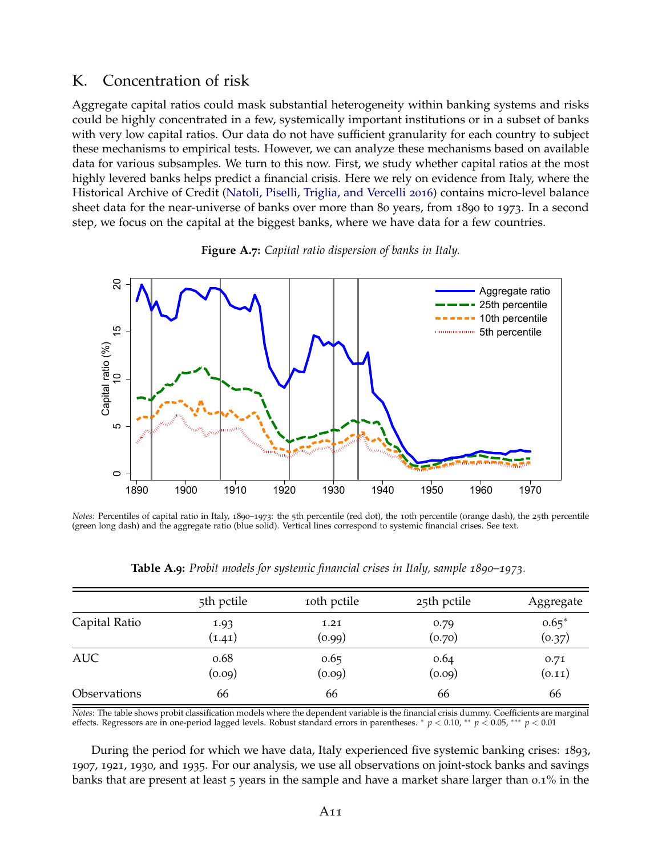### K. Concentration of risk

Aggregate capital ratios could mask substantial heterogeneity within banking systems and risks could be highly concentrated in a few, systemically important institutions or in a subset of banks with very low capital ratios. Our data do not have sufficient granularity for each country to subject these mechanisms to empirical tests. However, we can analyze these mechanisms based on available data for various subsamples. We turn to this now. First, we study whether capital ratios at the most highly levered banks helps predict a financial crisis. Here we rely on evidence from Italy, where the Historical Archive of Credit [\(Natoli, Piselli, Triglia, and Vercelli](#page-41-0) [2016](#page-41-0)) contains micro-level balance sheet data for the near-universe of banks over more than 80 years, from 1890 to 1973. In a second step, we focus on the capital at the biggest banks, where we have data for a few countries.

<span id="page-52-0"></span>

**Figure A.7:** *Capital ratio dispersion of banks in Italy.*

*Notes:* Percentiles of capital ratio in Italy, 1890–1973: the 5th percentile (red dot), the 10th percentile (orange dash), the 25th percentile (green long dash) and the aggregate ratio (blue solid). Vertical lines correspond to systemic financial crises. See text.

<span id="page-52-1"></span>

|               | 5th pctile | 10th pctile | 25th pctile | Aggregate |
|---------------|------------|-------------|-------------|-----------|
| Capital Ratio | 1.93       | 1.21        | 0.79        | $0.65*$   |
|               | (1.41)     | (0.99)      | (0.70)      | (0.37)    |
| <b>AUC</b>    | 0.68       | 0.65        | 0.64        | 0.71      |
|               | (0.09)     | (0.09)      | (0.09)      | (0.11)    |
| Observations  | 66         | 66          | 66          | 66        |

**Table A.9:** *Probit models for systemic financial crises in Italy, sample 1890–1973.*

*Notes*: The table shows probit classification models where the dependent variable is the financial crisis dummy. Coefficients are marginal effects. Regressors are in one-period lagged levels. Robust standard errors in parentheses. <sup>∗</sup> *p* < 0.10, ∗∗ *p* < 0.05, ∗∗∗ *p* < 0.01

During the period for which we have data, Italy experienced five systemic banking crises: 1893, 1907, 1921, 1930, and 1935. For our analysis, we use all observations on joint-stock banks and savings banks that are present at least 5 years in the sample and have a market share larger than 0.1% in the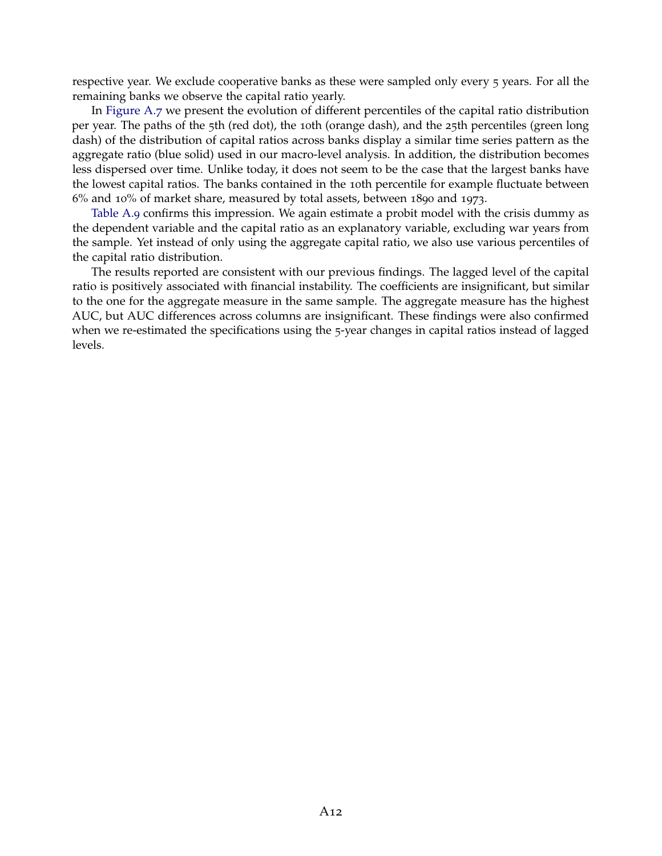respective year. We exclude cooperative banks as these were sampled only every 5 years. For all the remaining banks we observe the capital ratio yearly.

In [Figure A.](#page-52-0)7 we present the evolution of different percentiles of the capital ratio distribution per year. The paths of the 5th (red dot), the 10th (orange dash), and the 25th percentiles (green long dash) of the distribution of capital ratios across banks display a similar time series pattern as the aggregate ratio (blue solid) used in our macro-level analysis. In addition, the distribution becomes less dispersed over time. Unlike today, it does not seem to be the case that the largest banks have the lowest capital ratios. The banks contained in the 10th percentile for example fluctuate between 6% and 10% of market share, measured by total assets, between 1890 and 1973.

[Table A.](#page-52-1)9 confirms this impression. We again estimate a probit model with the crisis dummy as the dependent variable and the capital ratio as an explanatory variable, excluding war years from the sample. Yet instead of only using the aggregate capital ratio, we also use various percentiles of the capital ratio distribution.

The results reported are consistent with our previous findings. The lagged level of the capital ratio is positively associated with financial instability. The coefficients are insignificant, but similar to the one for the aggregate measure in the same sample. The aggregate measure has the highest AUC, but AUC differences across columns are insignificant. These findings were also confirmed when we re-estimated the specifications using the 5-year changes in capital ratios instead of lagged levels.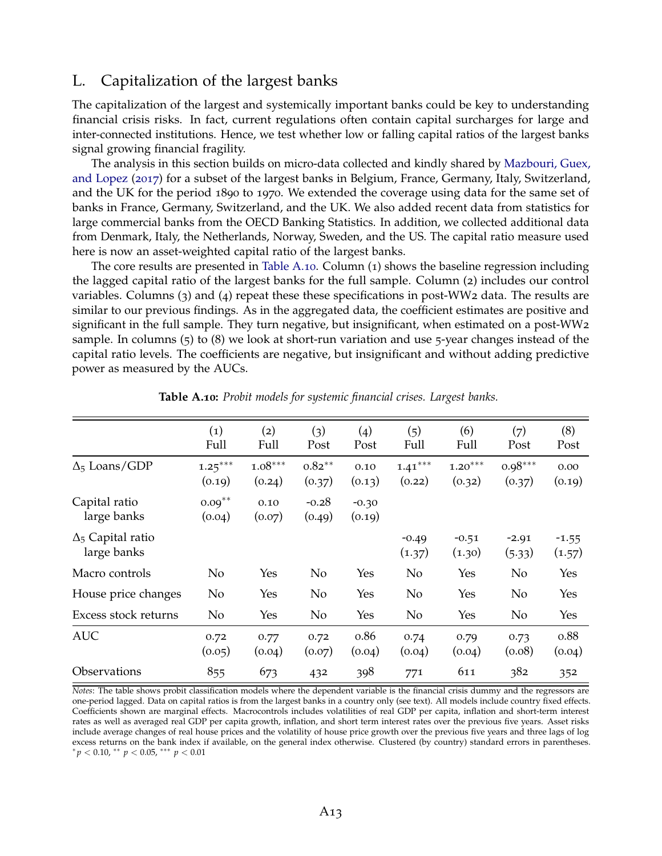### L. Capitalization of the largest banks

The capitalization of the largest and systemically important banks could be key to understanding financial crisis risks. In fact, current regulations often contain capital surcharges for large and inter-connected institutions. Hence, we test whether low or falling capital ratios of the largest banks signal growing financial fragility.

The analysis in this section builds on micro-data collected and kindly shared by [Mazbouri, Guex,](#page-40-1) [and Lopez](#page-40-1) ([2017](#page-40-1)) for a subset of the largest banks in Belgium, France, Germany, Italy, Switzerland, and the UK for the period 1890 to 1970. We extended the coverage using data for the same set of banks in France, Germany, Switzerland, and the UK. We also added recent data from statistics for large commercial banks from the OECD Banking Statistics. In addition, we collected additional data from Denmark, Italy, the Netherlands, Norway, Sweden, and the US. The capital ratio measure used here is now an asset-weighted capital ratio of the largest banks.

The core results are presented in [Table A.](#page-54-0)10. Column (1) shows the baseline regression including the lagged capital ratio of the largest banks for the full sample. Column (2) includes our control variables. Columns (3) and (4) repeat these these specifications in post-WW2 data. The results are similar to our previous findings. As in the aggregated data, the coefficient estimates are positive and significant in the full sample. They turn negative, but insignificant, when estimated on a post-WW2 sample. In columns (5) to (8) we look at short-run variation and use 5-year changes instead of the capital ratio levels. The coefficients are negative, but insignificant and without adding predictive power as measured by the AUCs.

<span id="page-54-0"></span>

|                                         | $\left( 1\right)$<br>Full | (2)<br>Full         | (3)<br>Post         | (4)<br>Post       | (5)<br>Full         | (6)<br>Full         | (7)<br>Post         | (8)<br>Post       |
|-----------------------------------------|---------------------------|---------------------|---------------------|-------------------|---------------------|---------------------|---------------------|-------------------|
| $\Delta_5$ Loans/GDP                    | $1.25***$<br>(0.19)       | $1.08***$<br>(0.24) | $0.82***$<br>(0.37) | 0.10<br>(0.13)    | $1.41***$<br>(0.22) | $1.20***$<br>(0.32) | $0.98***$<br>(0.37) | 0.00<br>(0.19)    |
| Capital ratio<br>large banks            | $0.09***$<br>(0.04)       | 0.10<br>(0.07)      | $-0.28$<br>(0.49)   | $-0.30$<br>(0.19) |                     |                     |                     |                   |
| $\Delta_5$ Capital ratio<br>large banks |                           |                     |                     |                   | $-0.49$<br>(1.37)   | $-0.51$<br>(1.30)   | $-2.91$<br>(5.33)   | $-1.55$<br>(1.57) |
| Macro controls                          | No                        | Yes                 | No                  | Yes               | No                  | Yes                 | N <sub>o</sub>      | Yes               |
| House price changes                     | N <sub>o</sub>            | Yes                 | No                  | Yes               | No                  | Yes                 | No                  | Yes               |
| Excess stock returns                    | N <sub>o</sub>            | Yes                 | No                  | Yes               | No                  | Yes                 | No                  | Yes               |
| <b>AUC</b>                              | 0.72<br>(0.05)            | 0.77<br>(0.04)      | 0.72<br>(0.07)      | 0.86<br>(0.04)    | 0.74<br>(0.04)      | 0.79<br>(0.04)      | 0.73<br>(0.08)      | 0.88<br>(0.04)    |
| Observations                            | 855                       | 673                 | 432                 | 398               | 771                 | 611                 | 382                 | 352               |

**Table A.10:** *Probit models for systemic financial crises. Largest banks.*

*Notes*: The table shows probit classification models where the dependent variable is the financial crisis dummy and the regressors are one-period lagged. Data on capital ratios is from the largest banks in a country only (see text). All models include country fixed effects. Coefficients shown are marginal effects. Macrocontrols includes volatilities of real GDP per capita, inflation and short-term interest rates as well as averaged real GDP per capita growth, inflation, and short term interest rates over the previous five years. Asset risks include average changes of real house prices and the volatility of house price growth over the previous five years and three lags of log excess returns on the bank index if available, on the general index otherwise. Clustered (by country) standard errors in parentheses. <sup>∗</sup> *p* < 0.10, ∗∗ *p* < 0.05, ∗∗∗ *p* < 0.01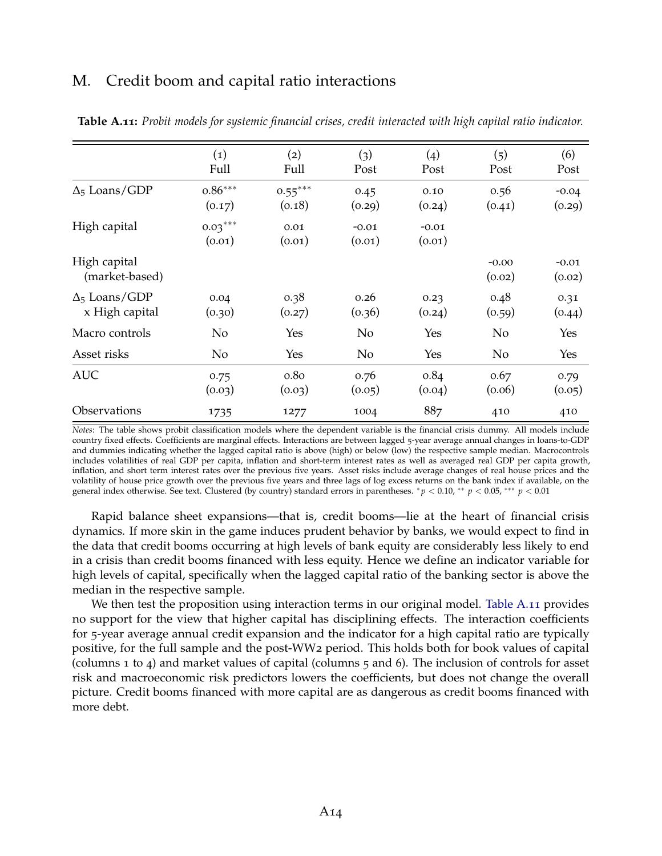### M. Credit boom and capital ratio interactions

|                                        | (1)<br>Full         | (2)<br>Full                | (3)<br>Post       | (4)<br>Post       | (5)<br>Post       | (6)<br>Post       |
|----------------------------------------|---------------------|----------------------------|-------------------|-------------------|-------------------|-------------------|
| $\Delta_5$ Loans/GDP                   | $0.86***$<br>(0.17) | $0.55***$<br>(0.18)        | 0.45<br>(0.29)    | 0.10<br>(0.24)    | 0.56<br>(0.41)    | $-0.04$<br>(0.29) |
| High capital                           | $0.03***$<br>(0.01) | 0.01<br>(0.01)             | $-0.01$<br>(0.01) | $-0.01$<br>(0.01) |                   |                   |
| High capital<br>(market-based)         |                     |                            |                   |                   | $-0.00$<br>(0.02) | $-0.01$<br>(0.02) |
| $\Delta_5$ Loans/GDP<br>x High capital | 0.04<br>(0.30)      | 0.38<br>(0.27)             | 0.26<br>(0.36)    | 0.23<br>(0.24)    | 0.48<br>(0.59)    | 0.31<br>(0.44)    |
| Macro controls                         | N <sub>o</sub>      | Yes                        | No                | Yes               | No                | Yes               |
| Asset risks                            | No                  | Yes                        | N <sub>o</sub>    | Yes               | No                | Yes               |
| <b>AUC</b>                             | 0.75<br>(0.03)      | 0.8 <sub>0</sub><br>(0.03) | 0.76<br>(0.05)    | 0.84<br>(0.04)    | 0.67<br>(0.06)    | 0.79<br>(0.05)    |
| <b>Observations</b>                    | 1735                | 1277                       | 1004              | 887               | 410               | 410               |

<span id="page-55-0"></span>**Table A.11:** *Probit models for systemic financial crises, credit interacted with high capital ratio indicator.*

*Notes*: The table shows probit classification models where the dependent variable is the financial crisis dummy. All models include country fixed effects. Coefficients are marginal effects. Interactions are between lagged 5-year average annual changes in loans-to-GDP and dummies indicating whether the lagged capital ratio is above (high) or below (low) the respective sample median. Macrocontrols includes volatilities of real GDP per capita, inflation and short-term interest rates as well as averaged real GDP per capita growth, inflation, and short term interest rates over the previous five years. Asset risks include average changes of real house prices and the volatility of house price growth over the previous five years and three lags of log excess returns on the bank index if available, on the general index otherwise. See text. Clustered (by country) standard errors in parentheses. <sup>∗</sup> *p* < 0.10, ∗∗ *p* < 0.05, ∗∗∗ *p* < 0.01

Rapid balance sheet expansions—that is, credit booms—lie at the heart of financial crisis dynamics. If more skin in the game induces prudent behavior by banks, we would expect to find in the data that credit booms occurring at high levels of bank equity are considerably less likely to end in a crisis than credit booms financed with less equity. Hence we define an indicator variable for high levels of capital, specifically when the lagged capital ratio of the banking sector is above the median in the respective sample.

We then test the proposition using interaction terms in our original model. [Table A.](#page-55-0)11 provides no support for the view that higher capital has disciplining effects. The interaction coefficients for 5-year average annual credit expansion and the indicator for a high capital ratio are typically positive, for the full sample and the post-WW2 period. This holds both for book values of capital (columns 1 to 4) and market values of capital (columns 5 and 6). The inclusion of controls for asset risk and macroeconomic risk predictors lowers the coefficients, but does not change the overall picture. Credit booms financed with more capital are as dangerous as credit booms financed with more debt.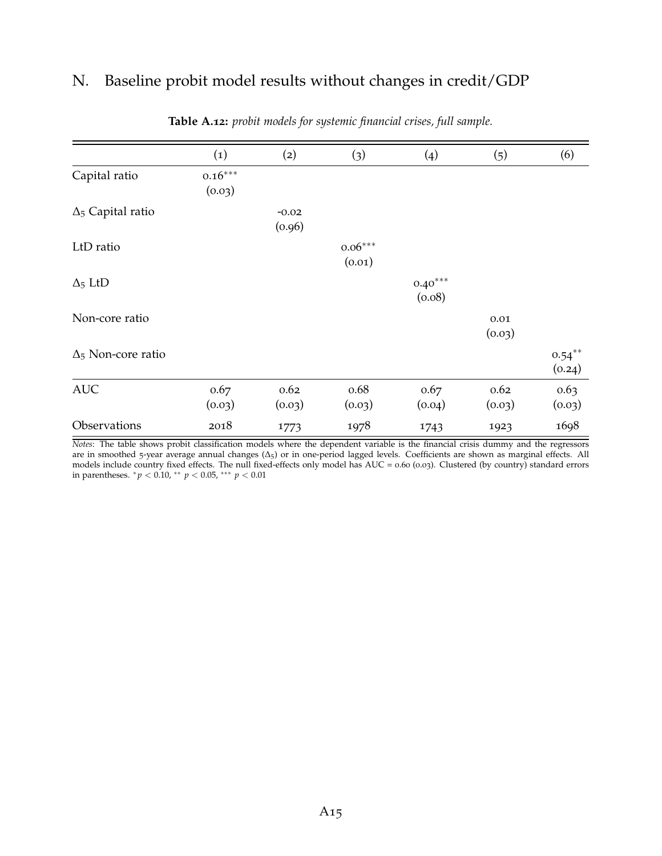# N. Baseline probit model results without changes in credit/GDP

|                           | $\left( 1\right)$   | (2)               | (3)                 | (4)                 | (5)                | (6)                 |
|---------------------------|---------------------|-------------------|---------------------|---------------------|--------------------|---------------------|
| Capital ratio             | $0.16***$<br>(0.03) |                   |                     |                     |                    |                     |
| $\Delta_5$ Capital ratio  |                     | $-0.02$<br>(0.96) |                     |                     |                    |                     |
| LtD ratio                 |                     |                   | $0.06***$<br>(0.01) |                     |                    |                     |
| $\Delta_5$ LtD            |                     |                   |                     | $0.40***$<br>(0.08) |                    |                     |
| Non-core ratio            |                     |                   |                     |                     | $0.01\,$<br>(0.03) |                     |
| $\Delta_5$ Non-core ratio |                     |                   |                     |                     |                    | $0.54***$<br>(0.24) |
| <b>AUC</b>                | 0.67<br>(0.03)      | 0.62<br>(0.03)    | 0.68<br>(0.03)      | 0.67<br>(0.04)      | 0.62<br>(0.03)     | 0.63<br>(0.03)      |
| Observations              | 2018                | 1773              | 1978                | 1743                | 1923               | 1698                |

#### **Table A.12:** *probit models for systemic financial crises, full sample.*

*Notes*: The table shows probit classification models where the dependent variable is the financial crisis dummy and the regressors are in smoothed 5-year average annual changes (∆5) or in one-period lagged levels. Coefficients are shown as marginal effects. All models include country fixed effects. The null fixed-effects only model has AUC = 0.60 (0.03). Clustered (by country) standard errors in parentheses. <sup>∗</sup> *p* < 0.10, ∗∗ *p* < 0.05, ∗∗∗ *p* < 0.01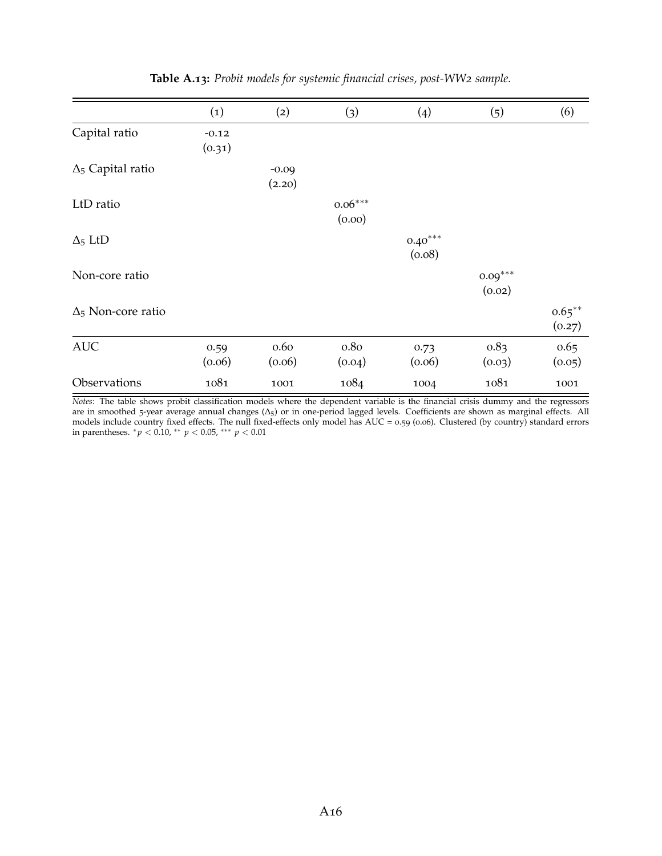|                           | $\left( 1\right)$ | (2)               | (3)                 | (4)                 | (5)                 | (6)                 |
|---------------------------|-------------------|-------------------|---------------------|---------------------|---------------------|---------------------|
| Capital ratio             | $-0.12$<br>(0.31) |                   |                     |                     |                     |                     |
| $\Delta_5$ Capital ratio  |                   | $-0.09$<br>(2.20) |                     |                     |                     |                     |
| LtD ratio                 |                   |                   | $0.06***$<br>(0.00) |                     |                     |                     |
| $\Delta_5$ LtD            |                   |                   |                     | $0.40***$<br>(0.08) |                     |                     |
| Non-core ratio            |                   |                   |                     |                     | $0.09***$<br>(0.02) |                     |
| $\Delta_5$ Non-core ratio |                   |                   |                     |                     |                     | $0.65***$<br>(0.27) |
| <b>AUC</b>                | 0.59<br>(0.06)    | 0.60<br>(0.06)    | 0.80<br>(0.04)      | 0.73<br>(0.06)      | 0.83<br>(0.03)      | 0.65<br>(0.05)      |
| Observations              | 1081              | 1001              | 1084                | 1004                | 1081                | 1001                |

### **Table A.13:** *Probit models for systemic financial crises, post-WW2 sample.*

*Notes*: The table shows probit classification models where the dependent variable is the financial crisis dummy and the regressors are in smoothed 5-year average annual changes (∆5) or in one-period lagged levels. Coefficients are shown as marginal effects. All models include country fixed effects. The null fixed-effects only model has AUC = 0.59 (0.06). Clustered (by country) standard errors in parentheses. <sup>∗</sup> *p* < 0.10, ∗∗ *p* < 0.05, ∗∗∗ *p* < 0.01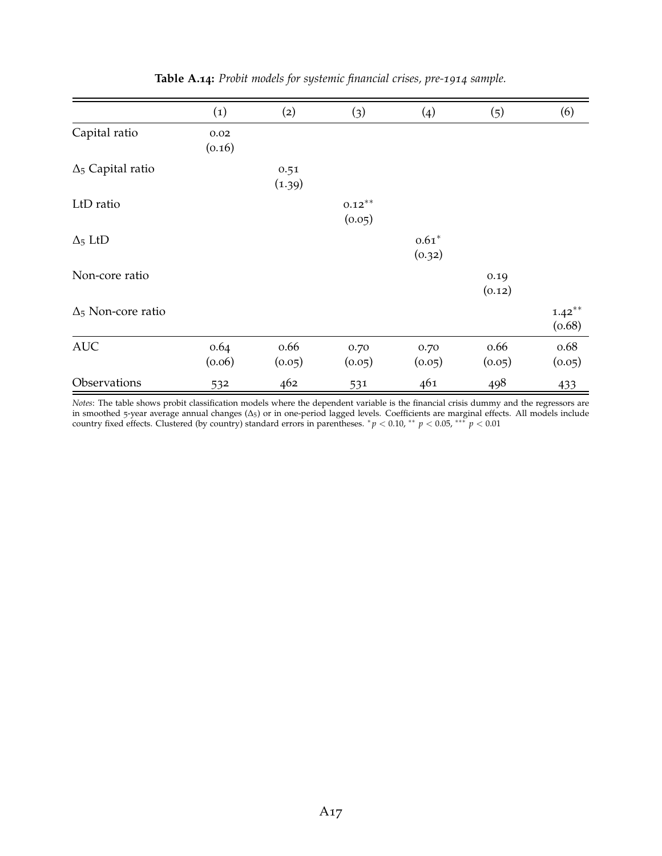|                           | (1)            | (2)            | (3)                 | (4)               | (5)            | (6)                 |
|---------------------------|----------------|----------------|---------------------|-------------------|----------------|---------------------|
| Capital ratio             | 0.02<br>(0.16) |                |                     |                   |                |                     |
| $\Delta_5$ Capital ratio  |                | 0.51<br>(1.39) |                     |                   |                |                     |
| LtD ratio                 |                |                | $0.12***$<br>(0.05) |                   |                |                     |
| $\Delta_5$ LtD            |                |                |                     | $0.61*$<br>(0.32) |                |                     |
| Non-core ratio            |                |                |                     |                   | 0.19<br>(0.12) |                     |
| $\Delta_5$ Non-core ratio |                |                |                     |                   |                | $1.42***$<br>(0.68) |
| <b>AUC</b>                | 0.64<br>(0.06) | 0.66<br>(0.05) | 0.70<br>(0.05)      | 0.70<br>(0.05)    | 0.66<br>(0.05) | 0.68<br>(0.05)      |
| Observations              | 532            | 462            | 531                 | 461               | 498            | 433                 |

**Table A.14:** *Probit models for systemic financial crises, pre-1914 sample.*

*Notes*: The table shows probit classification models where the dependent variable is the financial crisis dummy and the regressors are in smoothed 5-year average annual changes (∆5) or in one-period lagged levels. Coefficients are marginal effects. All models include country fixed effects. Clustered (by country) standard errors in parentheses.  ${}^*p$  < 0.10,  ${}^{**}$   $p$  < 0.05,  ${}^{***}$   $p$  < 0.01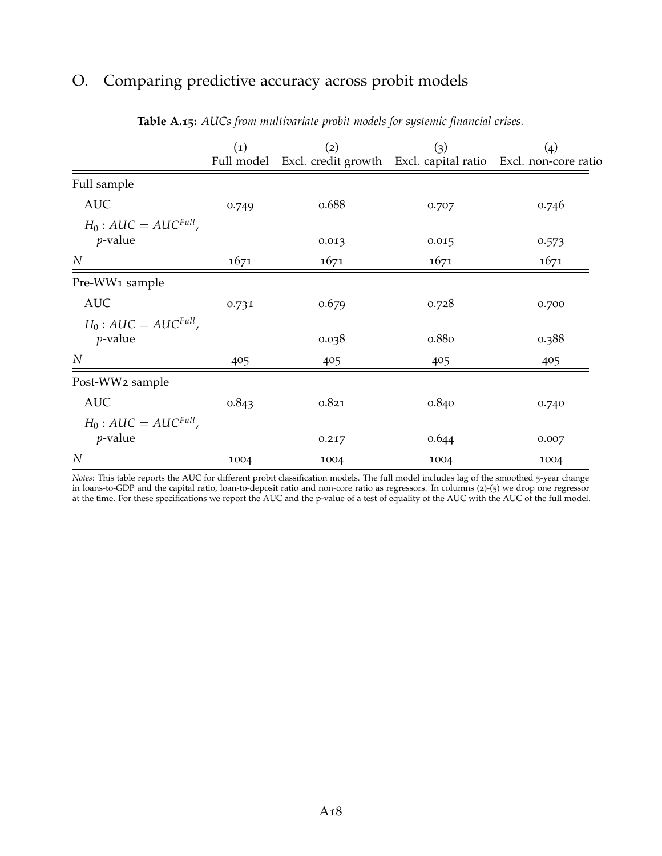# O. Comparing predictive accuracy across probit models

|                                                   | $\left( 1\right)$<br>Full model | (2)   | (3)   | (4)<br>Excl. credit growth Excl. capital ratio Excl. non-core ratio |
|---------------------------------------------------|---------------------------------|-------|-------|---------------------------------------------------------------------|
| Full sample                                       |                                 |       |       |                                                                     |
| <b>AUC</b>                                        | 0.749                           | 0.688 | 0.707 | 0.746                                                               |
| $H_0$ : AUC = AUC <sup>Full</sup> ,<br>$p$ -value |                                 | 0.013 | 0.015 | 0.573                                                               |
| $\boldsymbol{N}$                                  | 1671                            | 1671  | 1671  | 1671                                                                |
| Pre-WW1 sample                                    |                                 |       |       |                                                                     |
| <b>AUC</b>                                        | 0.731                           | 0.679 | 0.728 | 0.700                                                               |
| $H_0$ : AUC = AUC <sup>Full</sup> ,<br>$p$ -value |                                 | 0.038 | 0.880 | 0.388                                                               |
| N                                                 | 405                             | 405   | 405   | 405                                                                 |
| Post-WW2 sample                                   |                                 |       |       |                                                                     |
| <b>AUC</b>                                        | 0.843                           | 0.821 | 0.840 | 0.740                                                               |
| $H_0$ : AUC = AUC <sup>Full</sup> ,<br>$p$ -value |                                 | 0.217 | 0.644 | 0.007                                                               |
| $\overline{N}$                                    | 1004                            | 1004  | 1004  | 1004                                                                |

#### **Table A.15:** *AUCs from multivariate probit models for systemic financial crises.*

*Notes*: This table reports the AUC for different probit classification models. The full model includes lag of the smoothed 5-year change in loans-to-GDP and the capital ratio, loan-to-deposit ratio and non-core ratio as regressors. In columns (2)-(5) we drop one regressor at the time. For these specifications we report the AUC and the p-value of a test of equality of the AUC with the AUC of the full model.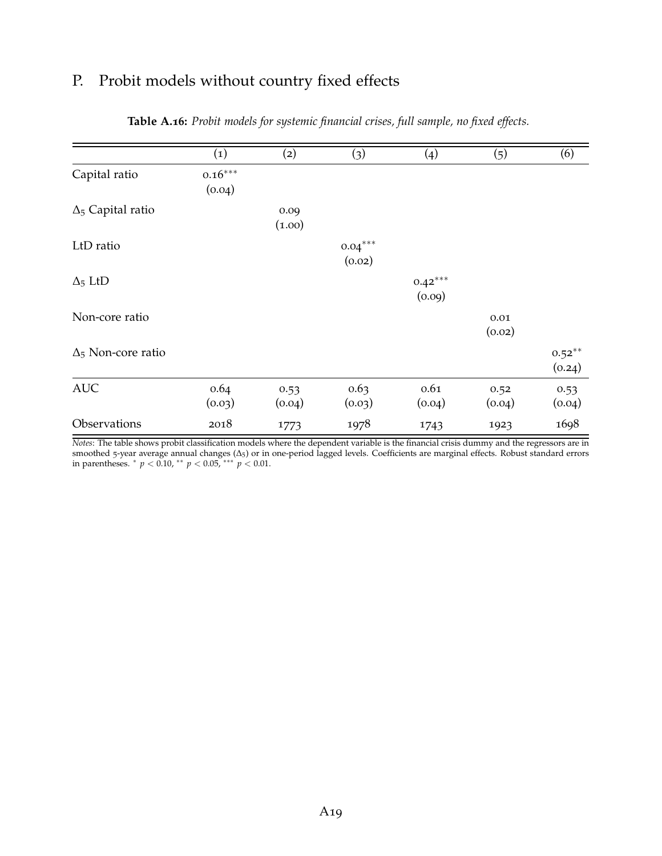# P. Probit models without country fixed effects

|                           | (1)                 | (2)            | (3)                 | (4)                 | (5)                | (6)                 |
|---------------------------|---------------------|----------------|---------------------|---------------------|--------------------|---------------------|
| Capital ratio             | $0.16***$<br>(0.04) |                |                     |                     |                    |                     |
| $\Delta_5$ Capital ratio  |                     | 0.09<br>(1.00) |                     |                     |                    |                     |
| LtD ratio                 |                     |                | $0.04***$<br>(0.02) |                     |                    |                     |
| $\Delta_5$ LtD            |                     |                |                     | $0.42***$<br>(0.09) |                    |                     |
| Non-core ratio            |                     |                |                     |                     | $0.01\,$<br>(0.02) |                     |
| $\Delta_5$ Non-core ratio |                     |                |                     |                     |                    | $0.52***$<br>(0.24) |
| <b>AUC</b>                | 0.64<br>(0.03)      | 0.53<br>(0.04) | 0.63<br>(0.03)      | 0.61<br>(0.04)      | 0.52<br>(0.04)     | 0.53<br>(0.04)      |
| Observations              | 2018                | 1773           | 1978                | 1743                | 1923               | 1698                |

#### **Table A.16:** *Probit models for systemic financial crises, full sample, no fixed effects.*

*Notes*: The table shows probit classification models where the dependent variable is the financial crisis dummy and the regressors are in smoothed 5-year average annual changes (∆5) or in one-period lagged levels. Coefficients are marginal effects. Robust standard errors in parentheses. <sup>∗</sup> *p* < 0.10, ∗∗ *p* < 0.05, ∗∗∗ *p* < 0.01.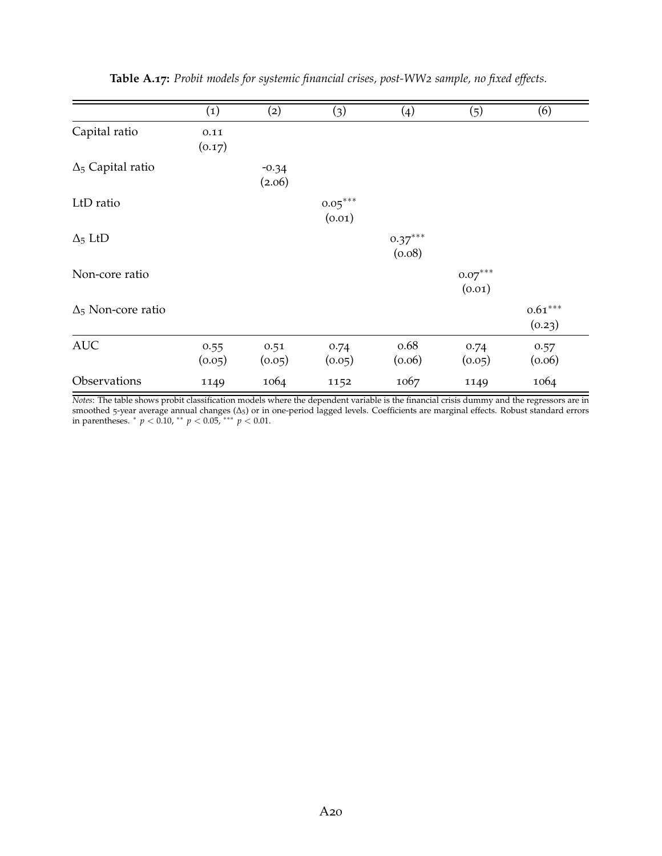|                           | $\left( 1\right)$ | (2)               | (3)                 | (4)                 | (5)                 | (6)                 |
|---------------------------|-------------------|-------------------|---------------------|---------------------|---------------------|---------------------|
| Capital ratio             | 0.11<br>(0.17)    |                   |                     |                     |                     |                     |
| $\Delta_5$ Capital ratio  |                   | $-0.34$<br>(2.06) |                     |                     |                     |                     |
| LtD ratio                 |                   |                   | $0.05***$<br>(0.01) |                     |                     |                     |
| $\Delta_5$ LtD            |                   |                   |                     | $0.37***$<br>(0.08) |                     |                     |
| Non-core ratio            |                   |                   |                     |                     | $0.07***$<br>(0.01) |                     |
| $\Delta_5$ Non-core ratio |                   |                   |                     |                     |                     | $0.61***$<br>(0.23) |
| <b>AUC</b>                | 0.55<br>(0.05)    | 0.51<br>(0.05)    | 0.74<br>(0.05)      | 0.68<br>(0.06)      | 0.74<br>(0.05)      | 0.57<br>(0.06)      |
| Observations              | 1149              | 1064              | 1152                | 1067                | 1149                | 1064                |

**Table A.17:** *Probit models for systemic financial crises, post-WW2 sample, no fixed effects.*

*Notes*: The table shows probit classification models where the dependent variable is the financial crisis dummy and the regressors are in smoothed 5-year average annual changes (∆5) or in one-period lagged levels. Coefficients are marginal effects. Robust standard errors in parentheses. <sup>∗</sup> *p* < 0.10, ∗∗ *p* < 0.05, ∗∗∗ *p* < 0.01.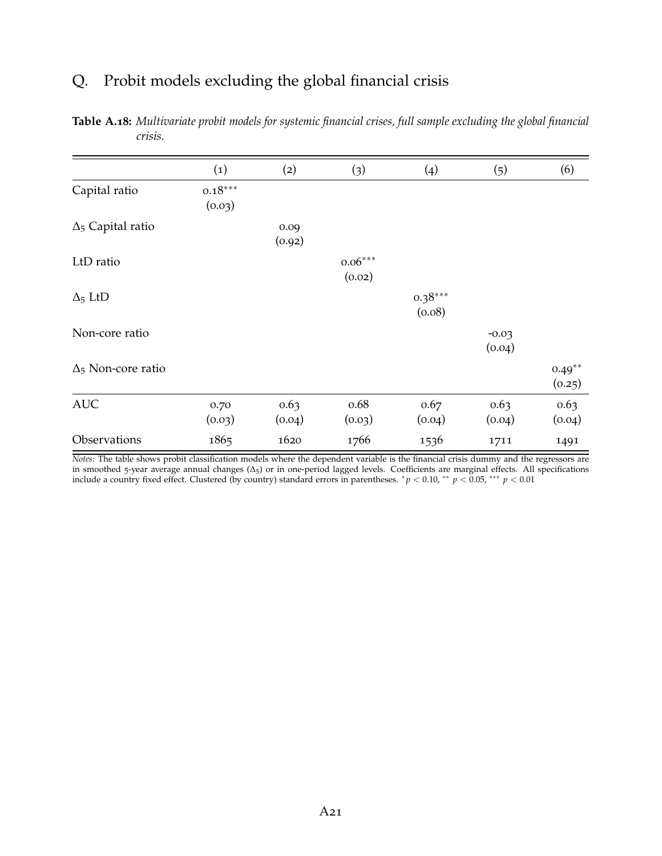# Q. Probit models excluding the global financial crisis

|                           | $\left( 1\right)$   | (2)            | (3)                 | (4)                 | (5)               | (6)                 |
|---------------------------|---------------------|----------------|---------------------|---------------------|-------------------|---------------------|
| Capital ratio             | $0.18***$<br>(0.03) |                |                     |                     |                   |                     |
| $\Delta_5$ Capital ratio  |                     | 0.09<br>(0.92) |                     |                     |                   |                     |
| LtD ratio                 |                     |                | $0.06***$<br>(0.02) |                     |                   |                     |
| $\Delta_5$ LtD            |                     |                |                     | $0.38***$<br>(0.08) |                   |                     |
| Non-core ratio            |                     |                |                     |                     | $-0.03$<br>(0.04) |                     |
| $\Delta_5$ Non-core ratio |                     |                |                     |                     |                   | $0.49***$<br>(0.25) |
| <b>AUC</b>                | 0.70<br>(0.03)      | 0.63<br>(0.04) | 0.68<br>(0.03)      | 0.67<br>(0.04)      | 0.63<br>(0.04)    | 0.63<br>(0.04)      |
| Observations              | 1865                | 1620           | 1766                | 1536                | 1711              | 1491                |

**Table A.18:** *Multivariate probit models for systemic financial crises, full sample excluding the global financial crisis.*

*Notes*: The table shows probit classification models where the dependent variable is the financial crisis dummy and the regressors are in smoothed 5-year average annual changes (∆5) or in one-period lagged levels. Coefficients are marginal effects. All specifications include a country fixed effect. Clustered (by country) standard errors in parentheses. <sup>∗</sup> *p* < 0.10, ∗∗ *p* < 0.05, ∗∗∗ *p* < 0.01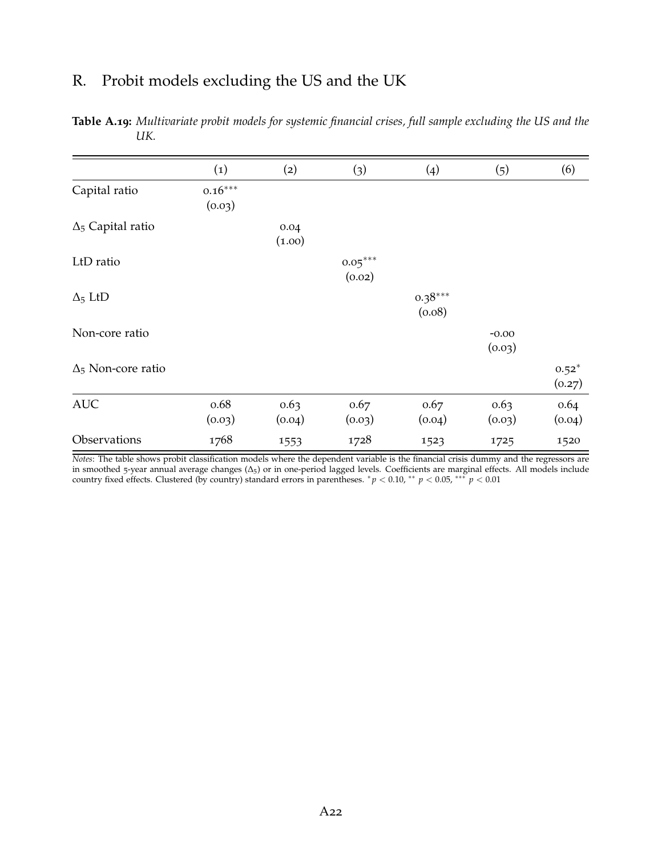# R. Probit models excluding the US and the UK

|                           | (1)                 | (2)            | (3)                 | (4)                 | (5)               | (6)               |
|---------------------------|---------------------|----------------|---------------------|---------------------|-------------------|-------------------|
| Capital ratio             | $0.16***$<br>(0.03) |                |                     |                     |                   |                   |
| $\Delta_5$ Capital ratio  |                     | 0.04<br>(1.00) |                     |                     |                   |                   |
| LtD ratio                 |                     |                | $0.05***$<br>(0.02) |                     |                   |                   |
| $\Delta_5$ LtD            |                     |                |                     | $0.38***$<br>(0.08) |                   |                   |
| Non-core ratio            |                     |                |                     |                     | $-0.00$<br>(0.03) |                   |
| $\Delta_5$ Non-core ratio |                     |                |                     |                     |                   | $0.52*$<br>(0.27) |
| <b>AUC</b>                | 0.68<br>(0.03)      | 0.63<br>(0.04) | 0.67<br>(0.03)      | 0.67<br>(0.04)      | 0.63<br>(0.03)    | 0.64<br>(0.04)    |
| Observations              | 1768                | 1553           | 1728                | 1523                | 1725              | 1520              |

**Table A.19:** *Multivariate probit models for systemic financial crises, full sample excluding the US and the UK.*

*Notes*: The table shows probit classification models where the dependent variable is the financial crisis dummy and the regressors are in smoothed 5-year annual average changes (∆5) or in one-period lagged levels. Coefficients are marginal effects. All models include country fixed effects. Clustered (by country) standard errors in parentheses. <sup>∗</sup> *p* < 0.10, ∗∗ *p* < 0.05, ∗∗∗ *p* < 0.01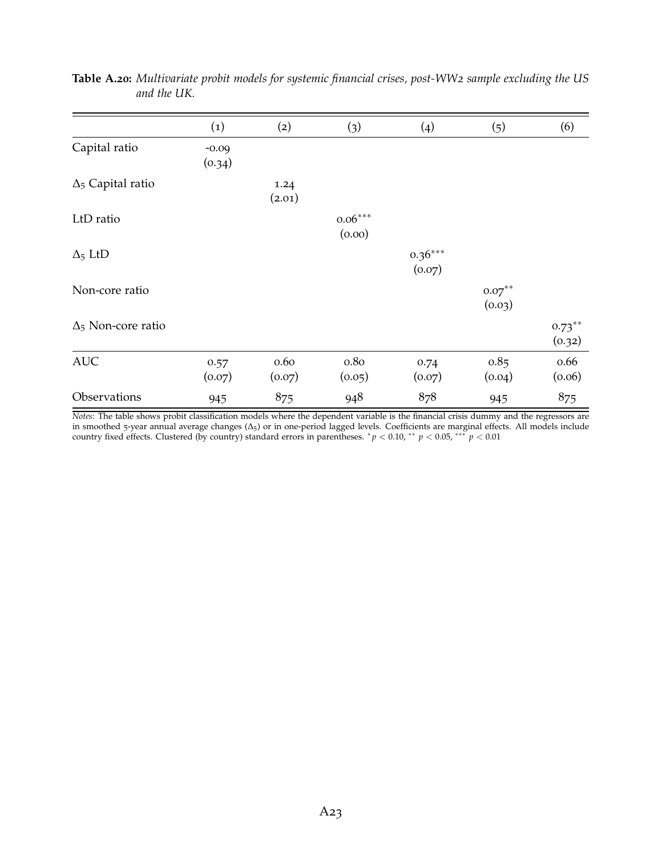|                           | (1)               | (2)            | (3)                 | (4)                 | (5)                 | (6)                 |
|---------------------------|-------------------|----------------|---------------------|---------------------|---------------------|---------------------|
| Capital ratio             | $-0.09$<br>(0.34) |                |                     |                     |                     |                     |
| $\Delta_5$ Capital ratio  |                   | 1.24<br>(2.01) |                     |                     |                     |                     |
| LtD ratio                 |                   |                | $0.06***$<br>(0.00) |                     |                     |                     |
| $\Delta_5$ LtD            |                   |                |                     | $0.36***$<br>(0.07) |                     |                     |
| Non-core ratio            |                   |                |                     |                     | $0.07***$<br>(0.03) |                     |
| $\Delta_5$ Non-core ratio |                   |                |                     |                     |                     | $0.73***$<br>(0.32) |
| <b>AUC</b>                | 0.57<br>(0.07)    | 0.60<br>(0.07) | 0.80<br>(0.05)      | 0.74<br>(0.07)      | 0.85<br>(0.04)      | 0.66<br>(0.06)      |
| Observations              | 945               | 875            | 948                 | 878                 | 945                 | 875                 |

**Table A.20:** *Multivariate probit models for systemic financial crises, post-WW2 sample excluding the US and the UK.*

*Notes*: The table shows probit classification models where the dependent variable is the financial crisis dummy and the regressors are in smoothed 5-year annual average changes (∆5) or in one-period lagged levels. Coefficients are marginal effects. All models include country fixed effects. Clustered (by country) standard errors in parentheses. <sup>∗</sup> *p* < 0.10, ∗∗ *p* < 0.05, ∗∗∗ *p* < 0.01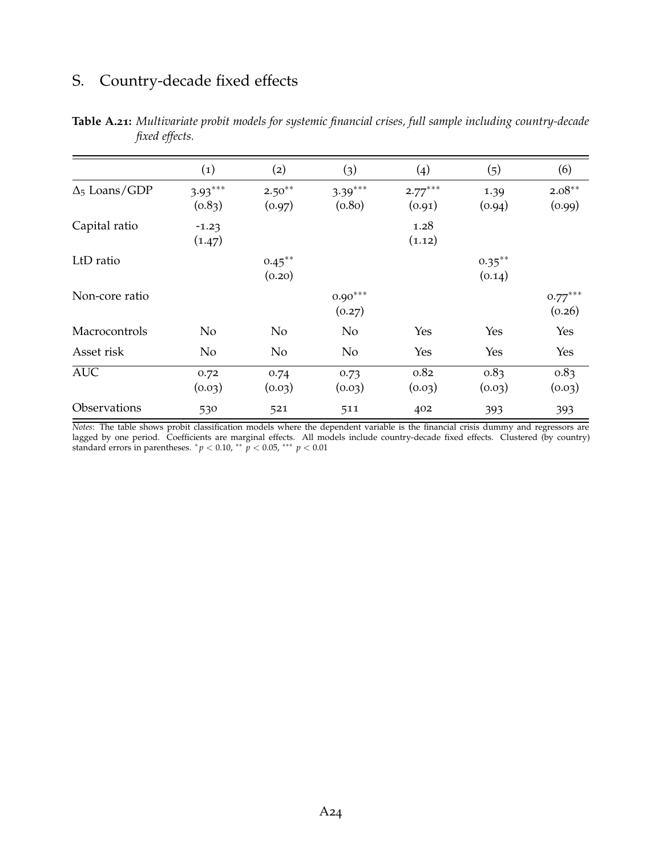# S. Country-decade fixed effects

|                      | $\left( 1\right)$   | (2)                 | (3)                 | (4)                 | (5)                 | (6)                 |
|----------------------|---------------------|---------------------|---------------------|---------------------|---------------------|---------------------|
| $\Delta_5$ Loans/GDP | $3.93***$<br>(0.83) | $2.50***$<br>(0.97) | $3.39***$<br>(0.80) | $2.77***$<br>(0.91) | 1.39<br>(0.94)      | $2.08***$<br>(0.99) |
| Capital ratio        | $-1.23$<br>(1.47)   |                     |                     | 1.28<br>(1.12)      |                     |                     |
| LtD ratio            |                     | $0.45***$<br>(0.20) |                     |                     | $0.35***$<br>(0.14) |                     |
| Non-core ratio       |                     |                     | $0.90***$<br>(0.27) |                     |                     | $0.77***$<br>(0.26) |
| Macrocontrols        | No                  | N <sub>o</sub>      | N <sub>o</sub>      | Yes                 | Yes                 | Yes                 |
| Asset risk           | No                  | No                  | N <sub>o</sub>      | Yes                 | Yes                 | Yes                 |
| <b>AUC</b>           | 0.72<br>(0.03)      | 0.74<br>(0.03)      | 0.73<br>(0.03)      | 0.82<br>(0.03)      | 0.83<br>(0.03)      | 0.83<br>(0.03)      |
| Observations         | 530                 | 521                 | 511                 | 402                 | 393                 | 393                 |

**Table A.21:** *Multivariate probit models for systemic financial crises, full sample including country-decade fixed effects.*

*Notes*: The table shows probit classification models where the dependent variable is the financial crisis dummy and regressors are lagged by one period. Coefficients are marginal effects. All models include country-decade fixed effects. Clustered (by country) standard errors in parentheses.  $^*p<0.10$   $^{**}$   $\stackrel{\sim}{p}<0.05$   $^{***}$   $p<0.01$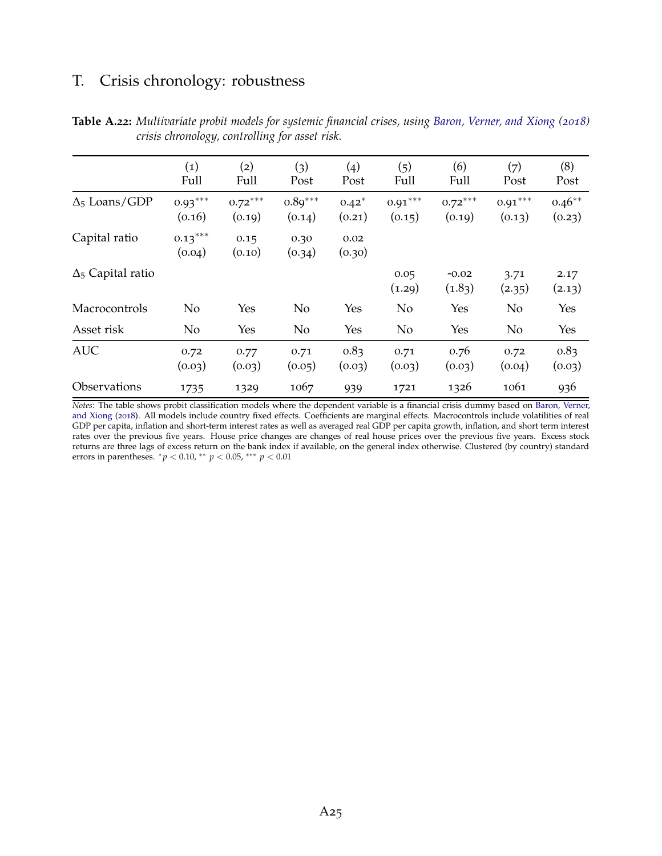# T. Crisis chronology: robustness

|                          | (1)<br>Full         | (2)<br>Full         | (3)<br>Post         | $\left(4\right)$<br>Post | (5)<br>Full         | (6)<br>Full         | (7)<br>Post         | (8)<br>Post        |
|--------------------------|---------------------|---------------------|---------------------|--------------------------|---------------------|---------------------|---------------------|--------------------|
| $\Delta_5$ Loans/GDP     | $0.93***$<br>(0.16) | $0.72***$<br>(0.19) | $0.89***$<br>(0.14) | $0.42*$<br>(0.21)        | $0.91***$<br>(0.15) | $0.72***$<br>(0.19) | $0.91***$<br>(0.13) | $0.46**$<br>(0.23) |
| Capital ratio            | $0.13***$<br>(0.04) | 0.15<br>(0.10)      | 0.30<br>(0.34)      | 0.02<br>(0.30)           |                     |                     |                     |                    |
| $\Delta_5$ Capital ratio |                     |                     |                     |                          | 0.05<br>(1.29)      | $-0.02$<br>(1.83)   | 3.71<br>(2.35)      | 2.17<br>(2.13)     |
| Macrocontrols            | N <sub>o</sub>      | Yes                 | No                  | Yes                      | No                  | Yes                 | N <sub>o</sub>      | Yes                |
| Asset risk               | N <sub>o</sub>      | Yes                 | No                  | Yes                      | No                  | Yes                 | N <sub>o</sub>      | Yes                |
| <b>AUC</b>               | 0.72<br>(0.03)      | 0.77<br>(0.03)      | 0.71<br>(0.05)      | 0.83<br>(0.03)           | 0.71<br>(0.03)      | 0.76<br>(0.03)      | 0.72<br>(0.04)      | 0.83<br>(0.03)     |
| Observations             | 1735                | 1329                | 1067                | 939                      | 1721                | 1326                | 1061                | 936                |

**Table A.22:** *Multivariate probit models for systemic financial crises, using [Baron, Verner, and Xiong](#page-38-1) ([2018](#page-38-1)) crisis chronology, controlling for asset risk.*

*Notes*: The table shows probit classification models where the dependent variable is a financial crisis dummy based on [Baron, Verner,](#page-38-1) [and Xiong](#page-38-1) ([2018](#page-38-1)). All models include country fixed effects. Coefficients are marginal effects. Macrocontrols include volatilities of real GDP per capita, inflation and short-term interest rates as well as averaged real GDP per capita growth, inflation, and short term interest rates over the previous five years. House price changes are changes of real house prices over the previous five years. Excess stock returns are three lags of excess return on the bank index if available, on the general index otherwise. Clustered (by country) standard errors in parentheses. <sup>∗</sup> *p* < 0.10, ∗∗ *p* < 0.05, ∗∗∗ *p* < 0.01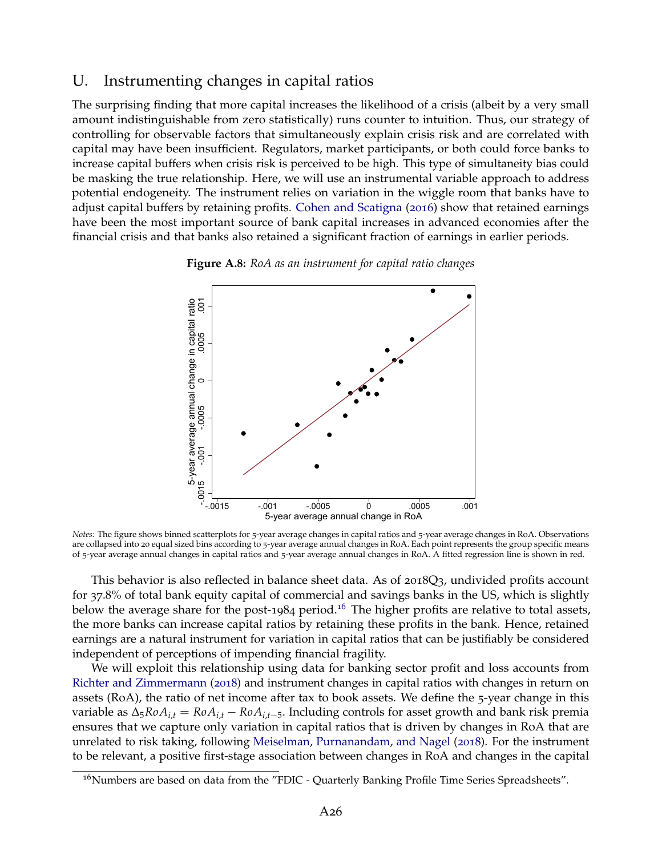### U. Instrumenting changes in capital ratios

The surprising finding that more capital increases the likelihood of a crisis (albeit by a very small amount indistinguishable from zero statistically) runs counter to intuition. Thus, our strategy of controlling for observable factors that simultaneously explain crisis risk and are correlated with capital may have been insufficient. Regulators, market participants, or both could force banks to increase capital buffers when crisis risk is perceived to be high. This type of simultaneity bias could be masking the true relationship. Here, we will use an instrumental variable approach to address potential endogeneity. The instrument relies on variation in the wiggle room that banks have to adjust capital buffers by retaining profits. [Cohen and Scatigna](#page-39-1) ([2016](#page-39-1)) show that retained earnings have been the most important source of bank capital increases in advanced economies after the financial crisis and that banks also retained a significant fraction of earnings in earlier periods.

<span id="page-67-1"></span>



*Notes:* The figure shows binned scatterplots for 5-year average changes in capital ratios and 5-year average changes in RoA. Observations are collapsed into 20 equal sized bins according to 5-year average annual changes in RoA. Each point represents the group specific means of 5-year average annual changes in capital ratios and 5-year average annual changes in RoA. A fitted regression line is shown in red.

This behavior is also reflected in balance sheet data. As of 2018Q3, undivided profits account for 37.8% of total bank equity capital of commercial and savings banks in the US, which is slightly below the average share for the post-1984 period.<sup>[16](#page-67-0)</sup> The higher profits are relative to total assets, the more banks can increase capital ratios by retaining these profits in the bank. Hence, retained earnings are a natural instrument for variation in capital ratios that can be justifiably be considered independent of perceptions of impending financial fragility.

We will exploit this relationship using data for banking sector profit and loss accounts from [Richter and Zimmermann](#page-41-1) ([2018](#page-41-1)) and instrument changes in capital ratios with changes in return on assets (RoA), the ratio of net income after tax to book assets. We define the 5-year change in this variable as  $\Delta_5 R \circ A_{i,t} = R \circ A_{i,t} - R \circ A_{i,t-5}$ . Including controls for asset growth and bank risk premia ensures that we capture only variation in capital ratios that is driven by changes in RoA that are unrelated to risk taking, following [Meiselman, Purnanandam, and Nagel](#page-40-2) ([2018](#page-40-2)). For the instrument to be relevant, a positive first-stage association between changes in RoA and changes in the capital

<span id="page-67-0"></span><sup>&</sup>lt;sup>16</sup>Numbers are based on data from the "FDIC - Quarterly Banking Profile Time Series Spreadsheets".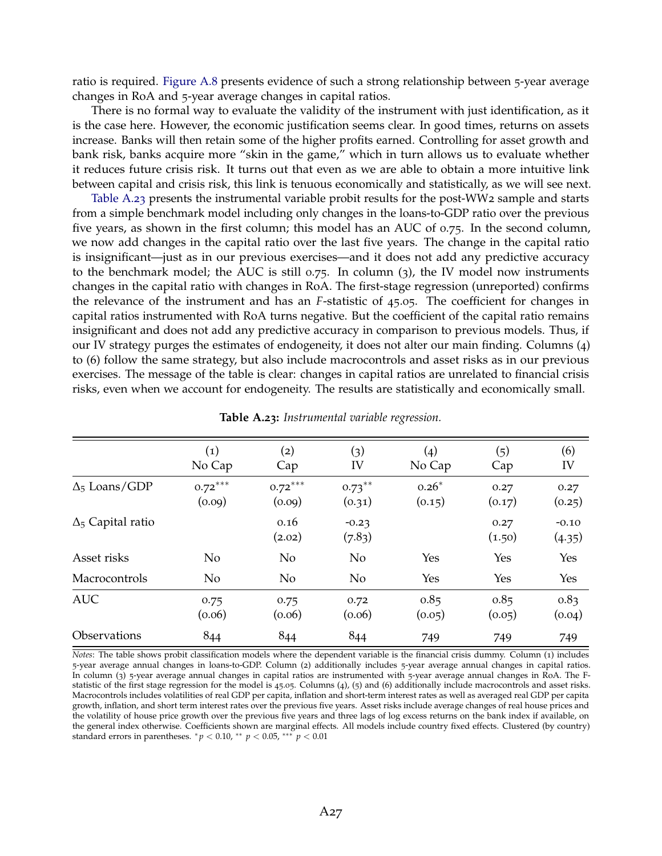ratio is required. [Figure A.](#page-67-1)8 presents evidence of such a strong relationship between 5-year average changes in RoA and 5-year average changes in capital ratios.

There is no formal way to evaluate the validity of the instrument with just identification, as it is the case here. However, the economic justification seems clear. In good times, returns on assets increase. Banks will then retain some of the higher profits earned. Controlling for asset growth and bank risk, banks acquire more "skin in the game," which in turn allows us to evaluate whether it reduces future crisis risk. It turns out that even as we are able to obtain a more intuitive link between capital and crisis risk, this link is tenuous economically and statistically, as we will see next.

[Table A.](#page-68-0)23 presents the instrumental variable probit results for the post-WW2 sample and starts from a simple benchmark model including only changes in the loans-to-GDP ratio over the previous five years, as shown in the first column; this model has an AUC of 0.75. In the second column, we now add changes in the capital ratio over the last five years. The change in the capital ratio is insignificant—just as in our previous exercises—and it does not add any predictive accuracy to the benchmark model; the AUC is still  $0.75$ . In column (3), the IV model now instruments changes in the capital ratio with changes in RoA. The first-stage regression (unreported) confirms the relevance of the instrument and has an *F*-statistic of 45.05. The coefficient for changes in capital ratios instrumented with RoA turns negative. But the coefficient of the capital ratio remains insignificant and does not add any predictive accuracy in comparison to previous models. Thus, if our IV strategy purges the estimates of endogeneity, it does not alter our main finding. Columns (4) to (6) follow the same strategy, but also include macrocontrols and asset risks as in our previous exercises. The message of the table is clear: changes in capital ratios are unrelated to financial crisis risks, even when we account for endogeneity. The results are statistically and economically small.

<span id="page-68-0"></span>

|                          | $\left( 1\right)$<br>No Cap | (2)<br>Cap          | (3)<br>IV           | (4)<br>No Cap     | (5)<br>Cap     | (6)<br>IV         |
|--------------------------|-----------------------------|---------------------|---------------------|-------------------|----------------|-------------------|
| $\Delta_5$ Loans/GDP     | $0.72***$<br>(0.09)         | $0.72***$<br>(0.09) | $0.73***$<br>(0.31) | $0.26*$<br>(0.15) | 0.27<br>(0.17) | 0.27<br>(0.25)    |
| $\Delta_5$ Capital ratio |                             | 0.16<br>(2.02)      | $-0.23$<br>(7.83)   |                   | 0.27<br>(1.50) | $-0.10$<br>(4.35) |
| Asset risks              | No                          | N <sub>o</sub>      | N <sub>o</sub>      | Yes               | Yes            | Yes               |
| Macrocontrols            | N <sub>o</sub>              | N <sub>o</sub>      | N <sub>o</sub>      | Yes               | Yes            | Yes               |
| <b>AUC</b>               | 0.75<br>(0.06)              | 0.75<br>(0.06)      | 0.72<br>(0.06)      | 0.85<br>(0.05)    | 0.85<br>(0.05) | 0.83<br>(0.04)    |
| <b>Observations</b>      | 844                         | 844                 | 844                 | 749               | 749            | 749               |

|  |  | <b>Table A.23:</b> Instrumental variable regression. |  |  |
|--|--|------------------------------------------------------|--|--|
|--|--|------------------------------------------------------|--|--|

*Notes*: The table shows probit classification models where the dependent variable is the financial crisis dummy. Column (1) includes 5-year average annual changes in loans-to-GDP. Column (2) additionally includes 5-year average annual changes in capital ratios. In column (3) 5-year average annual changes in capital ratios are instrumented with 5-year average annual changes in RoA. The Fstatistic of the first stage regression for the model is 45.05. Columns (4), (5) and (6) additionally include macrocontrols and asset risks. Macrocontrols includes volatilities of real GDP per capita, inflation and short-term interest rates as well as averaged real GDP per capita growth, inflation, and short term interest rates over the previous five years. Asset risks include average changes of real house prices and the volatility of house price growth over the previous five years and three lags of log excess returns on the bank index if available, on the general index otherwise. Coefficients shown are marginal effects. All models include country fixed effects. Clustered (by country) standard errors in parentheses.  ${}^{*}p$  < 0.10,  ${}^{**}p$  < 0.05,  ${}^{***}p$  < 0.01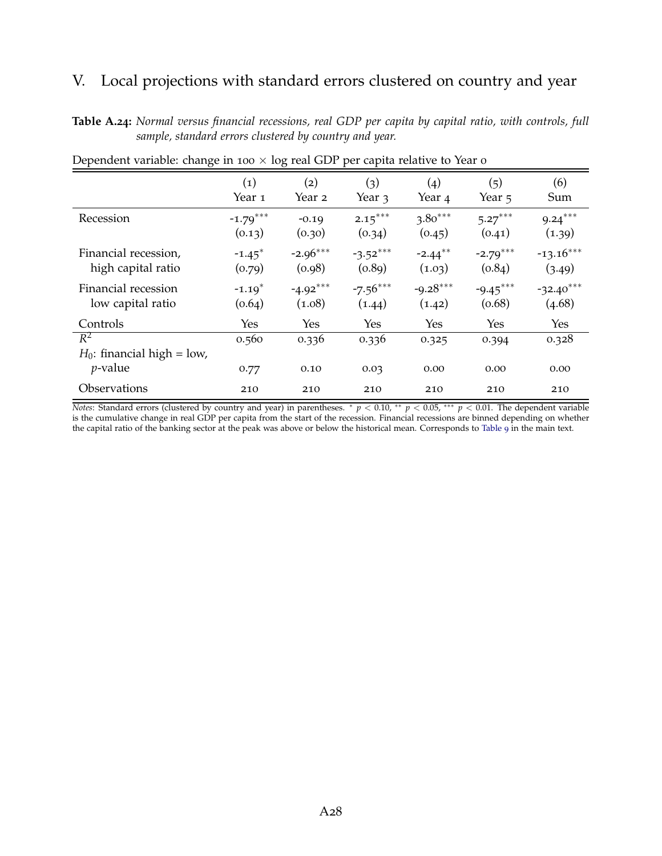# V. Local projections with standard errors clustered on country and year

**Table A.24:** *Normal versus financial recessions, real GDP per capita by capital ratio, with controls, full sample, standard errors clustered by country and year.*

|                                                      | $\left( 1\right)$    | $\mathbf{(2)}$ | (3)           | $\left( 4 \right)$ | (5)           | (6)           |
|------------------------------------------------------|----------------------|----------------|---------------|--------------------|---------------|---------------|
|                                                      | Year <sub>1</sub>    | Year 2         | Year 3        | Year 4             | Year 5        | Sum           |
| Recession                                            | $-1.79***$           | $-0.19$        | $2.15***$     | $3.80***$          | $5.27***$     | $9.24***$     |
|                                                      | (0.13)               | (0.30)         | (0.34)        | (0.45)             | (0.41)        | (1.39)        |
| Financial recession,                                 | $-1.45$ <sup>*</sup> | $-2.96***$     | $-3.52***$    | $-2.44***$         | $-2.79***$    | $-13.16***$   |
| high capital ratio                                   | (0.79)               | (0.98)         | (0.89)        | (1.03)             | (0.84)        | (3.49)        |
| Financial recession                                  | $-1.19*$             | $-4.92***$     | $-7.56***$    | $-9.28***$         | $-9.45***$    | $-32.40***$   |
| low capital ratio                                    | (0.64)               | (1.08)         | (1.44)        | (1.42)             | (0.68)        | (4.68)        |
| Controls                                             | Yes                  | Yes            | Yes           | Yes                | <b>Yes</b>    | Yes           |
| $R^2$<br>$H_0$ : financial high = low,<br>$p$ -value | 0.560<br>0.77        | 0.336<br>0.10  | 0.336<br>0.03 | 0.325<br>0.00      | 0.394<br>0.00 | 0.328<br>0.00 |
| Observations                                         | 210                  | 210            | 210           | 210                | 210           | 210           |

Dependent variable: change in 100  $\times$  log real GDP per capita relative to Year 0

*Notes*: Standard errors (clustered by country and year) in parentheses. <sup>∗</sup> *p* < 0.10, <sup>∗∗</sup> *p* < 0.05, <sup>∗∗∗</sup> *p* < 0.01. The dependent variable is the cumulative change in real GDP per capita from the start of the recession. Financial recessions are binned depending on whether the capital ratio of the banking sector at the peak was above or below the historical mean. Corresponds to [Table](#page-31-0) 9 in the main text.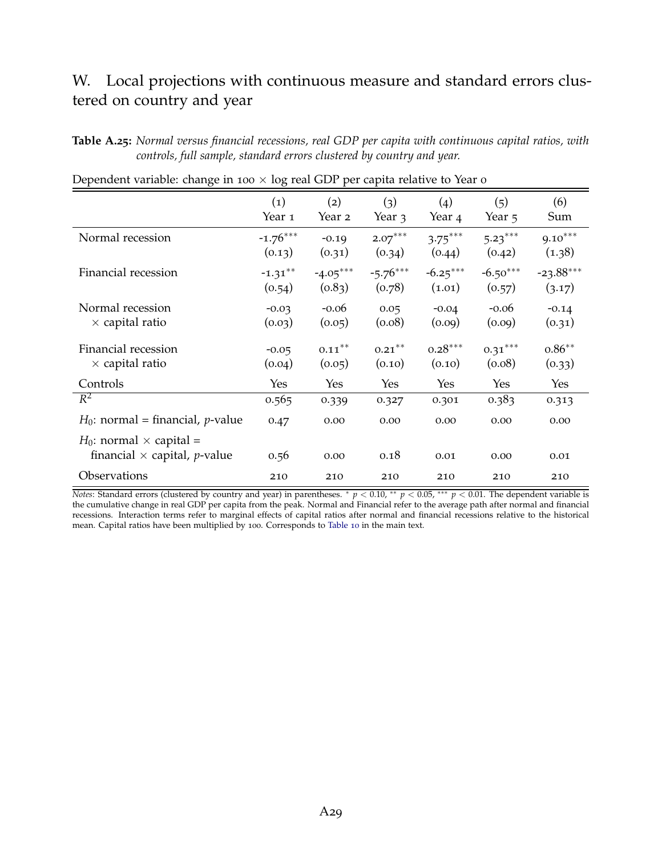### W. Local projections with continuous measure and standard errors clustered on country and year

**Table A.25:** *Normal versus financial recessions, real GDP per capita with continuous capital ratios, with controls, full sample, standard errors clustered by country and year.*

|                                                                                  | $\left( 1\right)$ | (2)        | (3)        | (4)        | (5)        | (6)         |
|----------------------------------------------------------------------------------|-------------------|------------|------------|------------|------------|-------------|
|                                                                                  | Year 1            | Year 2     | Year 3     | Year 4     | Year 5     | Sum         |
| Normal recession                                                                 | $-1.76***$        | $-0.19$    | $2.07***$  | $3.75***$  | $5.23***$  | $9.10***$   |
|                                                                                  | (0.13)            | (0.31)     | (0.34)     | (0.44)     | (0.42)     | (1.38)      |
| Financial recession                                                              | $-1.31***$        | $-4.05***$ | $-5.76***$ | $-6.25***$ | $-6.50***$ | $-23.88***$ |
|                                                                                  | (0.54)            | (0.83)     | (0.78)     | (1.01)     | (0.57)     | (3.17)      |
| Normal recession                                                                 | $-0.03$           | $-0.06$    | 0.05       | $-0.04$    | $-0.06$    | $-0.14$     |
| $\times$ capital ratio                                                           | (0.03)            | (0.05)     | (0.08)     | (0.09)     | (0.09)     | (0.31)      |
| Financial recession                                                              | $-0.05$           | $0.11***$  | $0.21***$  | $0.28***$  | $0.31***$  | $0.86***$   |
| $\times$ capital ratio                                                           | (0.04)            | (0.05)     | (0.10)     | (0.10)     | (0.08)     | (0.33)      |
| Controls                                                                         | Yes               | Yes        | Yes        | Yes        | Yes        | Yes         |
| $R^2$                                                                            | 0.565             | 0.339      | 0.327      | 0.301      | 0.383      | 0.313       |
| $H_0$ : normal = financial, <i>p</i> -value                                      | 0.47              | 0.00       | 0.00       | 0.00       | 0.00       | 0.00        |
| $H_0$ : normal $\times$ capital =<br>financial $\times$ capital, <i>p</i> -value | 0.56              | 0.00       | 0.18       | 0.01       | 0.00       | 0.01        |
| <b>Observations</b>                                                              | 210               | 210        | 210        | 210        | 210        | 210         |

Dependent variable: change in 100  $\times$  log real GDP per capita relative to Year 0

*Notes*: Standard errors (clustered by country and year) in parentheses. <sup>∗</sup> *p* < 0.10, <sup>∗∗</sup> *p* < 0.05, <sup>∗∗∗</sup> *p* < 0.01. The dependent variable is the cumulative change in real GDP per capita from the peak. Normal and Financial refer to the average path after normal and financial recessions. Interaction terms refer to marginal effects of capital ratios after normal and financial recessions relative to the historical mean. Capital ratios have been multiplied by 100. Corresponds to [Table](#page-33-0) 10 in the main text.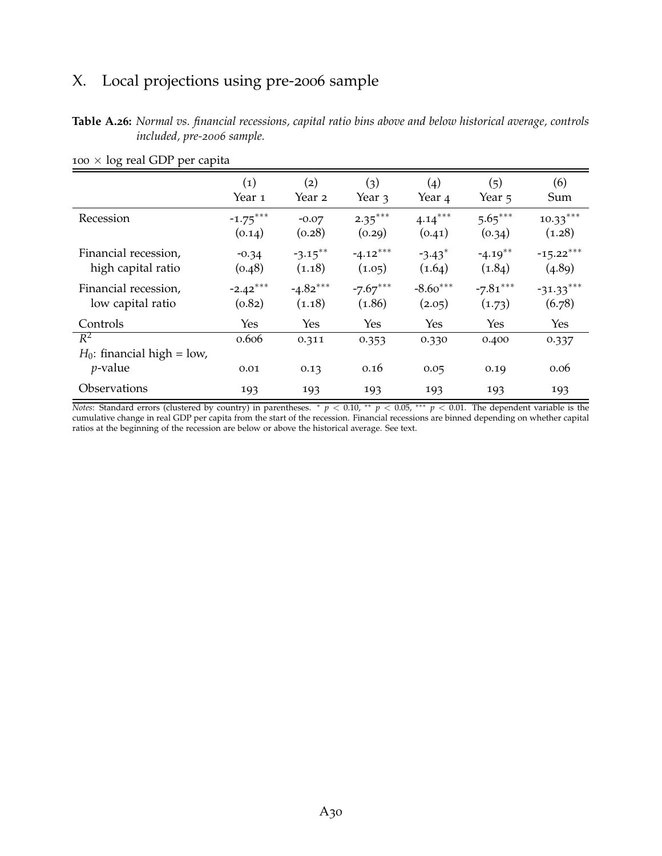# X. Local projections using pre-2006 sample

**Table A.26:** *Normal vs. financial recessions, capital ratio bins above and below historical average, controls included, pre-2006 sample.*

| $\check{ }$                            |                   |            |            |                      |            |             |
|----------------------------------------|-------------------|------------|------------|----------------------|------------|-------------|
|                                        | $\left( 1\right)$ | (2)        | (3)        | $\left( 4 \right)$   | (5)        | (6)         |
|                                        | Year 1            | Year 2     | Year 3     | Year <sub>4</sub>    | Year 5     | Sum         |
| Recession                              | $-1.75***$        | $-0.07$    | $2.35***$  | $4.14***$            | $5.65***$  | $10.33***$  |
|                                        | (0.14)            | (0.28)     | (0.29)     | (0.41)               | (0.34)     | (1.28)      |
| Financial recession,                   | $-0.34$           | $-3.15***$ | $-4.12***$ | $-3.43$ <sup>*</sup> | $-4.19**$  | $-15.22***$ |
| high capital ratio                     | (0.48)            | (1.18)     | (1.05)     | (1.64)               | (1.84)     | (4.89)      |
| Financial recession,                   | $-2.42***$        | $-4.82***$ | $-7.67***$ | $-8.60***$           | $-7.81***$ | $-31.33***$ |
| low capital ratio                      | (0.82)            | (1.18)     | (1.86)     | (2.05)               | (1.73)     | (6.78)      |
| Controls                               | Yes               | Yes        | Yes        | Yes                  | Yes        | Yes         |
| $R^2$<br>$H_0$ : financial high = low, | 0.606             | 0.311      | 0.353      | 0.330                | 0.400      | 0.337       |
| $p$ -value                             | 0.01              | 0.13       | 0.16       | 0.05                 | 0.19       | 0.06        |
| Observations                           | 193               | 193        | 193        | 193                  | 193        | 193         |

 $100 \times log$  real GDP per capita

*Notes*: Standard errors (clustered by country) in parentheses. <sup>∗</sup> *p* < 0.10, ∗∗ *p* < 0.05, ∗∗∗ *p* < 0.01. The dependent variable is the cumulative change in real GDP per capita from the start of the recession. Financial recessions are binned depending on whether capital ratios at the beginning of the recession are below or above the historical average. See text.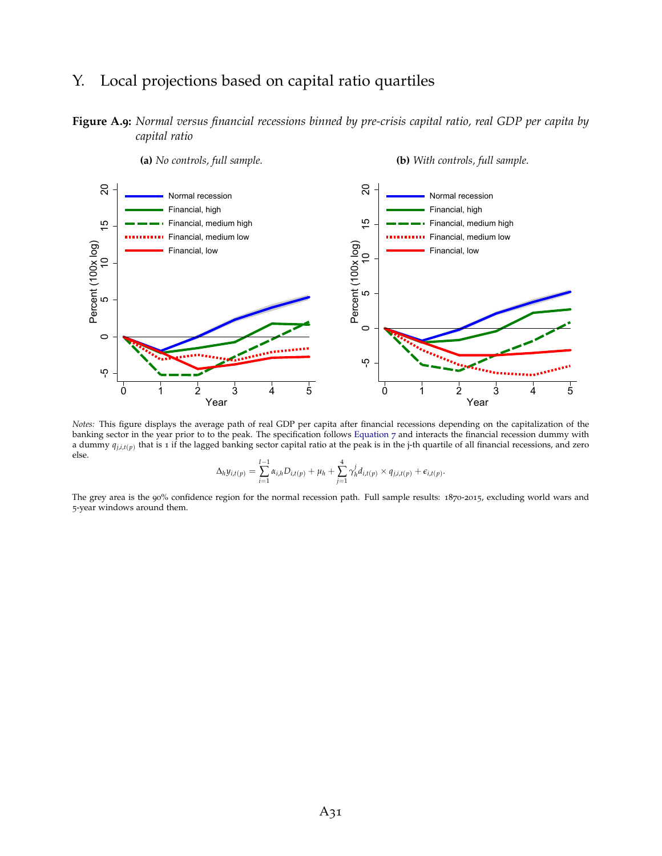## Y. Local projections based on capital ratio quartiles

**Figure A.9:** *Normal versus financial recessions binned by pre-crisis capital ratio, real GDP per capita by capital ratio*



*Notes:* This figure displays the average path of real GDP per capita after financial recessions depending on the capitalization of the banking sector in the year prior to to the peak. The specification follows [Equation](#page-29-0) 7 and interacts the financial recession dummy with a dummy  $q_{j,i,t(p)}$  that is 1 if the lagged banking sector capital ratio at the peak is in the j-th quartile of all financial recessions, and zero else.

$$
\Delta_h y_{i,t(p)} = \sum_{i=1}^{l-1} \alpha_{i,h} D_{i,t(p)} + \mu_h + \sum_{j=1}^4 \gamma_h^j d_{i,t(p)} \times q_{j,i,t(p)} + \epsilon_{i,t(p)}.
$$

The grey area is the 90% confidence region for the normal recession path. Full sample results: 1870-2015, excluding world wars and 5-year windows around them.